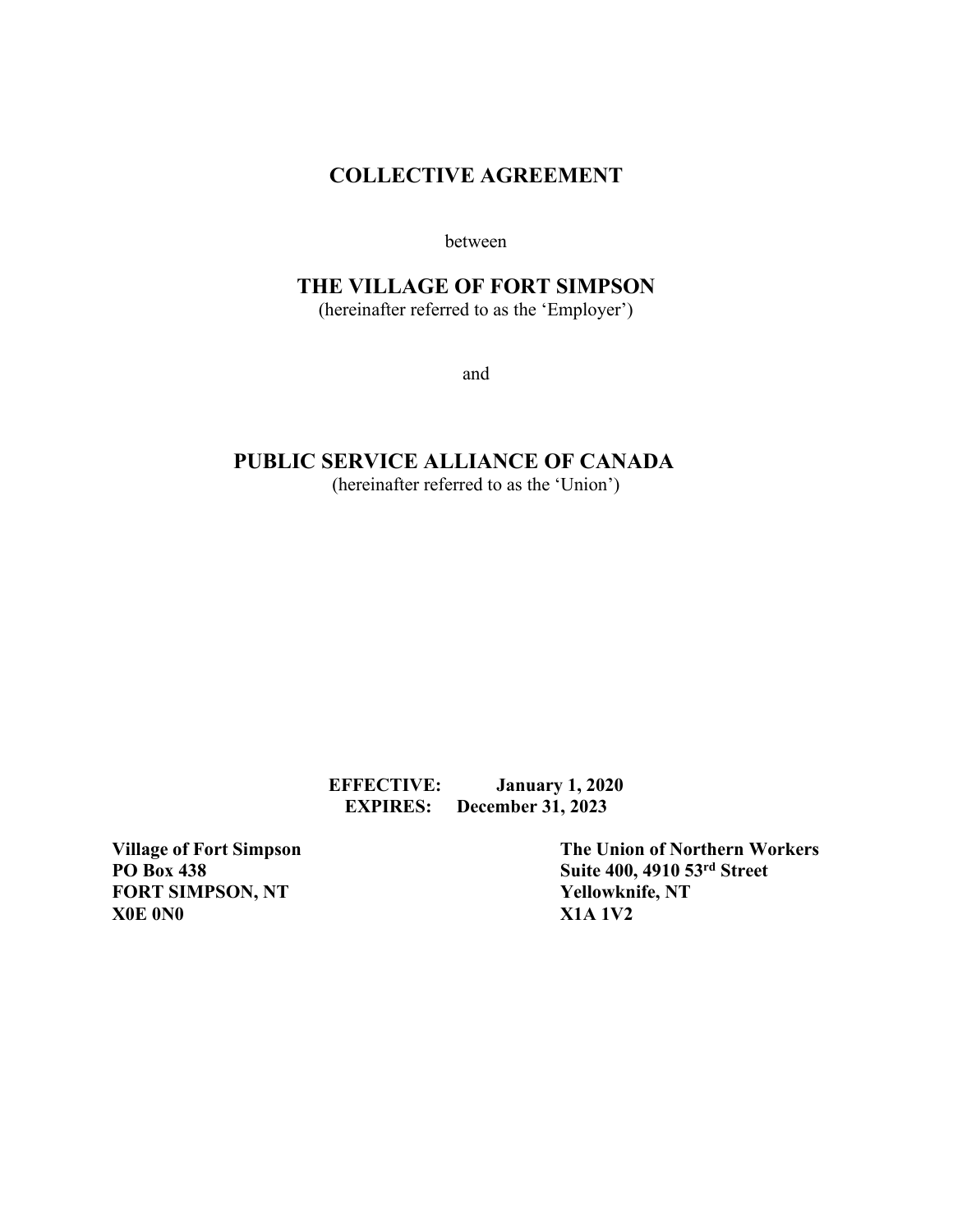# **COLLECTIVE AGREEMENT**

between

# **THE VILLAGE OF FORT SIMPSON**

(hereinafter referred to as the 'Employer')

and

# **PUBLIC SERVICE ALLIANCE OF CANADA**

(hereinafter referred to as the 'Union')

**EFFECTIVE: January 1, 2020 EXPIRES: December 31, 2023**

**FORT SIMPSON, NT X0E 0N0 X1A 1V2**

Village of Fort Simpson<br> **PO** Box 438<br> **The Union of Northern Workers**<br>
Suite 400, 4910 53<sup>rd</sup> Street **Suite 400, 4910 53rd Street<br>Yellowknife, NT**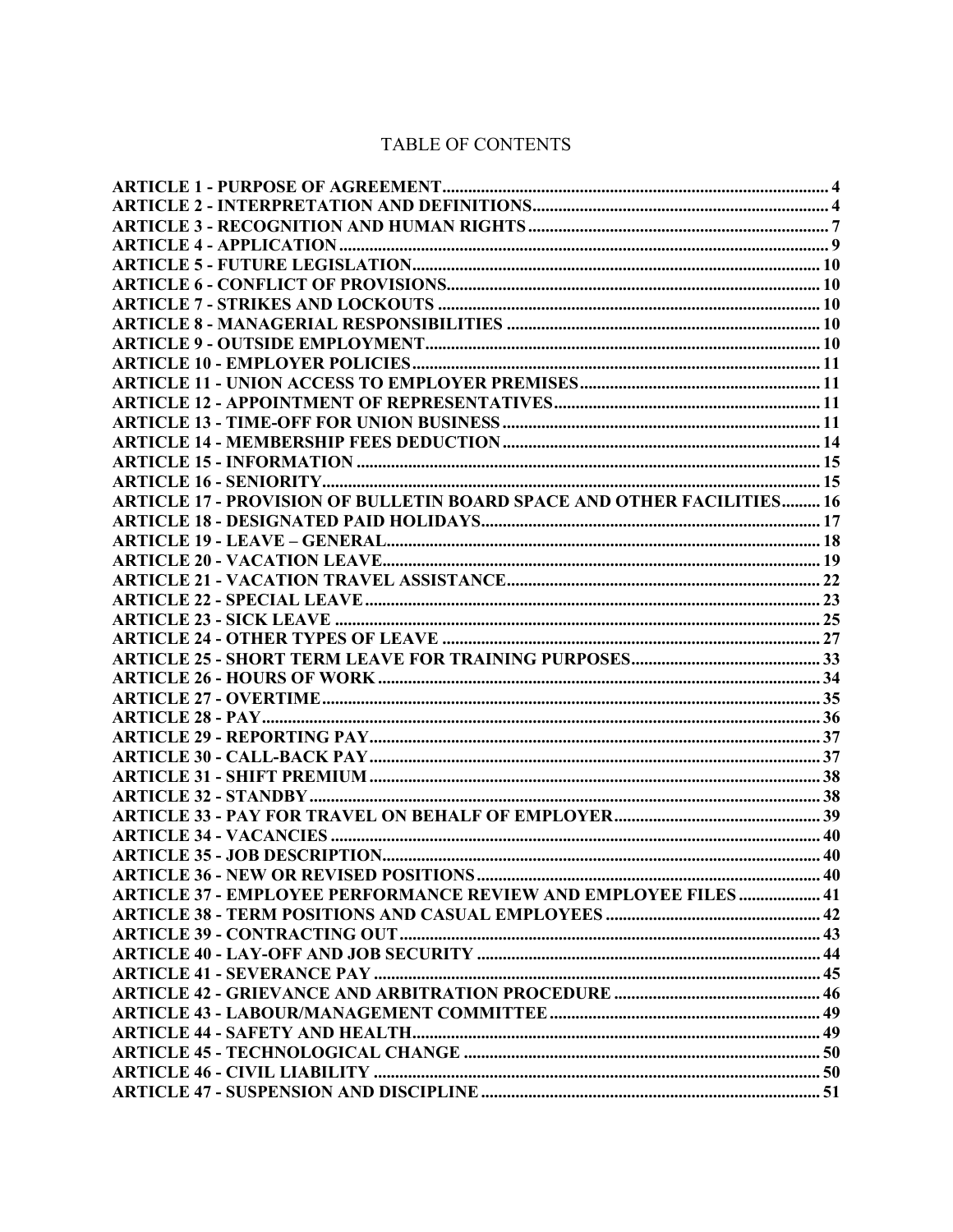# TABLE OF CONTENTS

| <b>ARTICLE 17 - PROVISION OF BULLETIN BOARD SPACE AND OTHER FACILITIES 16</b> |  |
|-------------------------------------------------------------------------------|--|
|                                                                               |  |
|                                                                               |  |
|                                                                               |  |
|                                                                               |  |
|                                                                               |  |
|                                                                               |  |
|                                                                               |  |
|                                                                               |  |
|                                                                               |  |
|                                                                               |  |
|                                                                               |  |
|                                                                               |  |
|                                                                               |  |
|                                                                               |  |
|                                                                               |  |
|                                                                               |  |
|                                                                               |  |
|                                                                               |  |
| <b>ARTICLE 37 - EMPLOYEE PERFORMANCE REVIEW AND EMPLOYEE FILES  41</b>        |  |
|                                                                               |  |
|                                                                               |  |
|                                                                               |  |
|                                                                               |  |
|                                                                               |  |
|                                                                               |  |
|                                                                               |  |
|                                                                               |  |
|                                                                               |  |
|                                                                               |  |
|                                                                               |  |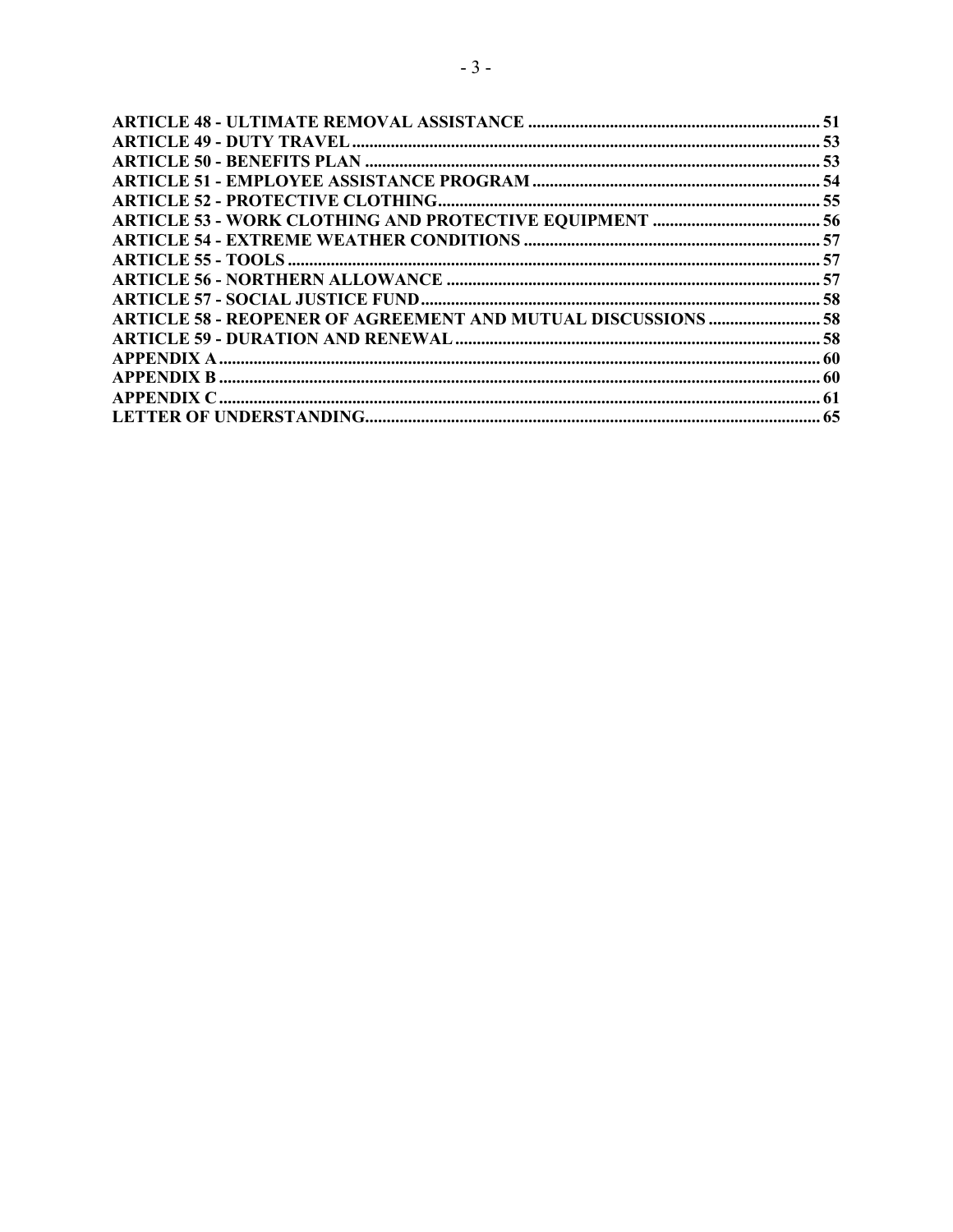| ARTICLE 58 - REOPENER OF AGREEMENT AND MUTUAL DISCUSSIONS  58 |  |
|---------------------------------------------------------------|--|
|                                                               |  |
|                                                               |  |
|                                                               |  |
|                                                               |  |
|                                                               |  |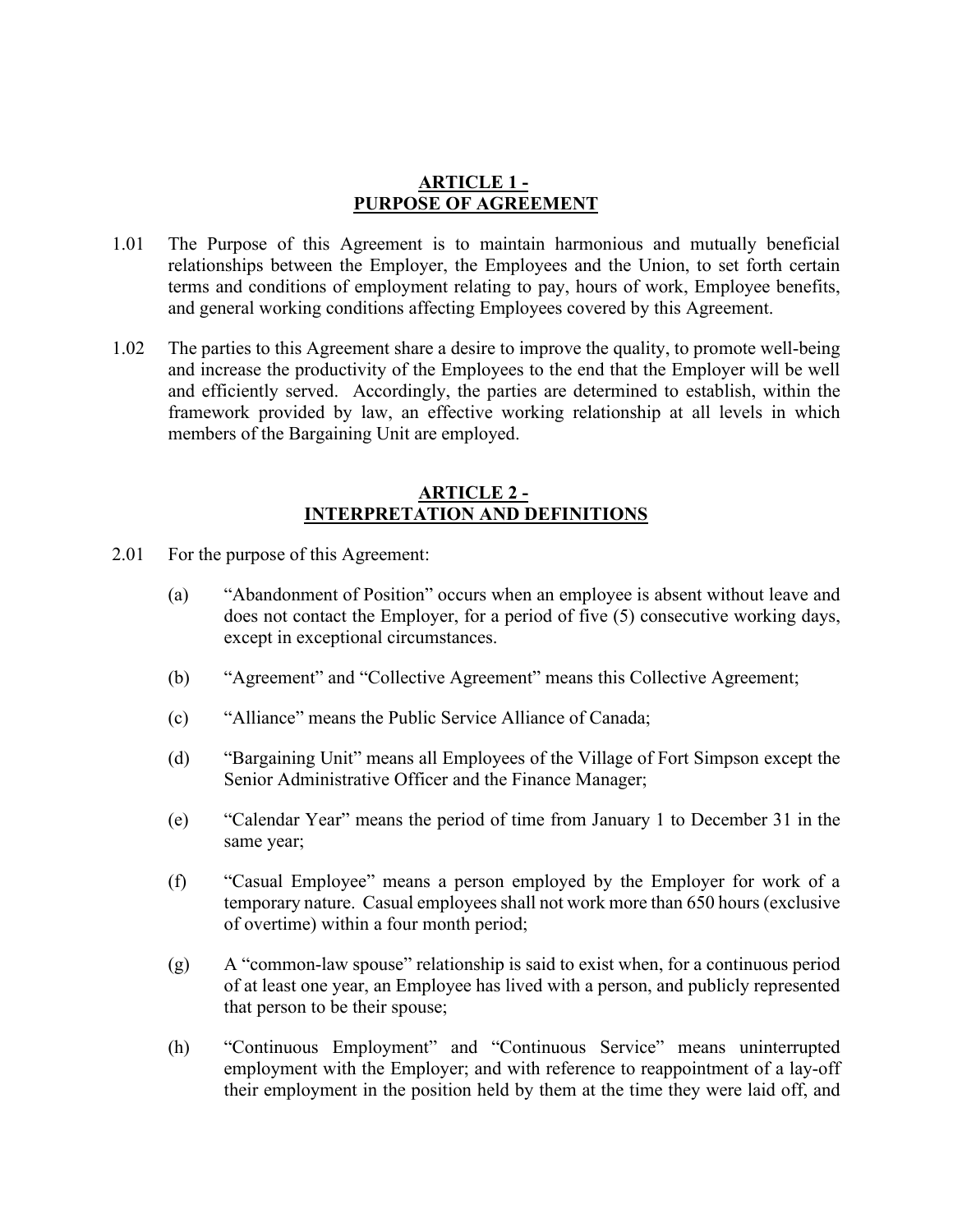#### **ARTICLE 1 - PURPOSE OF AGREEMENT**

- <span id="page-3-0"></span>1.01 The Purpose of this Agreement is to maintain harmonious and mutually beneficial relationships between the Employer, the Employees and the Union, to set forth certain terms and conditions of employment relating to pay, hours of work, Employee benefits, and general working conditions affecting Employees covered by this Agreement.
- 1.02 The parties to this Agreement share a desire to improve the quality, to promote well-being and increase the productivity of the Employees to the end that the Employer will be well and efficiently served. Accordingly, the parties are determined to establish, within the framework provided by law, an effective working relationship at all levels in which members of the Bargaining Unit are employed.

#### **ARTICLE 2 - INTERPRETATION AND DEFINITIONS**

- <span id="page-3-1"></span>2.01 For the purpose of this Agreement:
	- (a) "Abandonment of Position" occurs when an employee is absent without leave and does not contact the Employer, for a period of five (5) consecutive working days, except in exceptional circumstances.
	- (b) "Agreement" and "Collective Agreement" means this Collective Agreement;
	- (c) "Alliance" means the Public Service Alliance of Canada;
	- (d) "Bargaining Unit" means all Employees of the Village of Fort Simpson except the Senior Administrative Officer and the Finance Manager;
	- (e) "Calendar Year" means the period of time from January 1 to December 31 in the same year;
	- (f) "Casual Employee" means a person employed by the Employer for work of a temporary nature. Casual employees shall not work more than 650 hours (exclusive of overtime) within a four month period;
	- (g) A "common-law spouse" relationship is said to exist when, for a continuous period of at least one year, an Employee has lived with a person, and publicly represented that person to be their spouse;
	- (h) "Continuous Employment" and "Continuous Service" means uninterrupted employment with the Employer; and with reference to reappointment of a lay-off their employment in the position held by them at the time they were laid off, and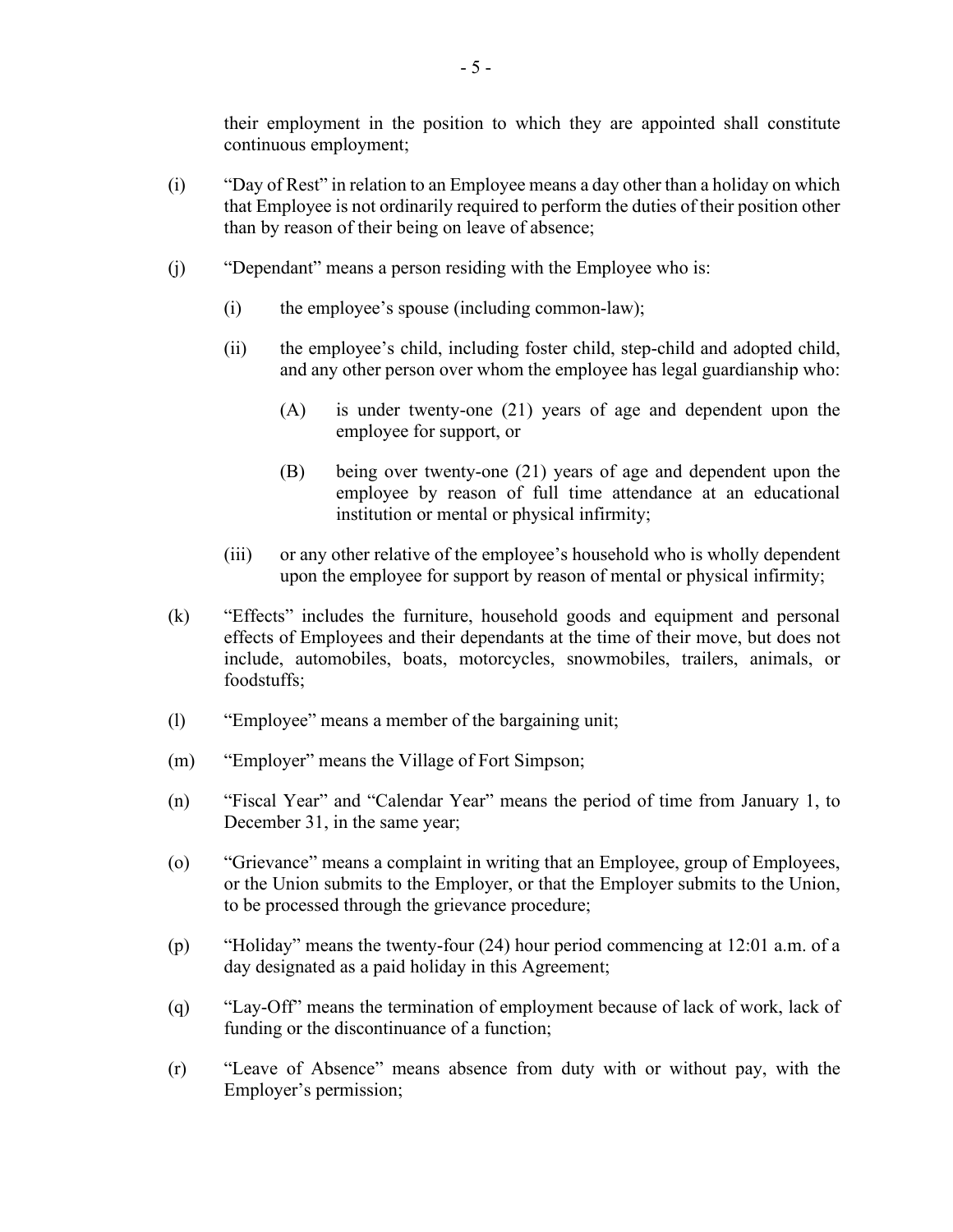their employment in the position to which they are appointed shall constitute continuous employment;

- (i) "Day of Rest" in relation to an Employee means a day other than a holiday on which that Employee is not ordinarily required to perform the duties of their position other than by reason of their being on leave of absence;
- (j) "Dependant" means a person residing with the Employee who is:
	- (i) the employee's spouse (including common-law);
	- (ii) the employee's child, including foster child, step-child and adopted child, and any other person over whom the employee has legal guardianship who:
		- (A) is under twenty-one (21) years of age and dependent upon the employee for support, or
		- (B) being over twenty-one (21) years of age and dependent upon the employee by reason of full time attendance at an educational institution or mental or physical infirmity;
	- (iii) or any other relative of the employee's household who is wholly dependent upon the employee for support by reason of mental or physical infirmity;
- (k) "Effects" includes the furniture, household goods and equipment and personal effects of Employees and their dependants at the time of their move, but does not include, automobiles, boats, motorcycles, snowmobiles, trailers, animals, or foodstuffs;
- (l) "Employee" means a member of the bargaining unit;
- (m) "Employer" means the Village of Fort Simpson;
- (n) "Fiscal Year" and "Calendar Year" means the period of time from January 1, to December 31, in the same year;
- (o) "Grievance" means a complaint in writing that an Employee, group of Employees, or the Union submits to the Employer, or that the Employer submits to the Union, to be processed through the grievance procedure;
- (p) "Holiday" means the twenty-four (24) hour period commencing at 12:01 a.m. of a day designated as a paid holiday in this Agreement;
- (q) "Lay-Off" means the termination of employment because of lack of work, lack of funding or the discontinuance of a function;
- (r) "Leave of Absence" means absence from duty with or without pay, with the Employer's permission;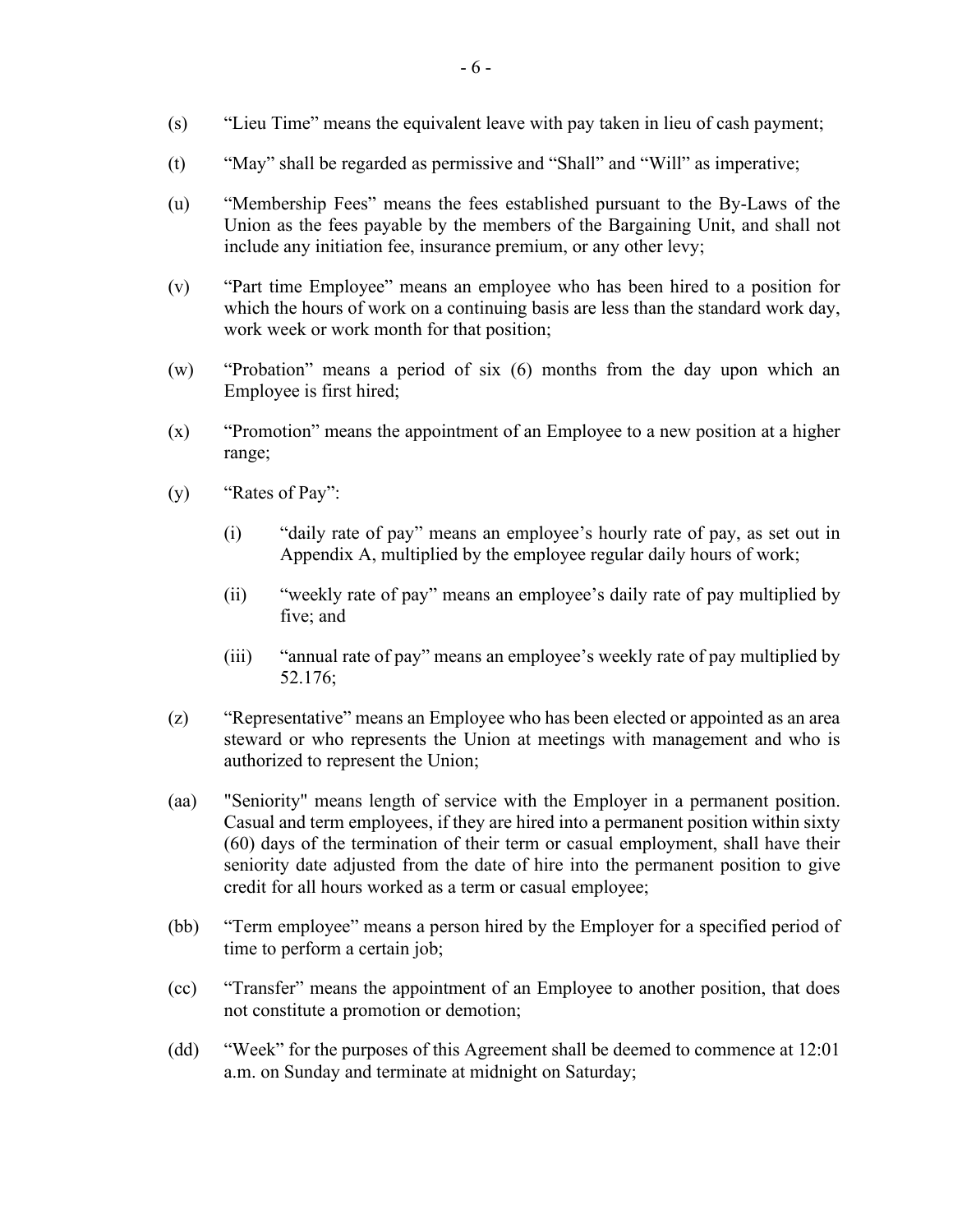- (s) "Lieu Time" means the equivalent leave with pay taken in lieu of cash payment;
- (t) "May" shall be regarded as permissive and "Shall" and "Will" as imperative;
- (u) "Membership Fees" means the fees established pursuant to the By-Laws of the Union as the fees payable by the members of the Bargaining Unit, and shall not include any initiation fee, insurance premium, or any other levy;
- (v) "Part time Employee" means an employee who has been hired to a position for which the hours of work on a continuing basis are less than the standard work day, work week or work month for that position;
- (w) "Probation" means a period of six (6) months from the day upon which an Employee is first hired;
- (x) "Promotion" means the appointment of an Employee to a new position at a higher range;
- (y) "Rates of Pay":
	- (i) "daily rate of pay" means an employee's hourly rate of pay, as set out in Appendix A, multiplied by the employee regular daily hours of work;
	- (ii) "weekly rate of pay" means an employee's daily rate of pay multiplied by five; and
	- (iii) "annual rate of pay" means an employee's weekly rate of pay multiplied by 52.176;
- (z) "Representative" means an Employee who has been elected or appointed as an area steward or who represents the Union at meetings with management and who is authorized to represent the Union;
- (aa) "Seniority" means length of service with the Employer in a permanent position. Casual and term employees, if they are hired into a permanent position within sixty (60) days of the termination of their term or casual employment, shall have their seniority date adjusted from the date of hire into the permanent position to give credit for all hours worked as a term or casual employee;
- (bb) "Term employee" means a person hired by the Employer for a specified period of time to perform a certain job;
- (cc) "Transfer" means the appointment of an Employee to another position, that does not constitute a promotion or demotion;
- (dd) "Week" for the purposes of this Agreement shall be deemed to commence at 12:01 a.m. on Sunday and terminate at midnight on Saturday;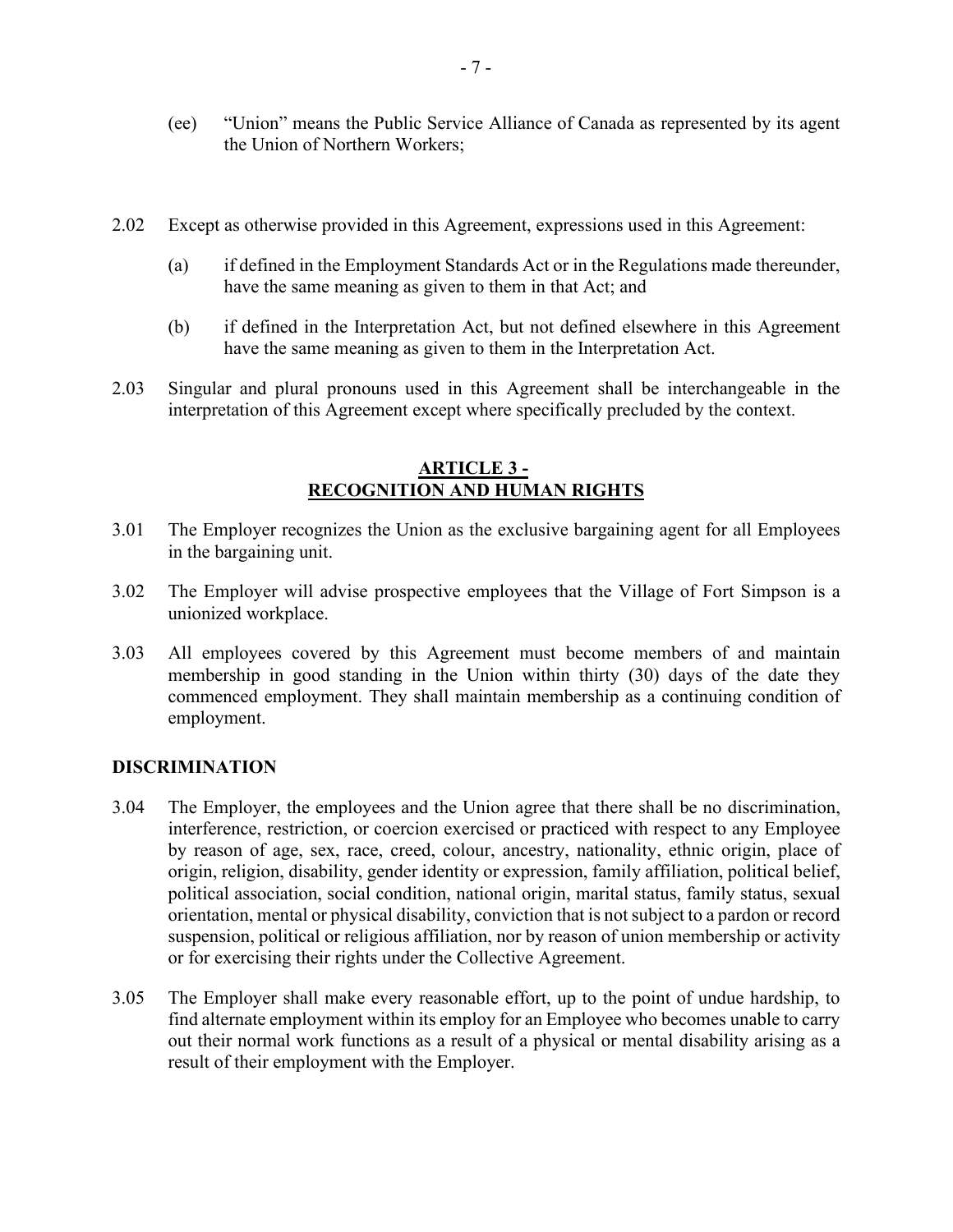- (ee) "Union" means the Public Service Alliance of Canada as represented by its agent the Union of Northern Workers;
- 2.02 Except as otherwise provided in this Agreement, expressions used in this Agreement:
	- (a) if defined in the Employment Standards Act or in the Regulations made thereunder, have the same meaning as given to them in that Act; and
	- (b) if defined in the Interpretation Act, but not defined elsewhere in this Agreement have the same meaning as given to them in the Interpretation Act.
- 2.03 Singular and plural pronouns used in this Agreement shall be interchangeable in the interpretation of this Agreement except where specifically precluded by the context.

#### **ARTICLE 3 - RECOGNITION AND HUMAN RIGHTS**

- <span id="page-6-0"></span>3.01 The Employer recognizes the Union as the exclusive bargaining agent for all Employees in the bargaining unit.
- 3.02 The Employer will advise prospective employees that the Village of Fort Simpson is a unionized workplace.
- 3.03 All employees covered by this Agreement must become members of and maintain membership in good standing in the Union within thirty (30) days of the date they commenced employment. They shall maintain membership as a continuing condition of employment.

#### **DISCRIMINATION**

- 3.04 The Employer, the employees and the Union agree that there shall be no discrimination, interference, restriction, or coercion exercised or practiced with respect to any Employee by reason of age, sex, race, creed, colour, ancestry, nationality, ethnic origin, place of origin, religion, disability, gender identity or expression, family affiliation, political belief, political association, social condition, national origin, marital status, family status, sexual orientation, mental or physical disability, conviction that is not subject to a pardon or record suspension, political or religious affiliation, nor by reason of union membership or activity or for exercising their rights under the Collective Agreement.
- 3.05 The Employer shall make every reasonable effort, up to the point of undue hardship, to find alternate employment within its employ for an Employee who becomes unable to carry out their normal work functions as a result of a physical or mental disability arising as a result of their employment with the Employer.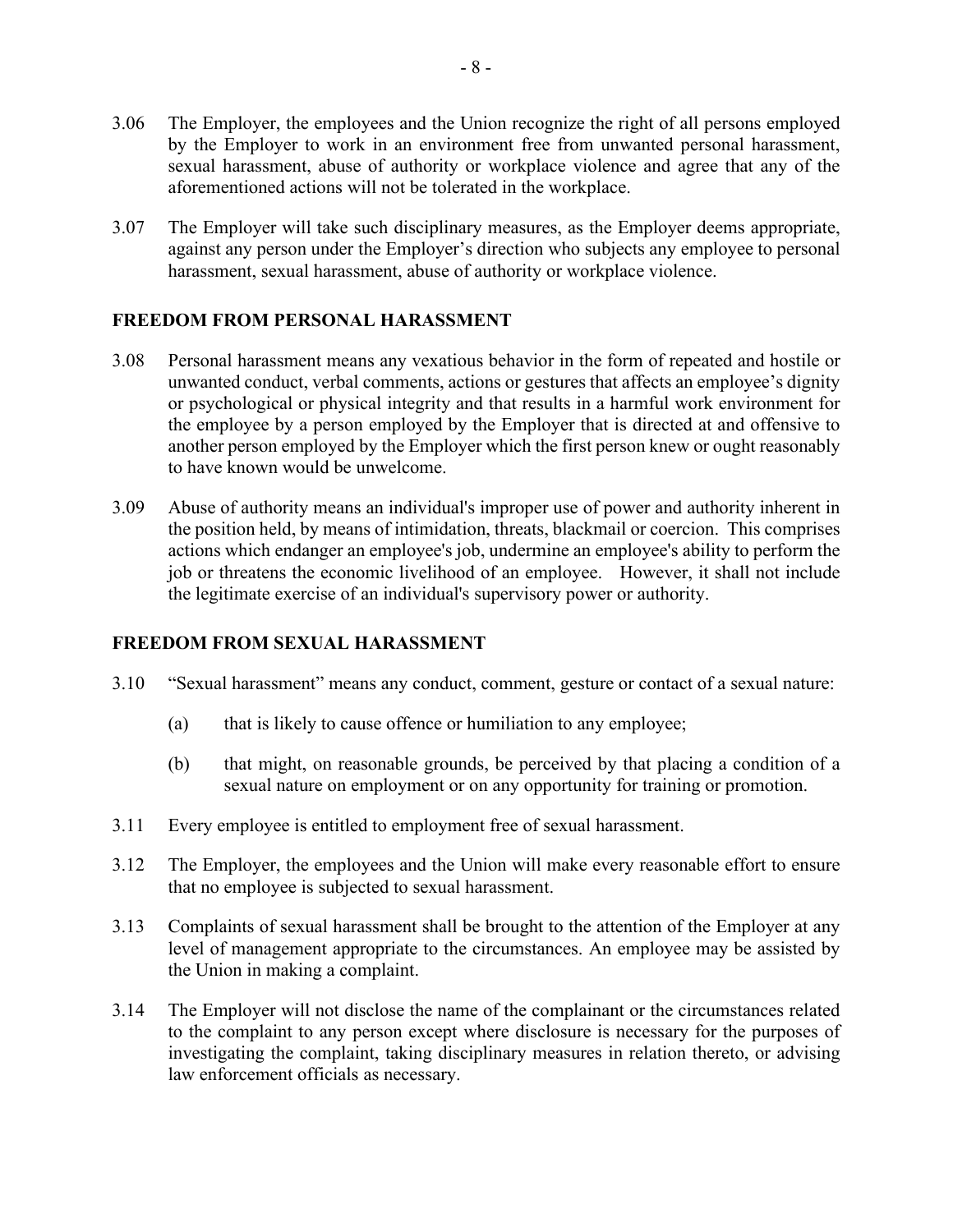- 3.06 The Employer, the employees and the Union recognize the right of all persons employed by the Employer to work in an environment free from unwanted personal harassment, sexual harassment, abuse of authority or workplace violence and agree that any of the aforementioned actions will not be tolerated in the workplace.
- 3.07 The Employer will take such disciplinary measures, as the Employer deems appropriate, against any person under the Employer's direction who subjects any employee to personal harassment, sexual harassment, abuse of authority or workplace violence.

#### **FREEDOM FROM PERSONAL HARASSMENT**

- 3.08 Personal harassment means any vexatious behavior in the form of repeated and hostile or unwanted conduct, verbal comments, actions or gestures that affects an employee's dignity or psychological or physical integrity and that results in a harmful work environment for the employee by a person employed by the Employer that is directed at and offensive to another person employed by the Employer which the first person knew or ought reasonably to have known would be unwelcome.
- 3.09 Abuse of authority means an individual's improper use of power and authority inherent in the position held, by means of intimidation, threats, blackmail or coercion. This comprises actions which endanger an employee's job, undermine an employee's ability to perform the job or threatens the economic livelihood of an employee. However, it shall not include the legitimate exercise of an individual's supervisory power or authority.

#### **FREEDOM FROM SEXUAL HARASSMENT**

- 3.10 "Sexual harassment" means any conduct, comment, gesture or contact of a sexual nature:
	- (a) that is likely to cause offence or humiliation to any employee;
	- (b) that might, on reasonable grounds, be perceived by that placing a condition of a sexual nature on employment or on any opportunity for training or promotion.
- 3.11 Every employee is entitled to employment free of sexual harassment.
- 3.12 The Employer, the employees and the Union will make every reasonable effort to ensure that no employee is subjected to sexual harassment.
- 3.13 Complaints of sexual harassment shall be brought to the attention of the Employer at any level of management appropriate to the circumstances. An employee may be assisted by the Union in making a complaint.
- 3.14 The Employer will not disclose the name of the complainant or the circumstances related to the complaint to any person except where disclosure is necessary for the purposes of investigating the complaint, taking disciplinary measures in relation thereto, or advising law enforcement officials as necessary.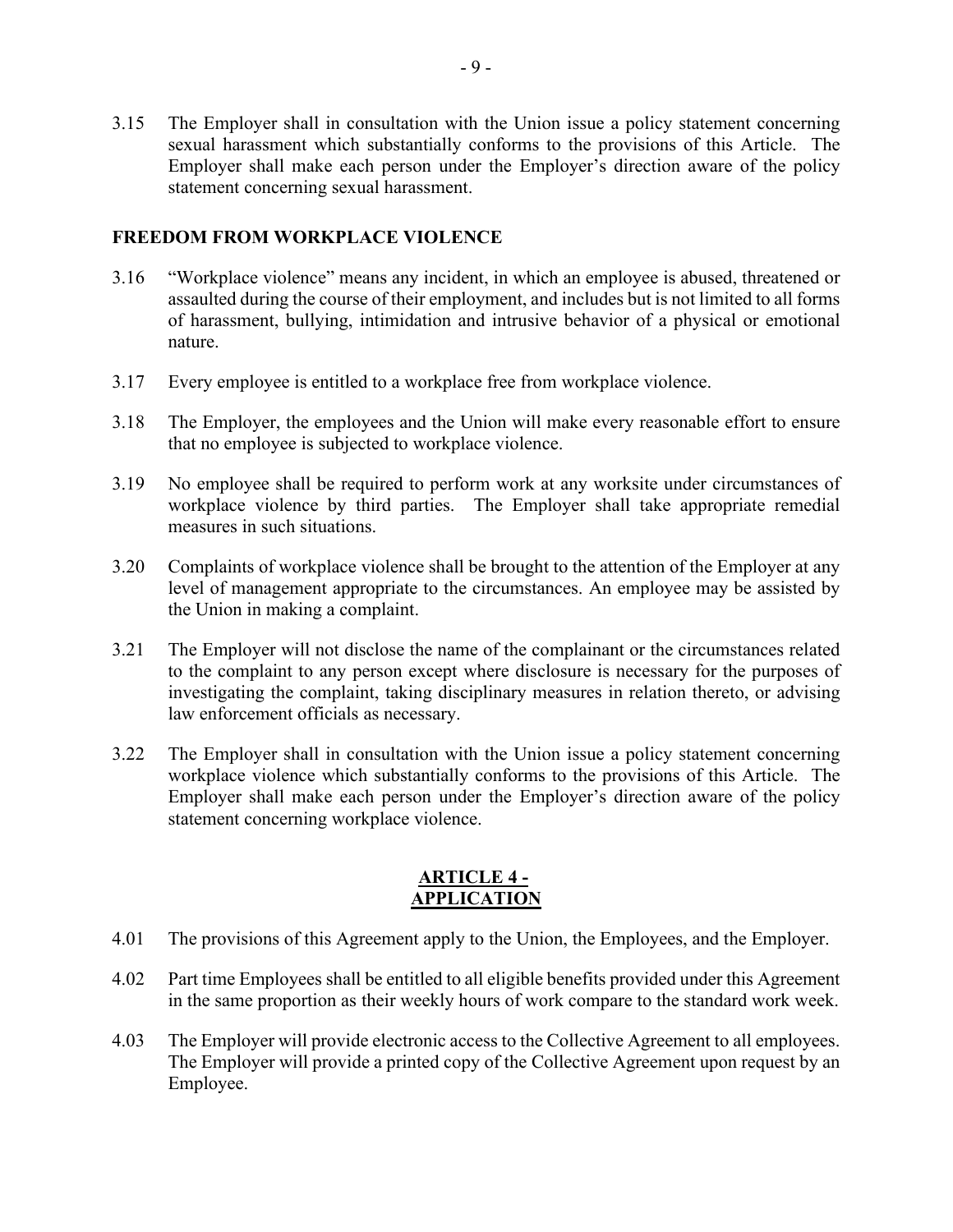3.15 The Employer shall in consultation with the Union issue a policy statement concerning sexual harassment which substantially conforms to the provisions of this Article. The Employer shall make each person under the Employer's direction aware of the policy statement concerning sexual harassment.

#### **FREEDOM FROM WORKPLACE VIOLENCE**

- 3.16 "Workplace violence" means any incident, in which an employee is abused, threatened or assaulted during the course of their employment, and includes but is not limited to all forms of harassment, bullying, intimidation and intrusive behavior of a physical or emotional nature.
- 3.17 Every employee is entitled to a workplace free from workplace violence.
- 3.18 The Employer, the employees and the Union will make every reasonable effort to ensure that no employee is subjected to workplace violence.
- 3.19 No employee shall be required to perform work at any worksite under circumstances of workplace violence by third parties. The Employer shall take appropriate remedial measures in such situations.
- 3.20 Complaints of workplace violence shall be brought to the attention of the Employer at any level of management appropriate to the circumstances. An employee may be assisted by the Union in making a complaint.
- 3.21 The Employer will not disclose the name of the complainant or the circumstances related to the complaint to any person except where disclosure is necessary for the purposes of investigating the complaint, taking disciplinary measures in relation thereto, or advising law enforcement officials as necessary.
- 3.22 The Employer shall in consultation with the Union issue a policy statement concerning workplace violence which substantially conforms to the provisions of this Article. The Employer shall make each person under the Employer's direction aware of the policy statement concerning workplace violence.

# **ARTICLE 4 - APPLICATION**

- <span id="page-8-0"></span>4.01 The provisions of this Agreement apply to the Union, the Employees, and the Employer.
- 4.02 Part time Employees shall be entitled to all eligible benefits provided under this Agreement in the same proportion as their weekly hours of work compare to the standard work week.
- 4.03 The Employer will provide electronic access to the Collective Agreement to all employees. The Employer will provide a printed copy of the Collective Agreement upon request by an Employee.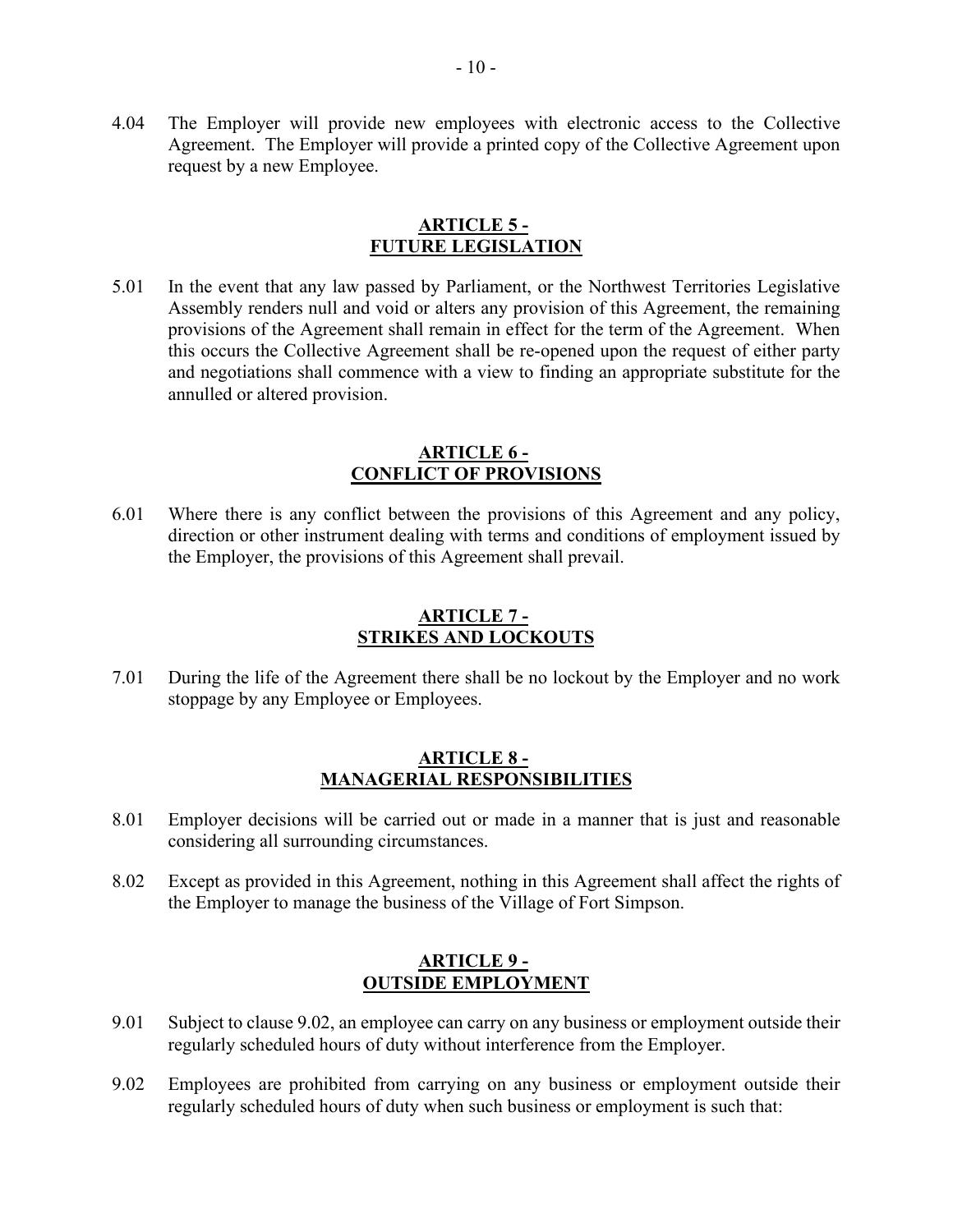4.04 The Employer will provide new employees with electronic access to the Collective Agreement. The Employer will provide a printed copy of the Collective Agreement upon request by a new Employee.

#### **ARTICLE 5 - FUTURE LEGISLATION**

<span id="page-9-0"></span>5.01 In the event that any law passed by Parliament, or the Northwest Territories Legislative Assembly renders null and void or alters any provision of this Agreement, the remaining provisions of the Agreement shall remain in effect for the term of the Agreement. When this occurs the Collective Agreement shall be re-opened upon the request of either party and negotiations shall commence with a view to finding an appropriate substitute for the annulled or altered provision.

#### **ARTICLE 6 - CONFLICT OF PROVISIONS**

<span id="page-9-1"></span>6.01 Where there is any conflict between the provisions of this Agreement and any policy, direction or other instrument dealing with terms and conditions of employment issued by the Employer, the provisions of this Agreement shall prevail.

#### **ARTICLE 7 - STRIKES AND LOCKOUTS**

<span id="page-9-2"></span>7.01 During the life of the Agreement there shall be no lockout by the Employer and no work stoppage by any Employee or Employees.

#### **ARTICLE 8 - MANAGERIAL RESPONSIBILITIES**

- <span id="page-9-3"></span>8.01 Employer decisions will be carried out or made in a manner that is just and reasonable considering all surrounding circumstances.
- 8.02 Except as provided in this Agreement, nothing in this Agreement shall affect the rights of the Employer to manage the business of the Village of Fort Simpson.

#### **ARTICLE 9 - OUTSIDE EMPLOYMENT**

- <span id="page-9-4"></span>9.01 Subject to clause 9.02, an employee can carry on any business or employment outside their regularly scheduled hours of duty without interference from the Employer.
- 9.02 Employees are prohibited from carrying on any business or employment outside their regularly scheduled hours of duty when such business or employment is such that: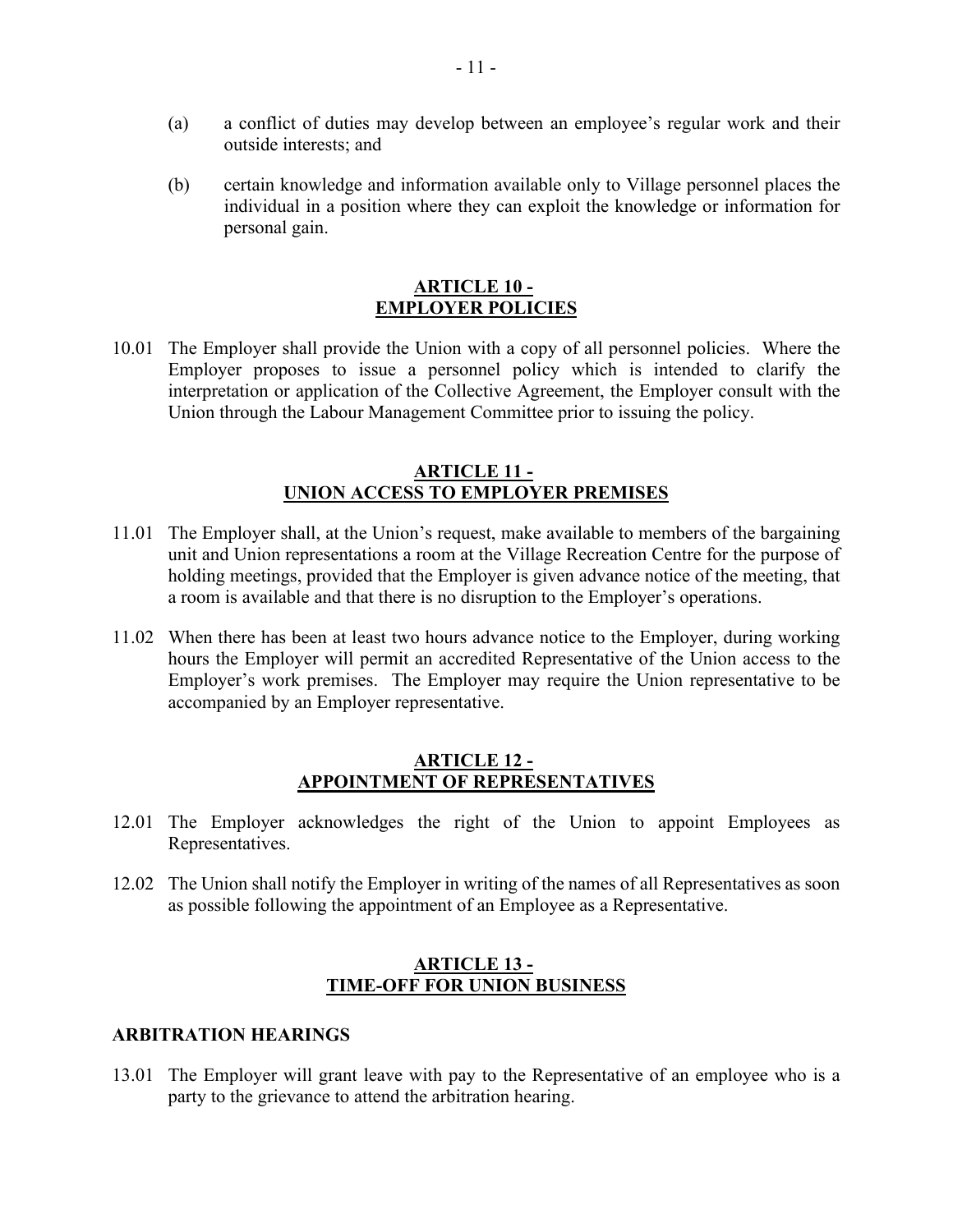- (a) a conflict of duties may develop between an employee's regular work and their outside interests; and
- (b) certain knowledge and information available only to Village personnel places the individual in a position where they can exploit the knowledge or information for personal gain.

#### **ARTICLE 10 - EMPLOYER POLICIES**

<span id="page-10-0"></span>10.01 The Employer shall provide the Union with a copy of all personnel policies. Where the Employer proposes to issue a personnel policy which is intended to clarify the interpretation or application of the Collective Agreement, the Employer consult with the Union through the Labour Management Committee prior to issuing the policy.

#### **ARTICLE 11 - UNION ACCESS TO EMPLOYER PREMISES**

- <span id="page-10-1"></span>11.01 The Employer shall, at the Union's request, make available to members of the bargaining unit and Union representations a room at the Village Recreation Centre for the purpose of holding meetings, provided that the Employer is given advance notice of the meeting, that a room is available and that there is no disruption to the Employer's operations.
- 11.02 When there has been at least two hours advance notice to the Employer, during working hours the Employer will permit an accredited Representative of the Union access to the Employer's work premises. The Employer may require the Union representative to be accompanied by an Employer representative.

#### **ARTICLE 12 - APPOINTMENT OF REPRESENTATIVES**

- <span id="page-10-2"></span>12.01 The Employer acknowledges the right of the Union to appoint Employees as Representatives.
- 12.02 The Union shall notify the Employer in writing of the names of all Representatives as soon as possible following the appointment of an Employee as a Representative.

#### **ARTICLE 13 - TIME-OFF FOR UNION BUSINESS**

#### <span id="page-10-3"></span>**ARBITRATION HEARINGS**

13.01 The Employer will grant leave with pay to the Representative of an employee who is a party to the grievance to attend the arbitration hearing.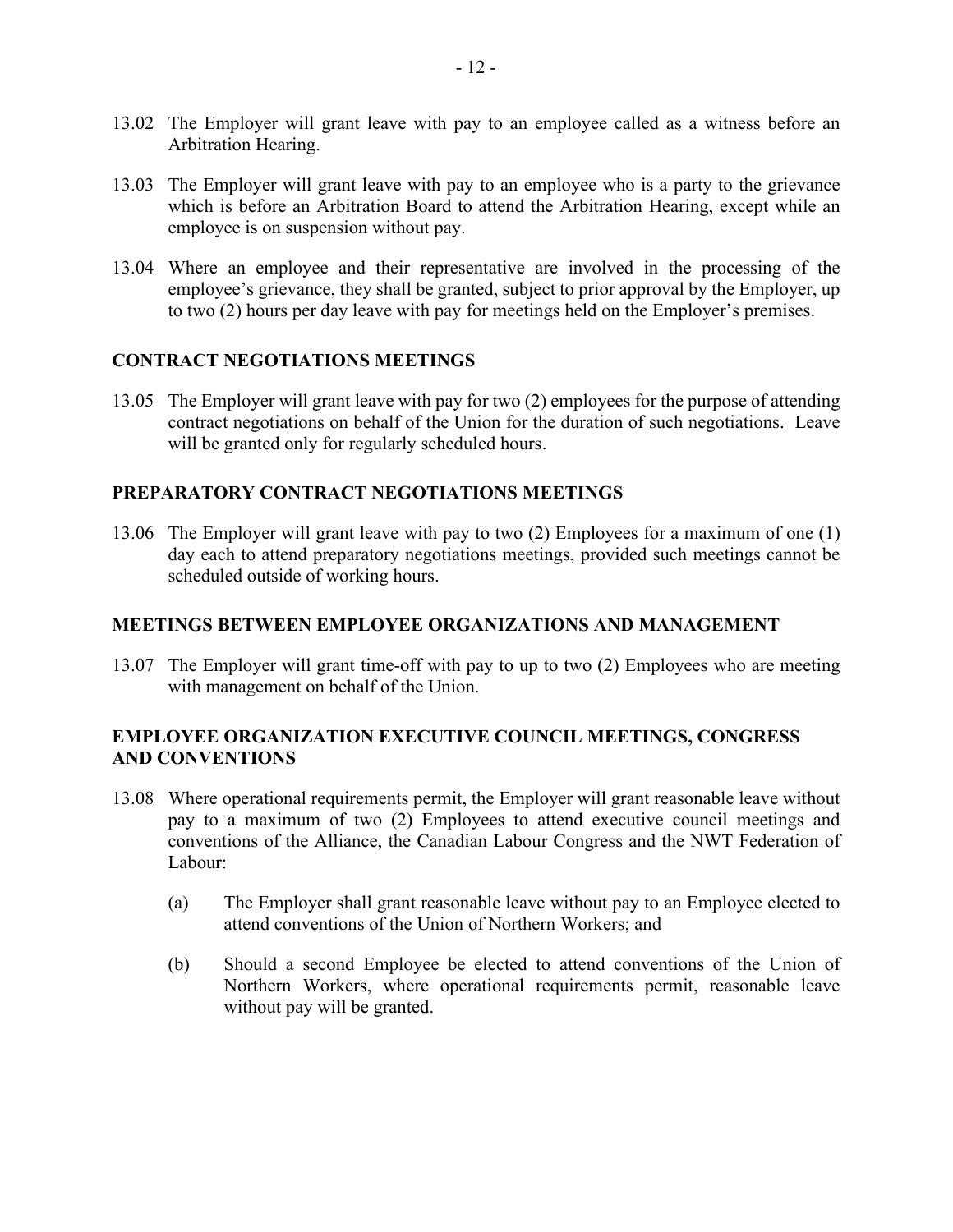- 13.02 The Employer will grant leave with pay to an employee called as a witness before an Arbitration Hearing.
- 13.03 The Employer will grant leave with pay to an employee who is a party to the grievance which is before an Arbitration Board to attend the Arbitration Hearing, except while an employee is on suspension without pay.
- 13.04 Where an employee and their representative are involved in the processing of the employee's grievance, they shall be granted, subject to prior approval by the Employer, up to two (2) hours per day leave with pay for meetings held on the Employer's premises.

#### **CONTRACT NEGOTIATIONS MEETINGS**

13.05 The Employer will grant leave with pay for two (2) employees for the purpose of attending contract negotiations on behalf of the Union for the duration of such negotiations. Leave will be granted only for regularly scheduled hours.

#### **PREPARATORY CONTRACT NEGOTIATIONS MEETINGS**

13.06 The Employer will grant leave with pay to two (2) Employees for a maximum of one (1) day each to attend preparatory negotiations meetings, provided such meetings cannot be scheduled outside of working hours.

#### **MEETINGS BETWEEN EMPLOYEE ORGANIZATIONS AND MANAGEMENT**

13.07 The Employer will grant time-off with pay to up to two (2) Employees who are meeting with management on behalf of the Union.

# **EMPLOYEE ORGANIZATION EXECUTIVE COUNCIL MEETINGS, CONGRESS AND CONVENTIONS**

- 13.08 Where operational requirements permit, the Employer will grant reasonable leave without pay to a maximum of two (2) Employees to attend executive council meetings and conventions of the Alliance, the Canadian Labour Congress and the NWT Federation of Labour:
	- (a) The Employer shall grant reasonable leave without pay to an Employee elected to attend conventions of the Union of Northern Workers; and
	- (b) Should a second Employee be elected to attend conventions of the Union of Northern Workers, where operational requirements permit, reasonable leave without pay will be granted.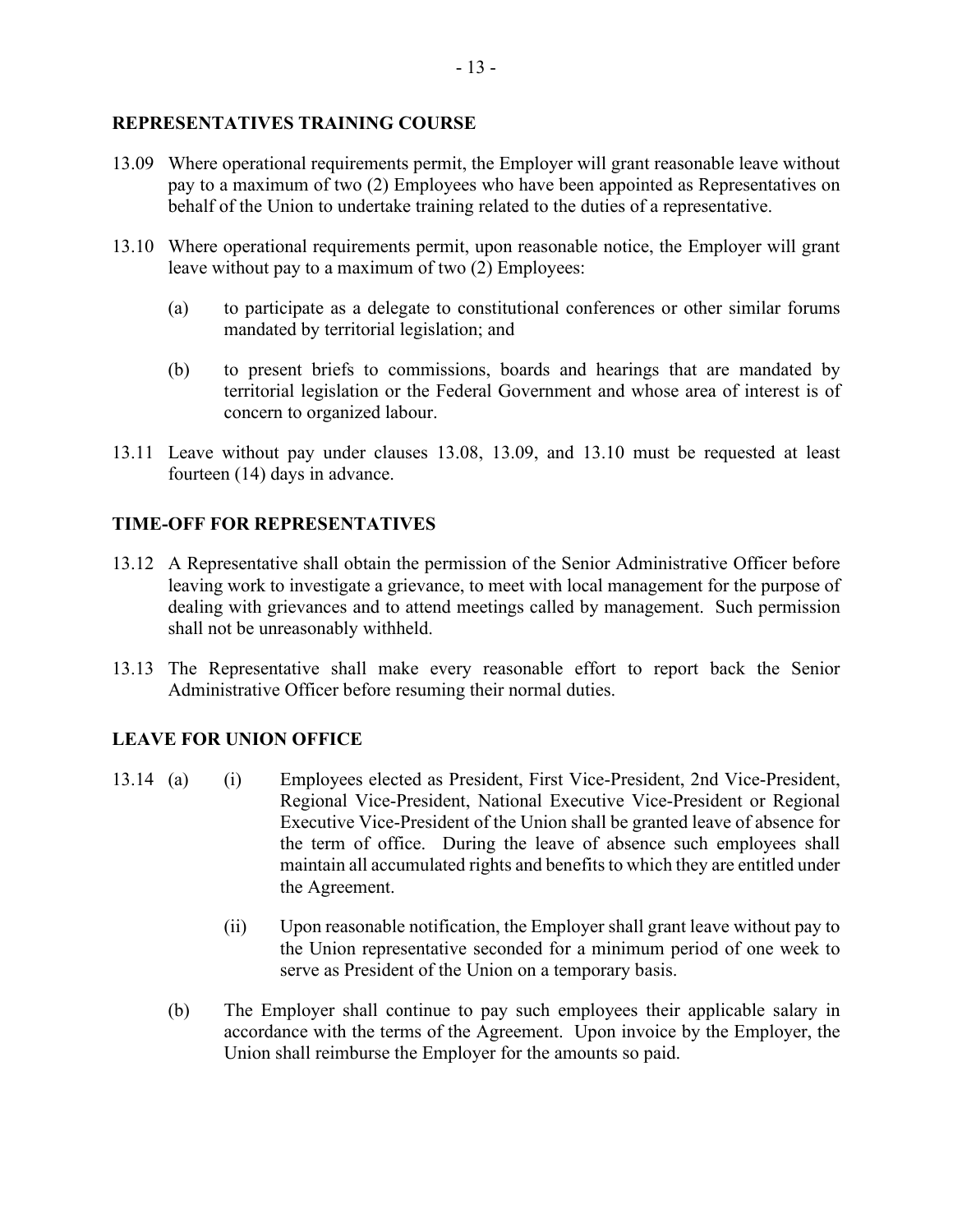#### **REPRESENTATIVES TRAINING COURSE**

- 13.09 Where operational requirements permit, the Employer will grant reasonable leave without pay to a maximum of two (2) Employees who have been appointed as Representatives on behalf of the Union to undertake training related to the duties of a representative.
- 13.10 Where operational requirements permit, upon reasonable notice, the Employer will grant leave without pay to a maximum of two (2) Employees:
	- (a) to participate as a delegate to constitutional conferences or other similar forums mandated by territorial legislation; and
	- (b) to present briefs to commissions, boards and hearings that are mandated by territorial legislation or the Federal Government and whose area of interest is of concern to organized labour.
- 13.11 Leave without pay under clauses 13.08, 13.09, and 13.10 must be requested at least fourteen (14) days in advance.

#### **TIME-OFF FOR REPRESENTATIVES**

- 13.12 A Representative shall obtain the permission of the Senior Administrative Officer before leaving work to investigate a grievance, to meet with local management for the purpose of dealing with grievances and to attend meetings called by management. Such permission shall not be unreasonably withheld.
- 13.13 The Representative shall make every reasonable effort to report back the Senior Administrative Officer before resuming their normal duties.

# **LEAVE FOR UNION OFFICE**

- 13.14 (a) (i) Employees elected as President, First Vice-President, 2nd Vice-President, Regional Vice-President, National Executive Vice-President or Regional Executive Vice-President of the Union shall be granted leave of absence for the term of office. During the leave of absence such employees shall maintain all accumulated rights and benefits to which they are entitled under the Agreement.
	- (ii) Upon reasonable notification, the Employer shall grant leave without pay to the Union representative seconded for a minimum period of one week to serve as President of the Union on a temporary basis.
	- (b) The Employer shall continue to pay such employees their applicable salary in accordance with the terms of the Agreement. Upon invoice by the Employer, the Union shall reimburse the Employer for the amounts so paid.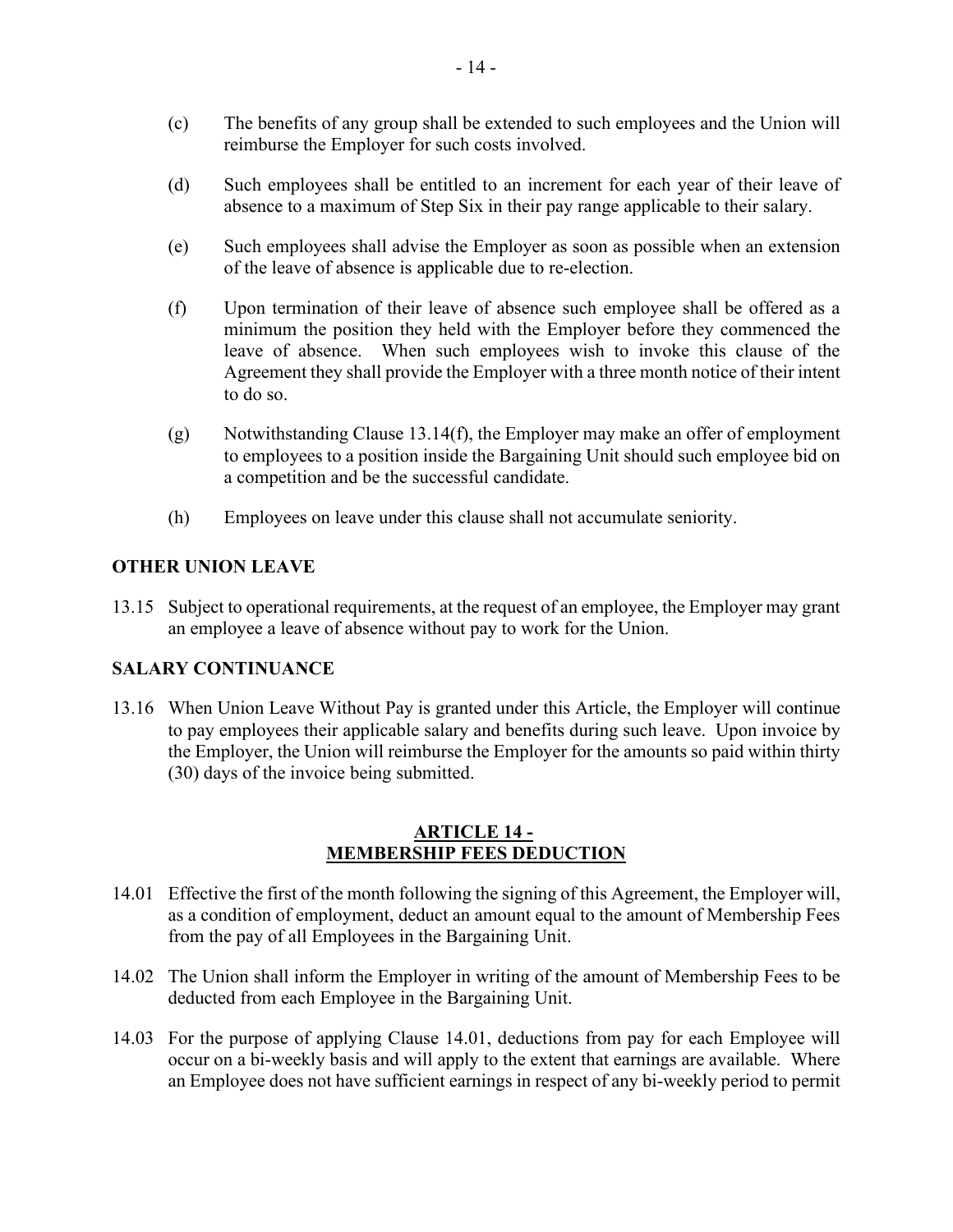- (c) The benefits of any group shall be extended to such employees and the Union will reimburse the Employer for such costs involved.
- (d) Such employees shall be entitled to an increment for each year of their leave of absence to a maximum of Step Six in their pay range applicable to their salary.
- (e) Such employees shall advise the Employer as soon as possible when an extension of the leave of absence is applicable due to re-election.
- (f) Upon termination of their leave of absence such employee shall be offered as a minimum the position they held with the Employer before they commenced the leave of absence. When such employees wish to invoke this clause of the Agreement they shall provide the Employer with a three month notice of their intent to do so.
- (g) Notwithstanding Clause 13.14(f), the Employer may make an offer of employment to employees to a position inside the Bargaining Unit should such employee bid on a competition and be the successful candidate.
- (h) Employees on leave under this clause shall not accumulate seniority.

#### **OTHER UNION LEAVE**

13.15 Subject to operational requirements, at the request of an employee, the Employer may grant an employee a leave of absence without pay to work for the Union.

#### **SALARY CONTINUANCE**

13.16 When Union Leave Without Pay is granted under this Article, the Employer will continue to pay employees their applicable salary and benefits during such leave. Upon invoice by the Employer, the Union will reimburse the Employer for the amounts so paid within thirty (30) days of the invoice being submitted.

#### **ARTICLE 14 - MEMBERSHIP FEES DEDUCTION**

- <span id="page-13-0"></span>14.01 Effective the first of the month following the signing of this Agreement, the Employer will, as a condition of employment, deduct an amount equal to the amount of Membership Fees from the pay of all Employees in the Bargaining Unit.
- 14.02 The Union shall inform the Employer in writing of the amount of Membership Fees to be deducted from each Employee in the Bargaining Unit.
- 14.03 For the purpose of applying Clause 14.01, deductions from pay for each Employee will occur on a bi-weekly basis and will apply to the extent that earnings are available. Where an Employee does not have sufficient earnings in respect of any bi-weekly period to permit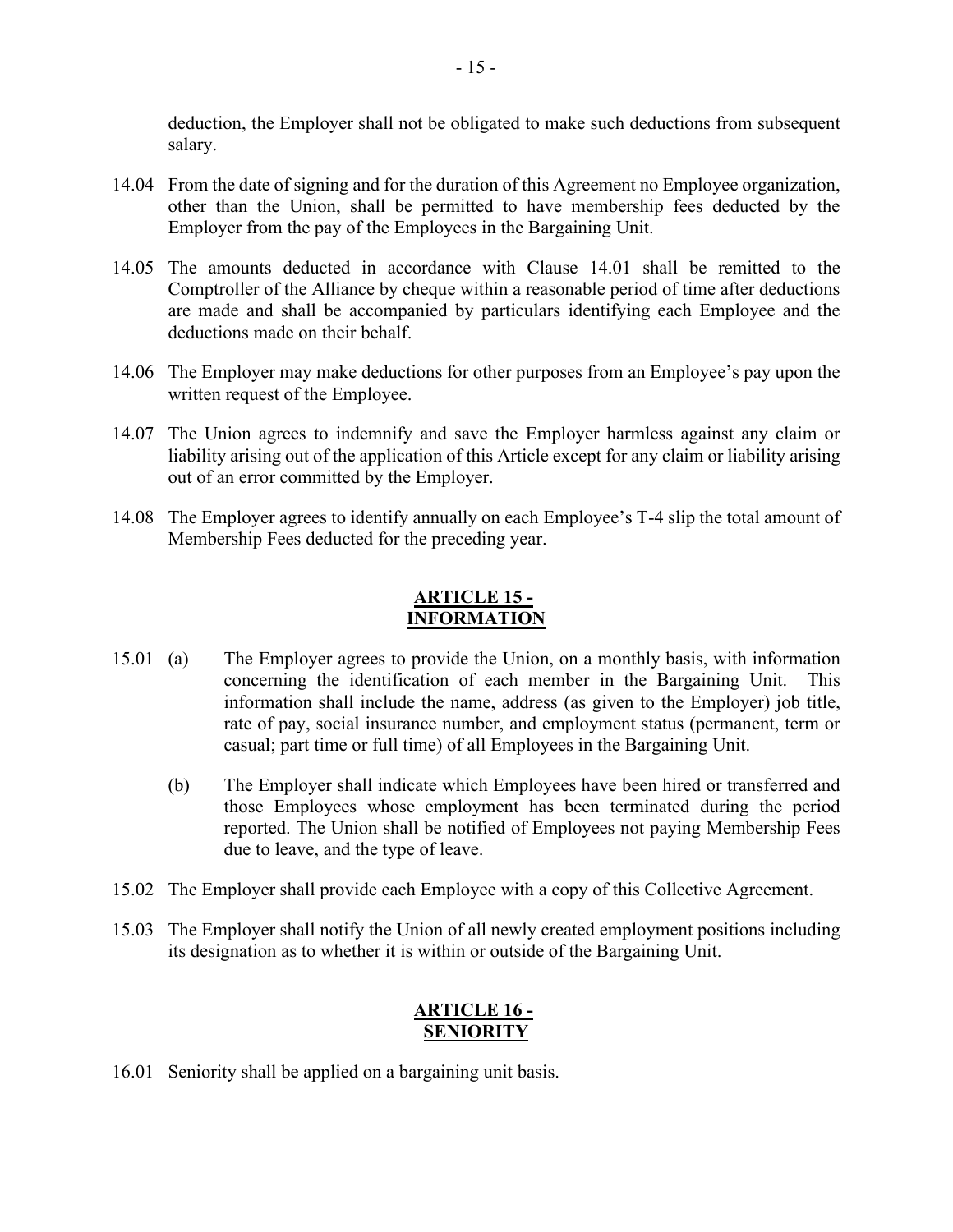deduction, the Employer shall not be obligated to make such deductions from subsequent salary.

- 14.04 From the date of signing and for the duration of this Agreement no Employee organization, other than the Union, shall be permitted to have membership fees deducted by the Employer from the pay of the Employees in the Bargaining Unit.
- 14.05 The amounts deducted in accordance with Clause 14.01 shall be remitted to the Comptroller of the Alliance by cheque within a reasonable period of time after deductions are made and shall be accompanied by particulars identifying each Employee and the deductions made on their behalf.
- 14.06 The Employer may make deductions for other purposes from an Employee's pay upon the written request of the Employee.
- 14.07 The Union agrees to indemnify and save the Employer harmless against any claim or liability arising out of the application of this Article except for any claim or liability arising out of an error committed by the Employer.
- 14.08 The Employer agrees to identify annually on each Employee's T-4 slip the total amount of Membership Fees deducted for the preceding year.

#### **ARTICLE 15 - INFORMATION**

- <span id="page-14-0"></span>15.01 (a) The Employer agrees to provide the Union, on a monthly basis, with information concerning the identification of each member in the Bargaining Unit. This information shall include the name, address (as given to the Employer) job title, rate of pay, social insurance number, and employment status (permanent, term or casual; part time or full time) of all Employees in the Bargaining Unit.
	- (b) The Employer shall indicate which Employees have been hired or transferred and those Employees whose employment has been terminated during the period reported. The Union shall be notified of Employees not paying Membership Fees due to leave, and the type of leave.
- 15.02 The Employer shall provide each Employee with a copy of this Collective Agreement.
- 15.03 The Employer shall notify the Union of all newly created employment positions including its designation as to whether it is within or outside of the Bargaining Unit.

# **ARTICLE 16 - SENIORITY**

<span id="page-14-1"></span>16.01 Seniority shall be applied on a bargaining unit basis.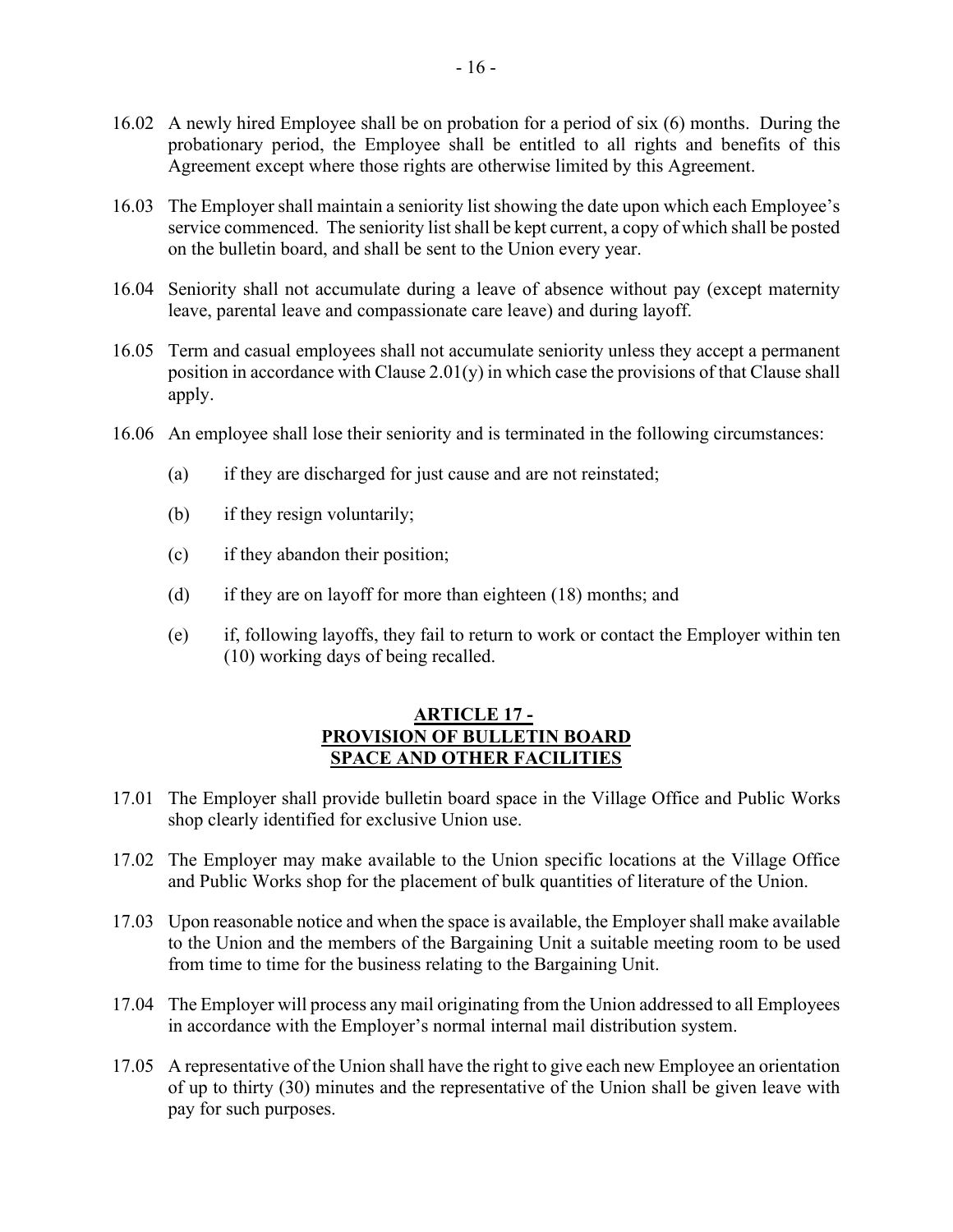- 16.02 A newly hired Employee shall be on probation for a period of six (6) months. During the probationary period, the Employee shall be entitled to all rights and benefits of this Agreement except where those rights are otherwise limited by this Agreement.
- 16.03 The Employer shall maintain a seniority list showing the date upon which each Employee's service commenced. The seniority list shall be kept current, a copy of which shall be posted on the bulletin board, and shall be sent to the Union every year.
- 16.04 Seniority shall not accumulate during a leave of absence without pay (except maternity leave, parental leave and compassionate care leave) and during layoff.
- 16.05 Term and casual employees shall not accumulate seniority unless they accept a permanent position in accordance with Clause 2.01(y) in which case the provisions of that Clause shall apply.
- 16.06 An employee shall lose their seniority and is terminated in the following circumstances:
	- (a) if they are discharged for just cause and are not reinstated;
	- (b) if they resign voluntarily;
	- (c) if they abandon their position;
	- (d) if they are on layoff for more than eighteen (18) months; and
	- (e) if, following layoffs, they fail to return to work or contact the Employer within ten (10) working days of being recalled.

#### **ARTICLE 17 - PROVISION OF BULLETIN BOARD SPACE AND OTHER FACILITIES**

- <span id="page-15-0"></span>17.01 The Employer shall provide bulletin board space in the Village Office and Public Works shop clearly identified for exclusive Union use.
- 17.02 The Employer may make available to the Union specific locations at the Village Office and Public Works shop for the placement of bulk quantities of literature of the Union.
- 17.03 Upon reasonable notice and when the space is available, the Employer shall make available to the Union and the members of the Bargaining Unit a suitable meeting room to be used from time to time for the business relating to the Bargaining Unit.
- 17.04 The Employer will process any mail originating from the Union addressed to all Employees in accordance with the Employer's normal internal mail distribution system.
- 17.05 A representative of the Union shall have the right to give each new Employee an orientation of up to thirty (30) minutes and the representative of the Union shall be given leave with pay for such purposes.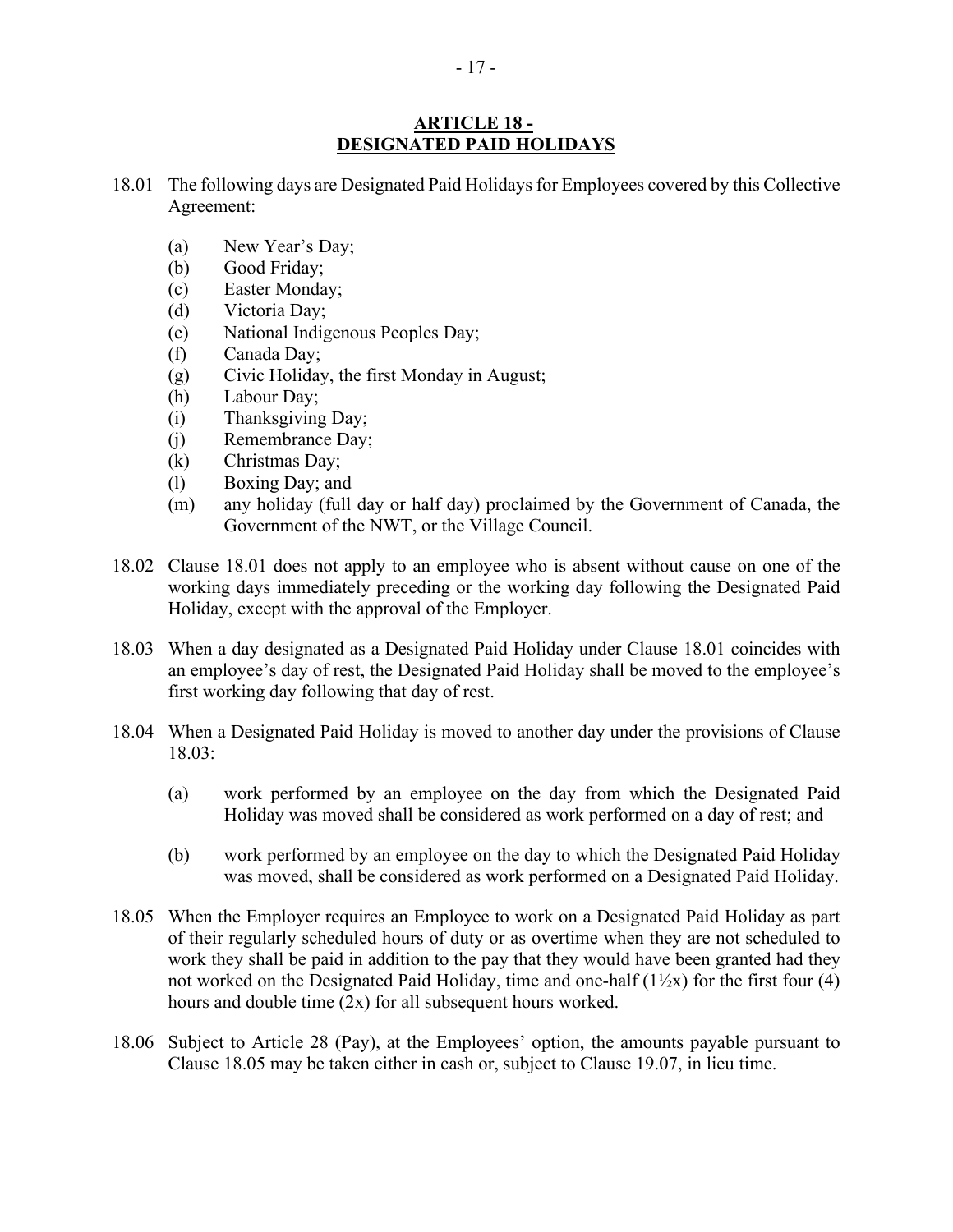#### **ARTICLE 18 - DESIGNATED PAID HOLIDAYS**

- <span id="page-16-0"></span>18.01 The following days are Designated Paid Holidays for Employees covered by this Collective Agreement:
	- (a) New Year's Day;
	- (b) Good Friday;
	- (c) Easter Monday;
	- (d) Victoria Day;
	- (e) National Indigenous Peoples Day;
	- (f) Canada Day;
	- (g) Civic Holiday, the first Monday in August;
	- (h) Labour Day;
	- (i) Thanksgiving Day;
	- (j) Remembrance Day;
	- (k) Christmas Day;
	- (l) Boxing Day; and
	- (m) any holiday (full day or half day) proclaimed by the Government of Canada, the Government of the NWT, or the Village Council.
- 18.02 Clause 18.01 does not apply to an employee who is absent without cause on one of the working days immediately preceding or the working day following the Designated Paid Holiday, except with the approval of the Employer.
- 18.03 When a day designated as a Designated Paid Holiday under Clause 18.01 coincides with an employee's day of rest, the Designated Paid Holiday shall be moved to the employee's first working day following that day of rest.
- 18.04 When a Designated Paid Holiday is moved to another day under the provisions of Clause 18.03:
	- (a) work performed by an employee on the day from which the Designated Paid Holiday was moved shall be considered as work performed on a day of rest; and
	- (b) work performed by an employee on the day to which the Designated Paid Holiday was moved, shall be considered as work performed on a Designated Paid Holiday.
- 18.05 When the Employer requires an Employee to work on a Designated Paid Holiday as part of their regularly scheduled hours of duty or as overtime when they are not scheduled to work they shall be paid in addition to the pay that they would have been granted had they not worked on the Designated Paid Holiday, time and one-half  $(1\frac{1}{2}x)$  for the first four (4) hours and double time (2x) for all subsequent hours worked.
- 18.06 Subject to Article 28 (Pay), at the Employees' option, the amounts payable pursuant to Clause 18.05 may be taken either in cash or, subject to Clause 19.07, in lieu time.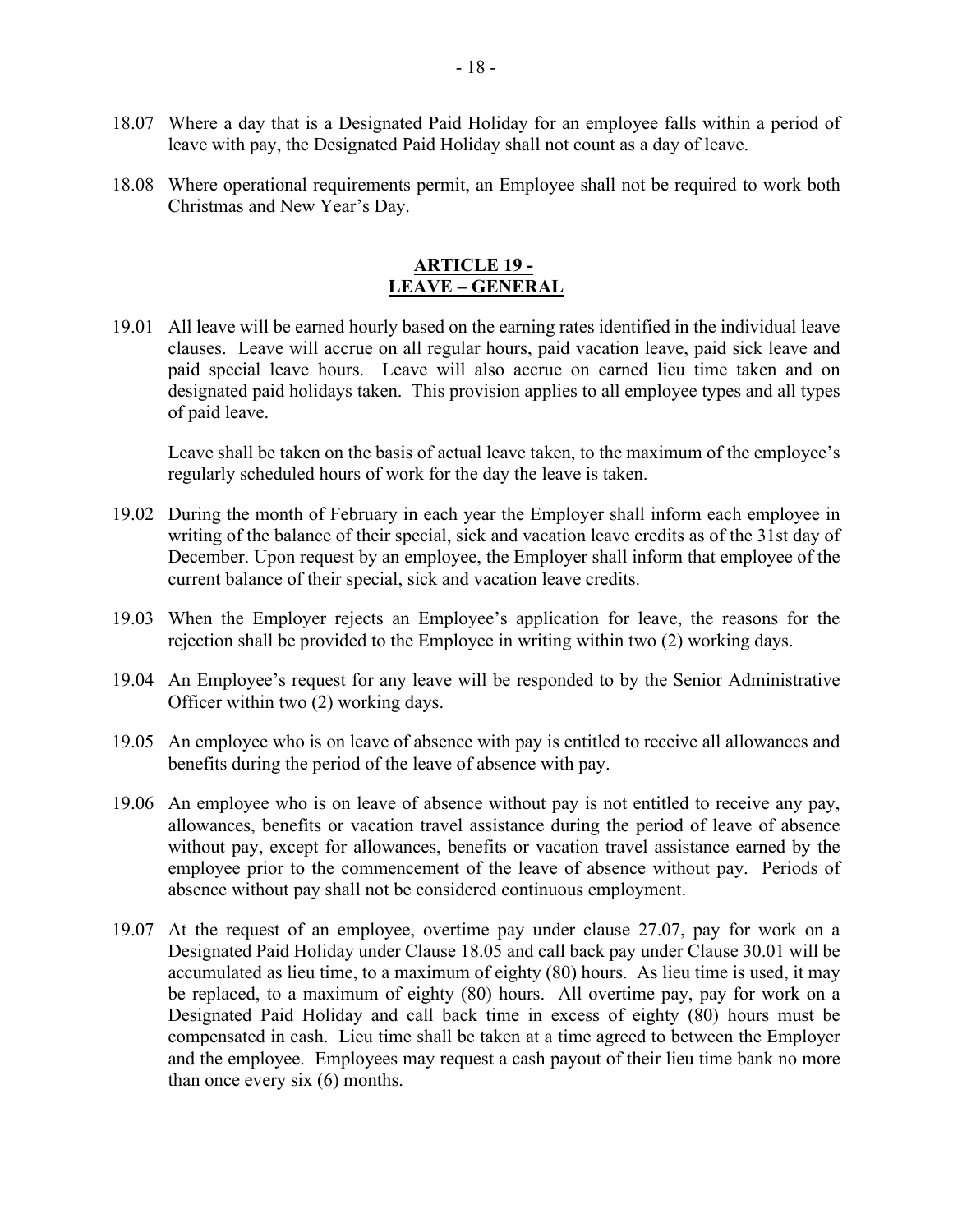- 18.07 Where a day that is a Designated Paid Holiday for an employee falls within a period of leave with pay, the Designated Paid Holiday shall not count as a day of leave.
- 18.08 Where operational requirements permit, an Employee shall not be required to work both Christmas and New Year's Day.

#### **ARTICLE 19 - LEAVE – GENERAL**

<span id="page-17-0"></span>19.01 All leave will be earned hourly based on the earning rates identified in the individual leave clauses. Leave will accrue on all regular hours, paid vacation leave, paid sick leave and paid special leave hours. Leave will also accrue on earned lieu time taken and on designated paid holidays taken. This provision applies to all employee types and all types of paid leave.

Leave shall be taken on the basis of actual leave taken, to the maximum of the employee's regularly scheduled hours of work for the day the leave is taken.

- 19.02 During the month of February in each year the Employer shall inform each employee in writing of the balance of their special, sick and vacation leave credits as of the 31st day of December. Upon request by an employee, the Employer shall inform that employee of the current balance of their special, sick and vacation leave credits.
- 19.03 When the Employer rejects an Employee's application for leave, the reasons for the rejection shall be provided to the Employee in writing within two (2) working days.
- 19.04 An Employee's request for any leave will be responded to by the Senior Administrative Officer within two (2) working days.
- 19.05 An employee who is on leave of absence with pay is entitled to receive all allowances and benefits during the period of the leave of absence with pay.
- 19.06 An employee who is on leave of absence without pay is not entitled to receive any pay, allowances, benefits or vacation travel assistance during the period of leave of absence without pay, except for allowances, benefits or vacation travel assistance earned by the employee prior to the commencement of the leave of absence without pay. Periods of absence without pay shall not be considered continuous employment.
- 19.07 At the request of an employee, overtime pay under clause 27.07, pay for work on a Designated Paid Holiday under Clause 18.05 and call back pay under Clause 30.01 will be accumulated as lieu time, to a maximum of eighty (80) hours. As lieu time is used, it may be replaced, to a maximum of eighty (80) hours. All overtime pay, pay for work on a Designated Paid Holiday and call back time in excess of eighty (80) hours must be compensated in cash. Lieu time shall be taken at a time agreed to between the Employer and the employee. Employees may request a cash payout of their lieu time bank no more than once every six (6) months.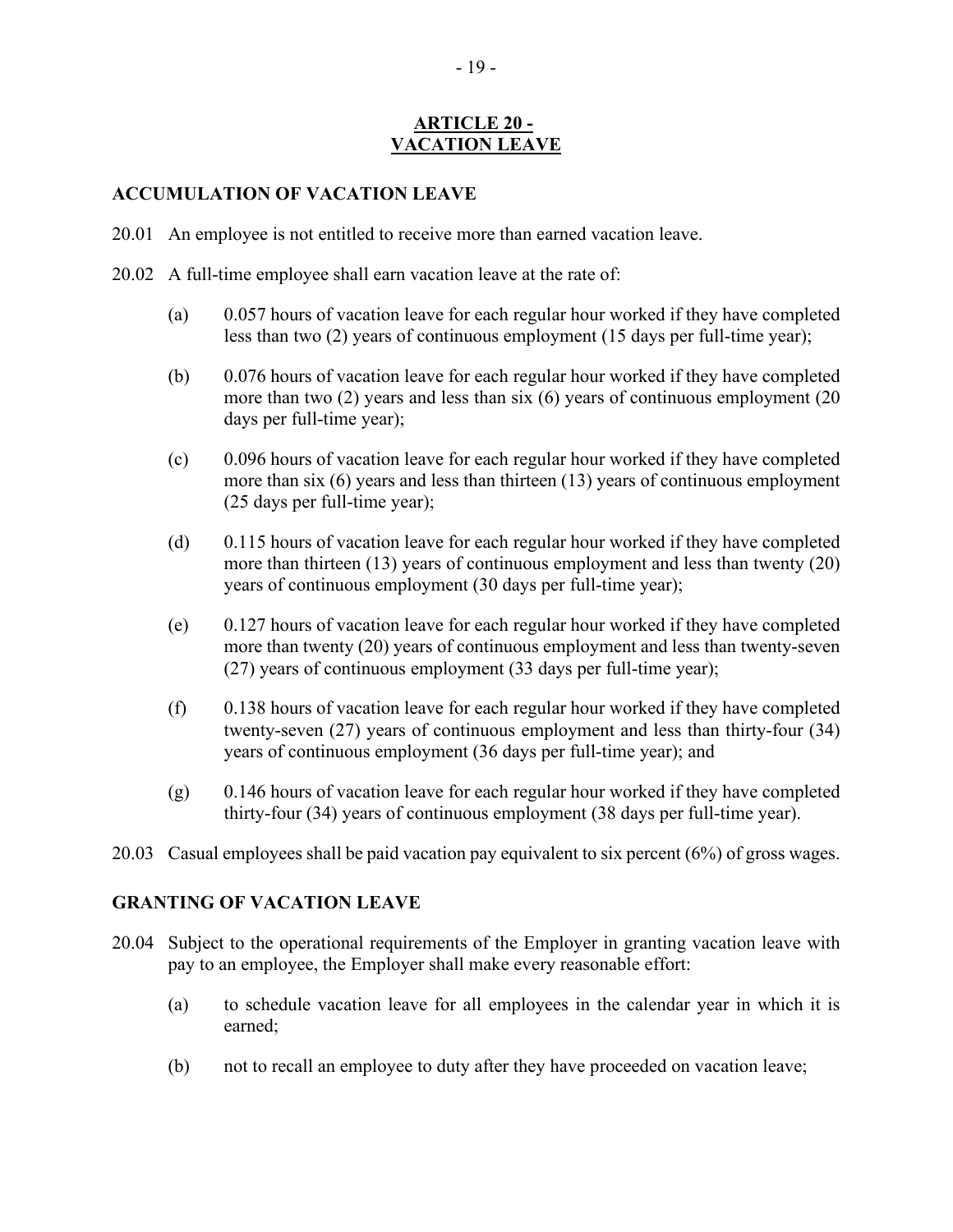## **ARTICLE 20 - VACATION LEAVE**

## <span id="page-18-0"></span>**ACCUMULATION OF VACATION LEAVE**

- 20.01 An employee is not entitled to receive more than earned vacation leave.
- 20.02 A full-time employee shall earn vacation leave at the rate of:
	- (a) 0.057 hours of vacation leave for each regular hour worked if they have completed less than two (2) years of continuous employment (15 days per full-time year);
	- (b) 0.076 hours of vacation leave for each regular hour worked if they have completed more than two (2) years and less than six (6) years of continuous employment (20 days per full-time year);
	- (c) 0.096 hours of vacation leave for each regular hour worked if they have completed more than six (6) years and less than thirteen (13) years of continuous employment (25 days per full-time year);
	- (d) 0.115 hours of vacation leave for each regular hour worked if they have completed more than thirteen (13) years of continuous employment and less than twenty (20) years of continuous employment (30 days per full-time year);
	- (e) 0.127 hours of vacation leave for each regular hour worked if they have completed more than twenty (20) years of continuous employment and less than twenty-seven (27) years of continuous employment (33 days per full-time year);
	- (f) 0.138 hours of vacation leave for each regular hour worked if they have completed twenty-seven (27) years of continuous employment and less than thirty-four (34) years of continuous employment (36 days per full-time year); and
	- (g) 0.146 hours of vacation leave for each regular hour worked if they have completed thirty-four (34) years of continuous employment (38 days per full-time year).
- 20.03 Casual employees shall be paid vacation pay equivalent to six percent (6%) of gross wages.

#### **GRANTING OF VACATION LEAVE**

- 20.04 Subject to the operational requirements of the Employer in granting vacation leave with pay to an employee, the Employer shall make every reasonable effort:
	- (a) to schedule vacation leave for all employees in the calendar year in which it is earned;
	- (b) not to recall an employee to duty after they have proceeded on vacation leave;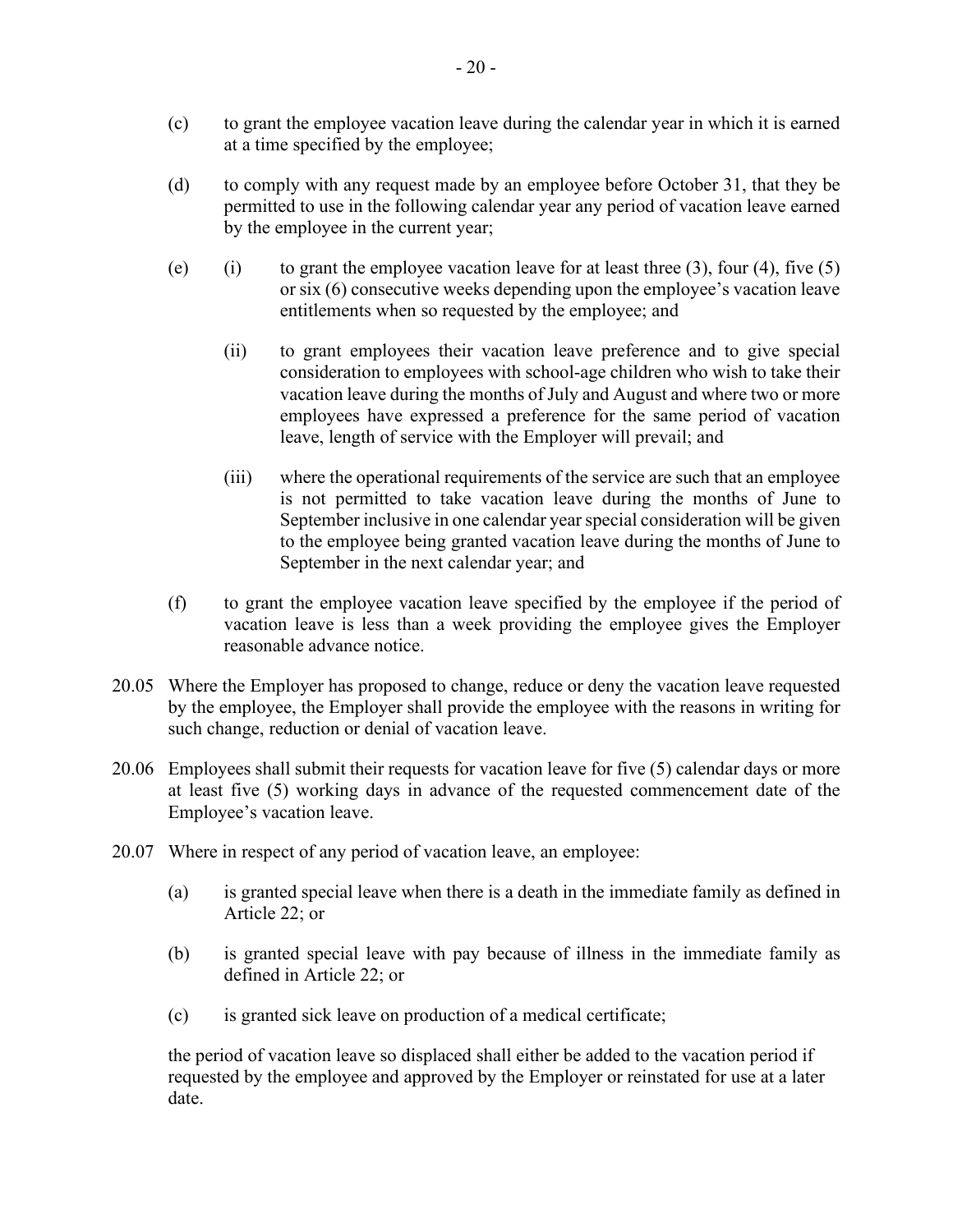- (c) to grant the employee vacation leave during the calendar year in which it is earned at a time specified by the employee;
- (d) to comply with any request made by an employee before October 31, that they be permitted to use in the following calendar year any period of vacation leave earned by the employee in the current year;
- (e) (i) to grant the employee vacation leave for at least three  $(3)$ , four  $(4)$ , five  $(5)$ or six (6) consecutive weeks depending upon the employee's vacation leave entitlements when so requested by the employee; and
	- (ii) to grant employees their vacation leave preference and to give special consideration to employees with school-age children who wish to take their vacation leave during the months of July and August and where two or more employees have expressed a preference for the same period of vacation leave, length of service with the Employer will prevail; and
	- (iii) where the operational requirements of the service are such that an employee is not permitted to take vacation leave during the months of June to September inclusive in one calendar year special consideration will be given to the employee being granted vacation leave during the months of June to September in the next calendar year; and
- (f) to grant the employee vacation leave specified by the employee if the period of vacation leave is less than a week providing the employee gives the Employer reasonable advance notice.
- 20.05 Where the Employer has proposed to change, reduce or deny the vacation leave requested by the employee, the Employer shall provide the employee with the reasons in writing for such change, reduction or denial of vacation leave.
- 20.06 Employees shall submit their requests for vacation leave for five (5) calendar days or more at least five (5) working days in advance of the requested commencement date of the Employee's vacation leave.
- 20.07 Where in respect of any period of vacation leave, an employee:
	- (a) is granted special leave when there is a death in the immediate family as defined in Article 22; or
	- (b) is granted special leave with pay because of illness in the immediate family as defined in Article 22; or
	- (c) is granted sick leave on production of a medical certificate;

the period of vacation leave so displaced shall either be added to the vacation period if requested by the employee and approved by the Employer or reinstated for use at a later date.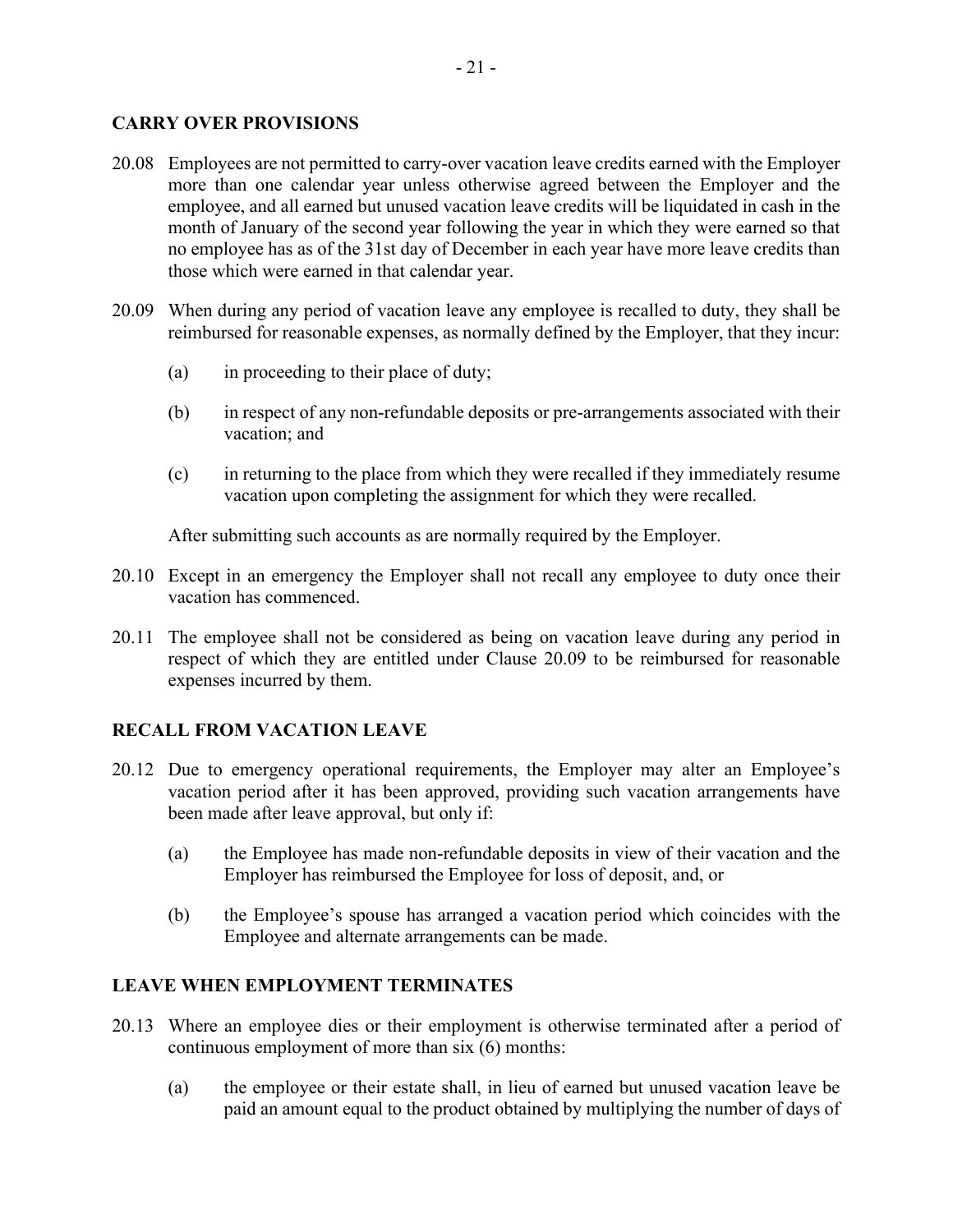#### **CARRY OVER PROVISIONS**

- 20.08 Employees are not permitted to carry-over vacation leave credits earned with the Employer more than one calendar year unless otherwise agreed between the Employer and the employee, and all earned but unused vacation leave credits will be liquidated in cash in the month of January of the second year following the year in which they were earned so that no employee has as of the 31st day of December in each year have more leave credits than those which were earned in that calendar year.
- 20.09 When during any period of vacation leave any employee is recalled to duty, they shall be reimbursed for reasonable expenses, as normally defined by the Employer, that they incur:
	- (a) in proceeding to their place of duty;
	- (b) in respect of any non-refundable deposits or pre-arrangements associated with their vacation; and
	- (c) in returning to the place from which they were recalled if they immediately resume vacation upon completing the assignment for which they were recalled.

After submitting such accounts as are normally required by the Employer.

- 20.10 Except in an emergency the Employer shall not recall any employee to duty once their vacation has commenced.
- 20.11 The employee shall not be considered as being on vacation leave during any period in respect of which they are entitled under Clause 20.09 to be reimbursed for reasonable expenses incurred by them.

#### **RECALL FROM VACATION LEAVE**

- 20.12 Due to emergency operational requirements, the Employer may alter an Employee's vacation period after it has been approved, providing such vacation arrangements have been made after leave approval, but only if:
	- (a) the Employee has made non-refundable deposits in view of their vacation and the Employer has reimbursed the Employee for loss of deposit, and, or
	- (b) the Employee's spouse has arranged a vacation period which coincides with the Employee and alternate arrangements can be made.

#### **LEAVE WHEN EMPLOYMENT TERMINATES**

- 20.13 Where an employee dies or their employment is otherwise terminated after a period of continuous employment of more than six (6) months:
	- (a) the employee or their estate shall, in lieu of earned but unused vacation leave be paid an amount equal to the product obtained by multiplying the number of days of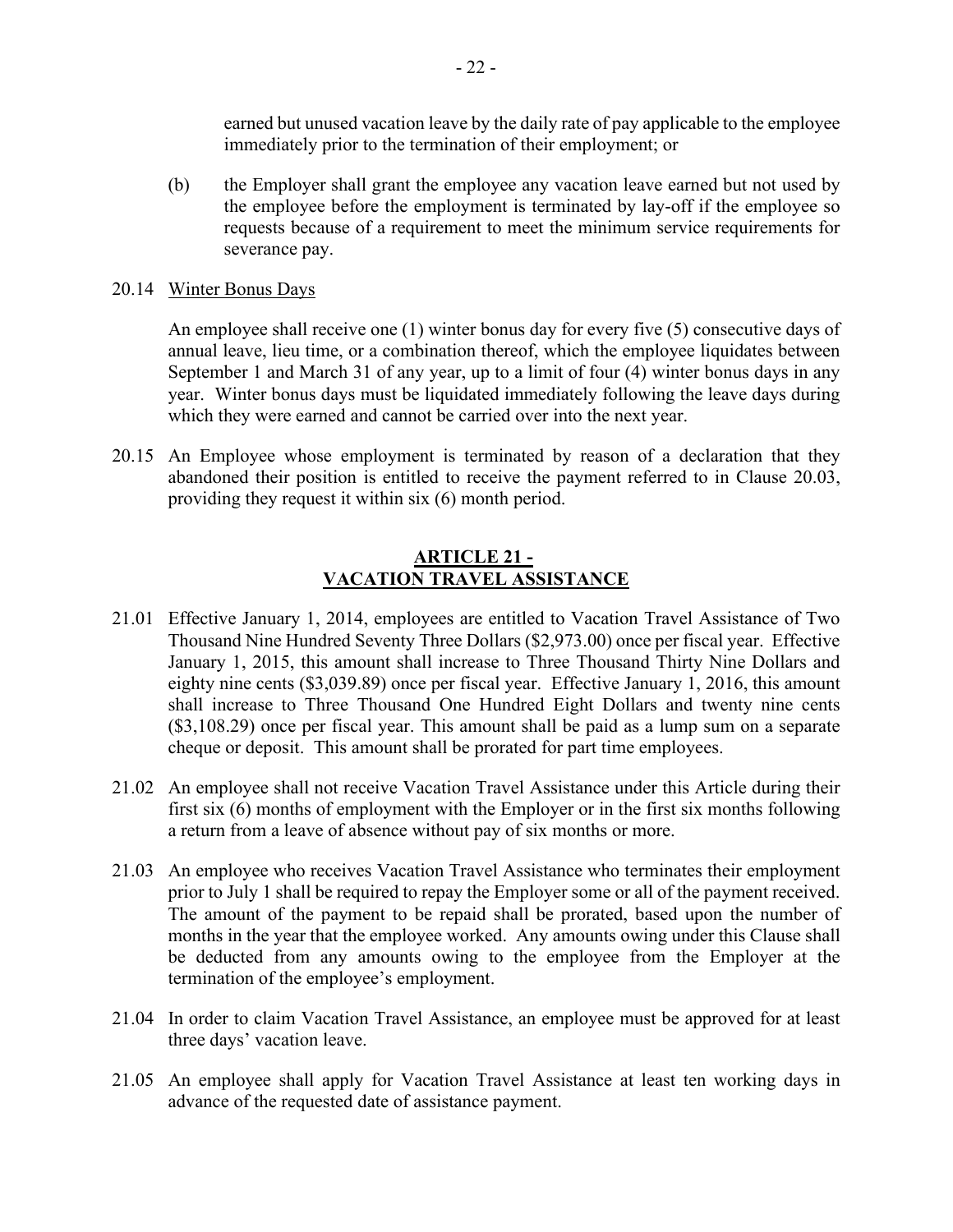earned but unused vacation leave by the daily rate of pay applicable to the employee immediately prior to the termination of their employment; or

(b) the Employer shall grant the employee any vacation leave earned but not used by the employee before the employment is terminated by lay-off if the employee so requests because of a requirement to meet the minimum service requirements for severance pay.

#### 20.14 Winter Bonus Days

An employee shall receive one (1) winter bonus day for every five (5) consecutive days of annual leave, lieu time, or a combination thereof, which the employee liquidates between September 1 and March 31 of any year, up to a limit of four (4) winter bonus days in any year. Winter bonus days must be liquidated immediately following the leave days during which they were earned and cannot be carried over into the next year.

20.15 An Employee whose employment is terminated by reason of a declaration that they abandoned their position is entitled to receive the payment referred to in Clause 20.03, providing they request it within six (6) month period.

#### **ARTICLE 21 - VACATION TRAVEL ASSISTANCE**

- <span id="page-21-0"></span>21.01 Effective January 1, 2014, employees are entitled to Vacation Travel Assistance of Two Thousand Nine Hundred Seventy Three Dollars (\$2,973.00) once per fiscal year. Effective January 1, 2015, this amount shall increase to Three Thousand Thirty Nine Dollars and eighty nine cents (\$3,039.89) once per fiscal year. Effective January 1, 2016, this amount shall increase to Three Thousand One Hundred Eight Dollars and twenty nine cents (\$3,108.29) once per fiscal year. This amount shall be paid as a lump sum on a separate cheque or deposit. This amount shall be prorated for part time employees.
- 21.02 An employee shall not receive Vacation Travel Assistance under this Article during their first six (6) months of employment with the Employer or in the first six months following a return from a leave of absence without pay of six months or more.
- 21.03 An employee who receives Vacation Travel Assistance who terminates their employment prior to July 1 shall be required to repay the Employer some or all of the payment received. The amount of the payment to be repaid shall be prorated, based upon the number of months in the year that the employee worked. Any amounts owing under this Clause shall be deducted from any amounts owing to the employee from the Employer at the termination of the employee's employment.
- 21.04 In order to claim Vacation Travel Assistance, an employee must be approved for at least three days' vacation leave.
- 21.05 An employee shall apply for Vacation Travel Assistance at least ten working days in advance of the requested date of assistance payment.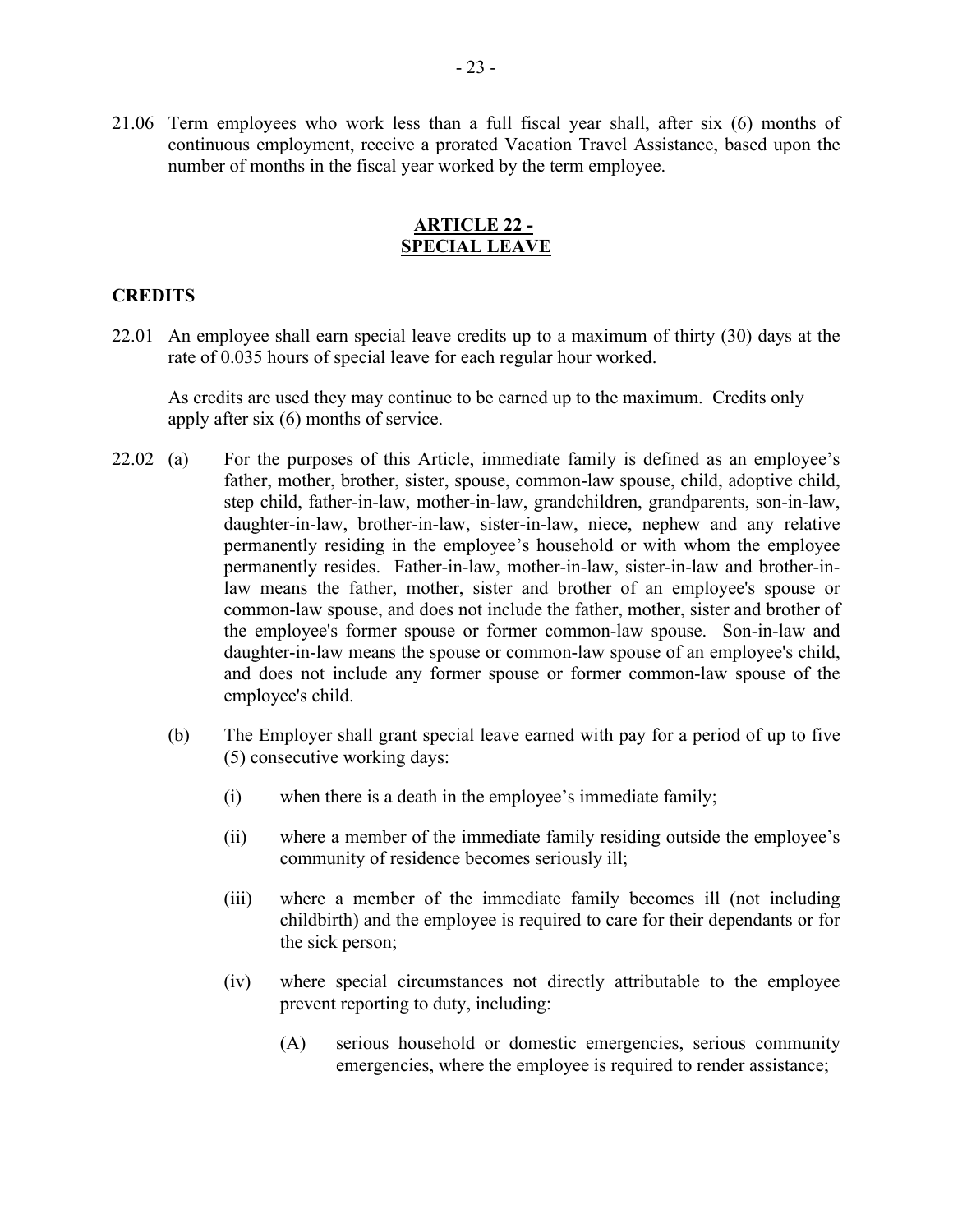21.06 Term employees who work less than a full fiscal year shall, after six (6) months of continuous employment, receive a prorated Vacation Travel Assistance, based upon the number of months in the fiscal year worked by the term employee.

#### **ARTICLE 22 - SPECIAL LEAVE**

#### <span id="page-22-0"></span>**CREDITS**

22.01 An employee shall earn special leave credits up to a maximum of thirty (30) days at the rate of 0.035 hours of special leave for each regular hour worked.

As credits are used they may continue to be earned up to the maximum. Credits only apply after six (6) months of service.

- 22.02 (a) For the purposes of this Article, immediate family is defined as an employee's father, mother, brother, sister, spouse, common-law spouse, child, adoptive child, step child, father-in-law, mother-in-law, grandchildren, grandparents, son-in-law, daughter-in-law, brother-in-law, sister-in-law, niece, nephew and any relative permanently residing in the employee's household or with whom the employee permanently resides. Father-in-law, mother-in-law, sister-in-law and brother-inlaw means the father, mother, sister and brother of an employee's spouse or common-law spouse, and does not include the father, mother, sister and brother of the employee's former spouse or former common-law spouse. Son-in-law and daughter-in-law means the spouse or common-law spouse of an employee's child, and does not include any former spouse or former common-law spouse of the employee's child.
	- (b) The Employer shall grant special leave earned with pay for a period of up to five (5) consecutive working days:
		- (i) when there is a death in the employee's immediate family;
		- (ii) where a member of the immediate family residing outside the employee's community of residence becomes seriously ill;
		- (iii) where a member of the immediate family becomes ill (not including childbirth) and the employee is required to care for their dependants or for the sick person;
		- (iv) where special circumstances not directly attributable to the employee prevent reporting to duty, including:
			- (A) serious household or domestic emergencies, serious community emergencies, where the employee is required to render assistance;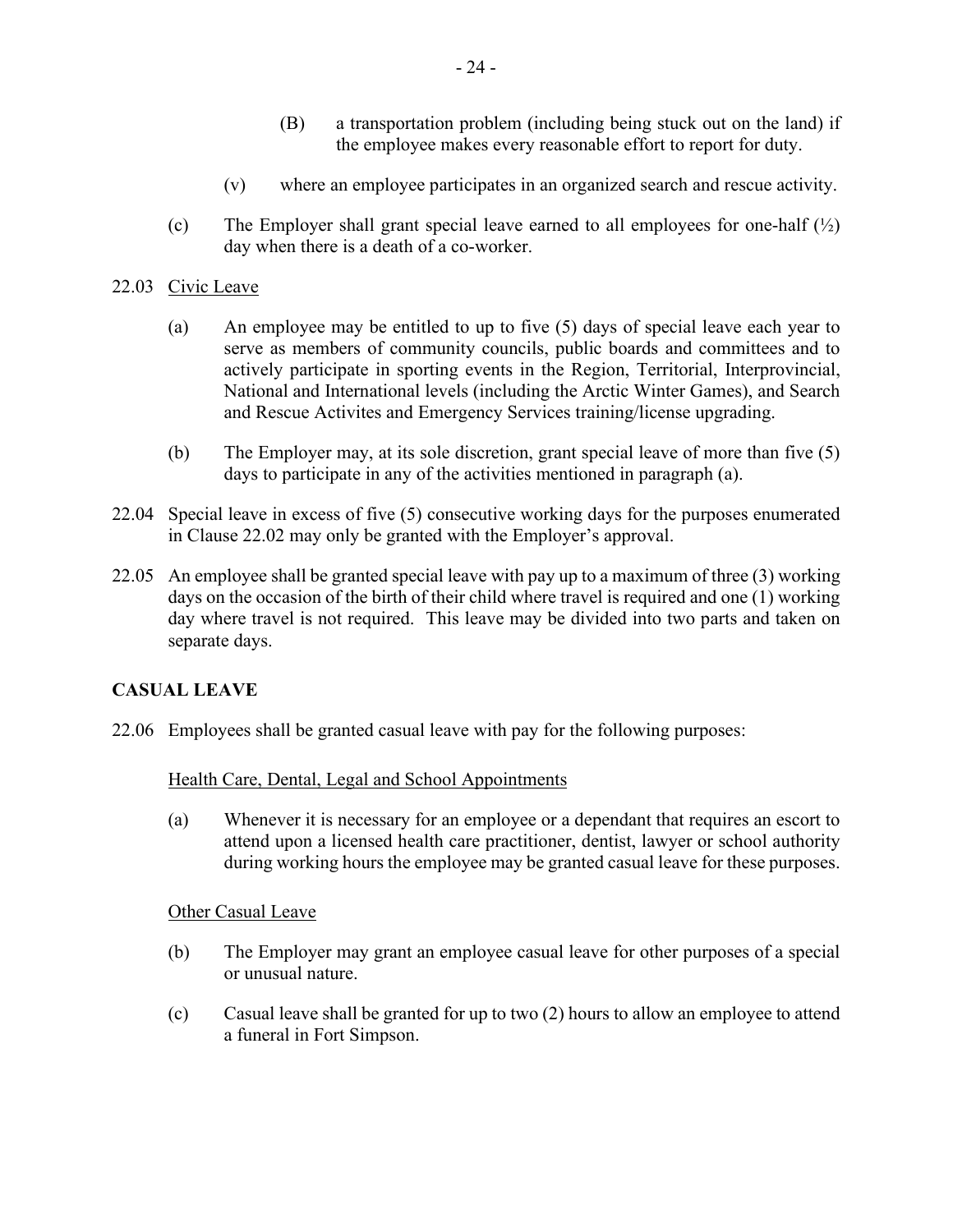- (B) a transportation problem (including being stuck out on the land) if the employee makes every reasonable effort to report for duty.
- (v) where an employee participates in an organized search and rescue activity.
- (c) The Employer shall grant special leave earned to all employees for one-half  $\binom{1}{2}$ day when there is a death of a co-worker.

#### 22.03 Civic Leave

- (a) An employee may be entitled to up to five (5) days of special leave each year to serve as members of community councils, public boards and committees and to actively participate in sporting events in the Region, Territorial, Interprovincial, National and International levels (including the Arctic Winter Games), and Search and Rescue Activites and Emergency Services training/license upgrading.
- (b) The Employer may, at its sole discretion, grant special leave of more than five (5) days to participate in any of the activities mentioned in paragraph (a).
- 22.04 Special leave in excess of five (5) consecutive working days for the purposes enumerated in Clause 22.02 may only be granted with the Employer's approval.
- 22.05 An employee shall be granted special leave with pay up to a maximum of three (3) working days on the occasion of the birth of their child where travel is required and one (1) working day where travel is not required. This leave may be divided into two parts and taken on separate days.

# **CASUAL LEAVE**

22.06 Employees shall be granted casual leave with pay for the following purposes:

#### Health Care, Dental, Legal and School Appointments

(a) Whenever it is necessary for an employee or a dependant that requires an escort to attend upon a licensed health care practitioner, dentist, lawyer or school authority during working hours the employee may be granted casual leave for these purposes.

#### Other Casual Leave

- (b) The Employer may grant an employee casual leave for other purposes of a special or unusual nature.
- (c) Casual leave shall be granted for up to two (2) hours to allow an employee to attend a funeral in Fort Simpson.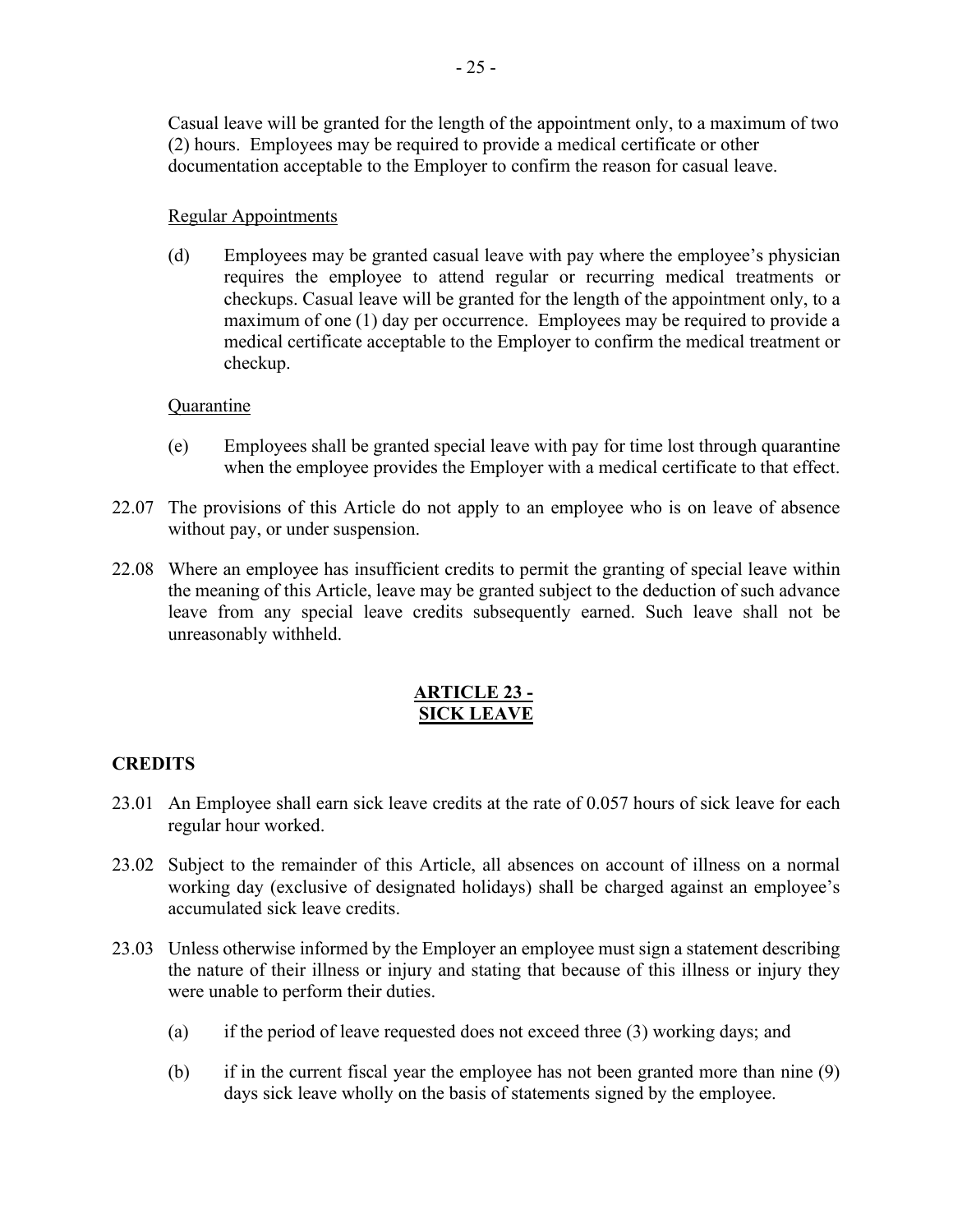Casual leave will be granted for the length of the appointment only, to a maximum of two (2) hours. Employees may be required to provide a medical certificate or other documentation acceptable to the Employer to confirm the reason for casual leave.

#### Regular Appointments

(d) Employees may be granted casual leave with pay where the employee's physician requires the employee to attend regular or recurring medical treatments or checkups. Casual leave will be granted for the length of the appointment only, to a maximum of one (1) day per occurrence. Employees may be required to provide a medical certificate acceptable to the Employer to confirm the medical treatment or checkup.

#### **Ouarantine**

- (e) Employees shall be granted special leave with pay for time lost through quarantine when the employee provides the Employer with a medical certificate to that effect.
- 22.07 The provisions of this Article do not apply to an employee who is on leave of absence without pay, or under suspension.
- 22.08 Where an employee has insufficient credits to permit the granting of special leave within the meaning of this Article, leave may be granted subject to the deduction of such advance leave from any special leave credits subsequently earned. Such leave shall not be unreasonably withheld.

#### **ARTICLE 23 - SICK LEAVE**

# <span id="page-24-0"></span>**CREDITS**

- 23.01 An Employee shall earn sick leave credits at the rate of 0.057 hours of sick leave for each regular hour worked.
- 23.02 Subject to the remainder of this Article, all absences on account of illness on a normal working day (exclusive of designated holidays) shall be charged against an employee's accumulated sick leave credits.
- 23.03 Unless otherwise informed by the Employer an employee must sign a statement describing the nature of their illness or injury and stating that because of this illness or injury they were unable to perform their duties.
	- (a) if the period of leave requested does not exceed three (3) working days; and
	- (b) if in the current fiscal year the employee has not been granted more than nine (9) days sick leave wholly on the basis of statements signed by the employee.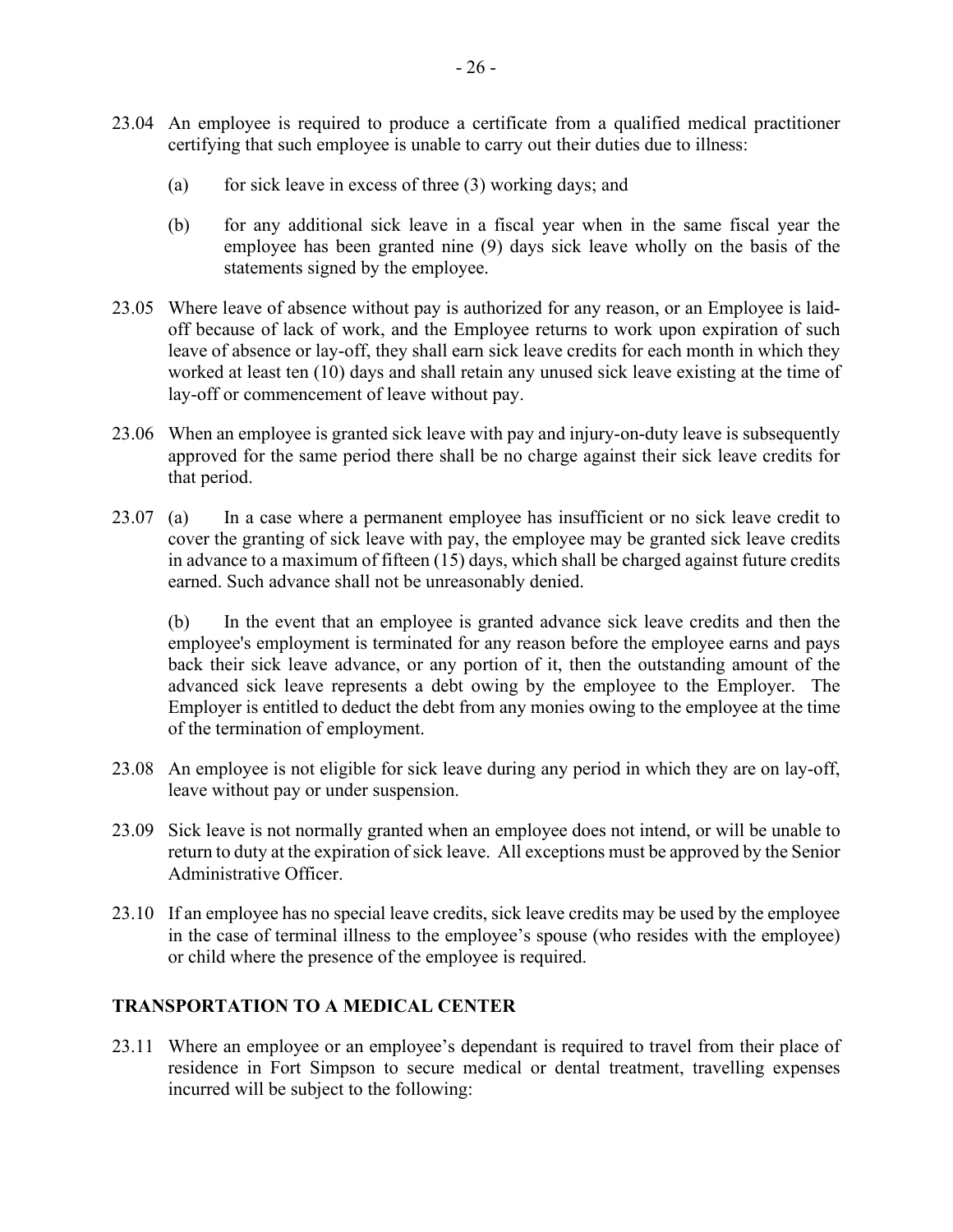- 23.04 An employee is required to produce a certificate from a qualified medical practitioner certifying that such employee is unable to carry out their duties due to illness:
	- (a) for sick leave in excess of three  $(3)$  working days; and
	- (b) for any additional sick leave in a fiscal year when in the same fiscal year the employee has been granted nine (9) days sick leave wholly on the basis of the statements signed by the employee.
- 23.05 Where leave of absence without pay is authorized for any reason, or an Employee is laidoff because of lack of work, and the Employee returns to work upon expiration of such leave of absence or lay-off, they shall earn sick leave credits for each month in which they worked at least ten (10) days and shall retain any unused sick leave existing at the time of lay-off or commencement of leave without pay.
- 23.06 When an employee is granted sick leave with pay and injury-on-duty leave is subsequently approved for the same period there shall be no charge against their sick leave credits for that period.
- 23.07 (a) In a case where a permanent employee has insufficient or no sick leave credit to cover the granting of sick leave with pay, the employee may be granted sick leave credits in advance to a maximum of fifteen (15) days, which shall be charged against future credits earned. Such advance shall not be unreasonably denied.

(b) In the event that an employee is granted advance sick leave credits and then the employee's employment is terminated for any reason before the employee earns and pays back their sick leave advance, or any portion of it, then the outstanding amount of the advanced sick leave represents a debt owing by the employee to the Employer. The Employer is entitled to deduct the debt from any monies owing to the employee at the time of the termination of employment.

- 23.08 An employee is not eligible for sick leave during any period in which they are on lay-off, leave without pay or under suspension.
- 23.09 Sick leave is not normally granted when an employee does not intend, or will be unable to return to duty at the expiration of sick leave. All exceptions must be approved by the Senior Administrative Officer.
- 23.10 If an employee has no special leave credits, sick leave credits may be used by the employee in the case of terminal illness to the employee's spouse (who resides with the employee) or child where the presence of the employee is required.

# **TRANSPORTATION TO A MEDICAL CENTER**

23.11 Where an employee or an employee's dependant is required to travel from their place of residence in Fort Simpson to secure medical or dental treatment, travelling expenses incurred will be subject to the following: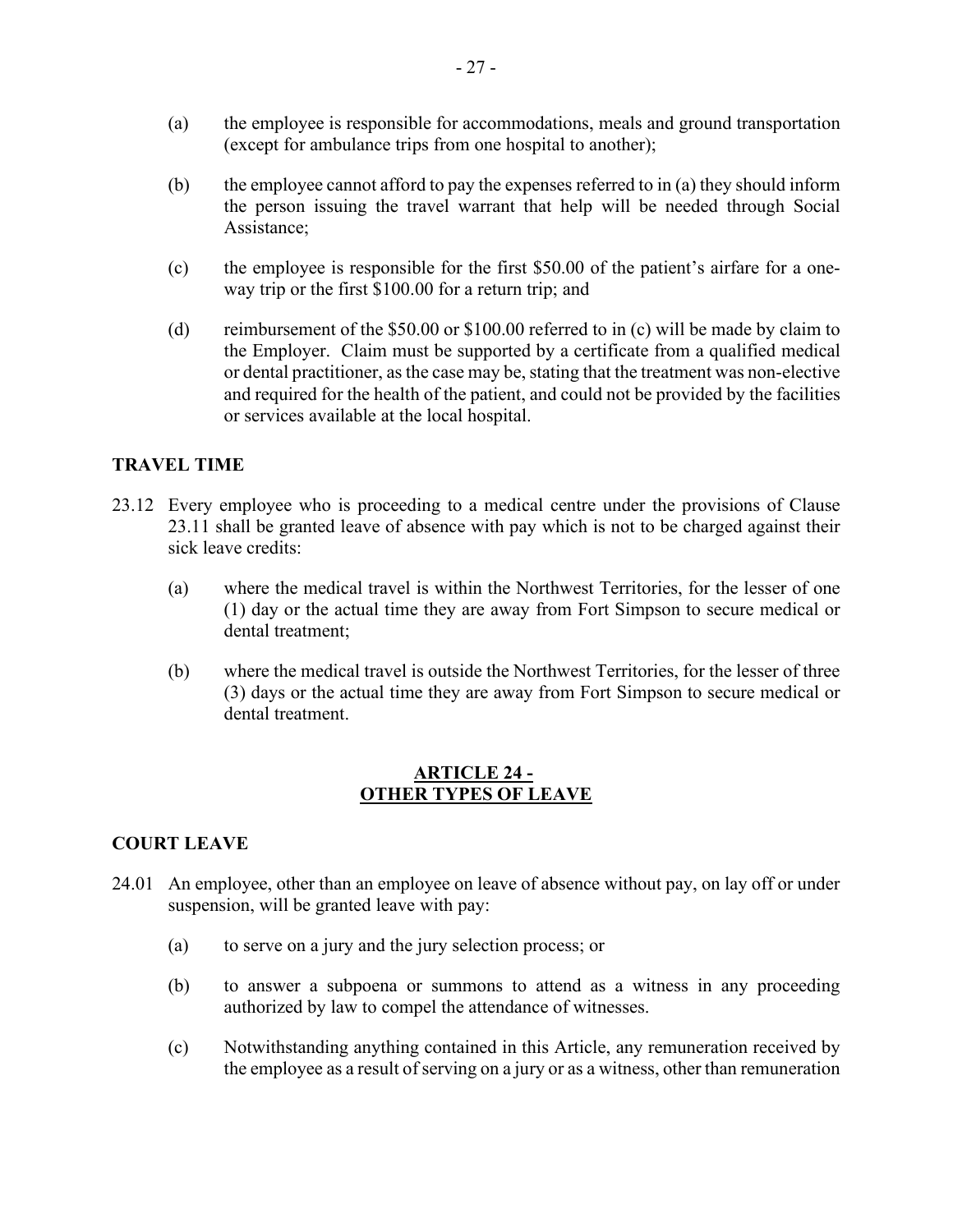- (a) the employee is responsible for accommodations, meals and ground transportation (except for ambulance trips from one hospital to another);
- (b) the employee cannot afford to pay the expenses referred to in (a) they should inform the person issuing the travel warrant that help will be needed through Social Assistance;
- (c) the employee is responsible for the first \$50.00 of the patient's airfare for a oneway trip or the first \$100.00 for a return trip; and
- (d) reimbursement of the \$50.00 or \$100.00 referred to in (c) will be made by claim to the Employer. Claim must be supported by a certificate from a qualified medical or dental practitioner, as the case may be, stating that the treatment was non-elective and required for the health of the patient, and could not be provided by the facilities or services available at the local hospital.

#### **TRAVEL TIME**

- 23.12 Every employee who is proceeding to a medical centre under the provisions of Clause 23.11 shall be granted leave of absence with pay which is not to be charged against their sick leave credits:
	- (a) where the medical travel is within the Northwest Territories, for the lesser of one (1) day or the actual time they are away from Fort Simpson to secure medical or dental treatment;
	- (b) where the medical travel is outside the Northwest Territories, for the lesser of three (3) days or the actual time they are away from Fort Simpson to secure medical or dental treatment.

#### **ARTICLE 24 - OTHER TYPES OF LEAVE**

#### <span id="page-26-0"></span>**COURT LEAVE**

- 24.01 An employee, other than an employee on leave of absence without pay, on lay off or under suspension, will be granted leave with pay:
	- (a) to serve on a jury and the jury selection process; or
	- (b) to answer a subpoena or summons to attend as a witness in any proceeding authorized by law to compel the attendance of witnesses.
	- (c) Notwithstanding anything contained in this Article, any remuneration received by the employee as a result of serving on a jury or as a witness, other than remuneration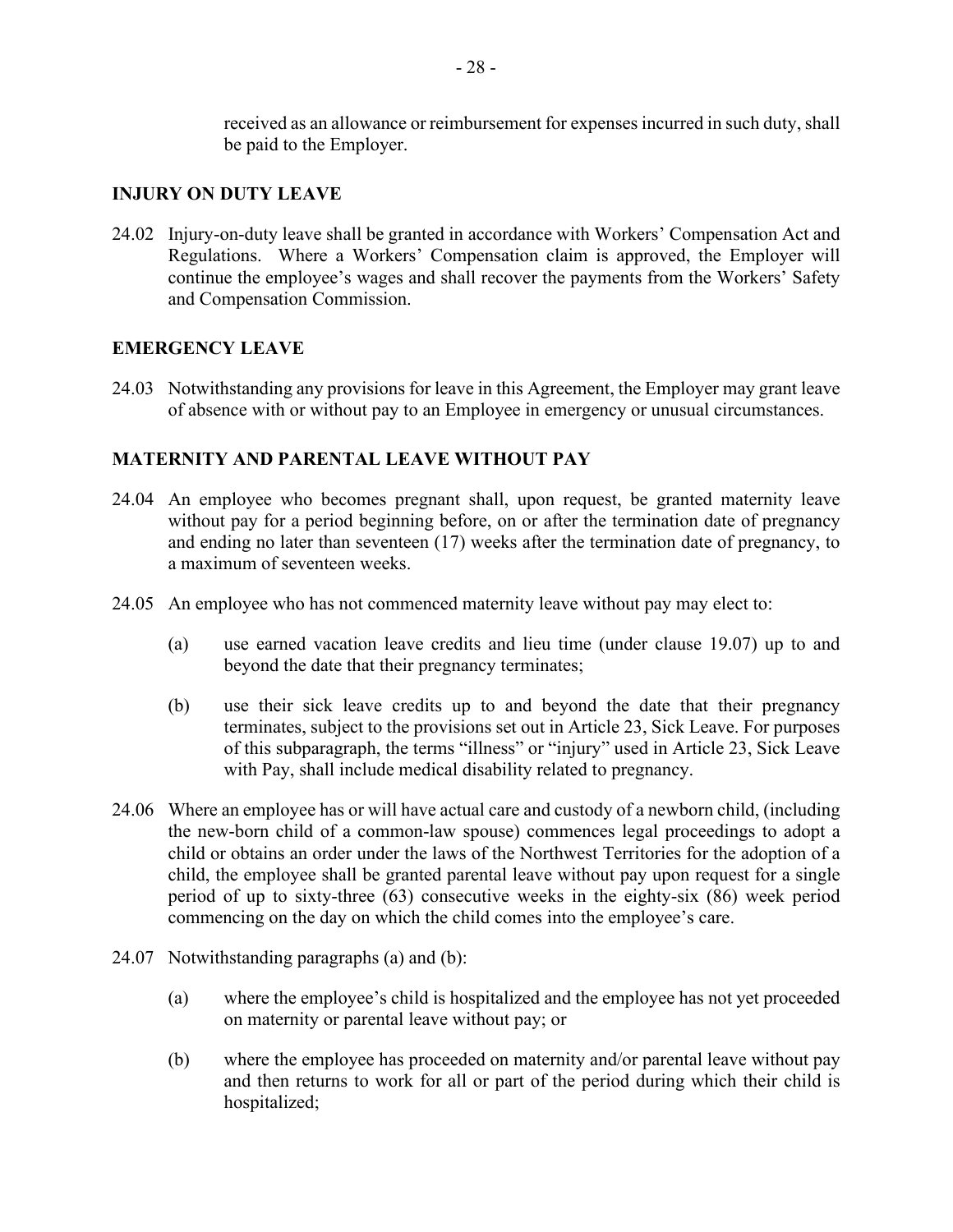received as an allowance or reimbursement for expenses incurred in such duty, shall be paid to the Employer.

#### **INJURY ON DUTY LEAVE**

24.02 Injury-on-duty leave shall be granted in accordance with Workers' Compensation Act and Regulations. Where a Workers' Compensation claim is approved, the Employer will continue the employee's wages and shall recover the payments from the Workers' Safety and Compensation Commission.

#### **EMERGENCY LEAVE**

24.03 Notwithstanding any provisions for leave in this Agreement, the Employer may grant leave of absence with or without pay to an Employee in emergency or unusual circumstances.

# **MATERNITY AND PARENTAL LEAVE WITHOUT PAY**

- 24.04 An employee who becomes pregnant shall, upon request, be granted maternity leave without pay for a period beginning before, on or after the termination date of pregnancy and ending no later than seventeen (17) weeks after the termination date of pregnancy, to a maximum of seventeen weeks.
- 24.05 An employee who has not commenced maternity leave without pay may elect to:
	- (a) use earned vacation leave credits and lieu time (under clause 19.07) up to and beyond the date that their pregnancy terminates;
	- (b) use their sick leave credits up to and beyond the date that their pregnancy terminates, subject to the provisions set out in Article 23, Sick Leave. For purposes of this subparagraph, the terms "illness" or "injury" used in Article 23, Sick Leave with Pay, shall include medical disability related to pregnancy.
- 24.06 Where an employee has or will have actual care and custody of a newborn child, (including the new-born child of a common-law spouse) commences legal proceedings to adopt a child or obtains an order under the laws of the Northwest Territories for the adoption of a child, the employee shall be granted parental leave without pay upon request for a single period of up to sixty-three (63) consecutive weeks in the eighty-six (86) week period commencing on the day on which the child comes into the employee's care.
- 24.07 Notwithstanding paragraphs (a) and (b):
	- (a) where the employee's child is hospitalized and the employee has not yet proceeded on maternity or parental leave without pay; or
	- (b) where the employee has proceeded on maternity and/or parental leave without pay and then returns to work for all or part of the period during which their child is hospitalized;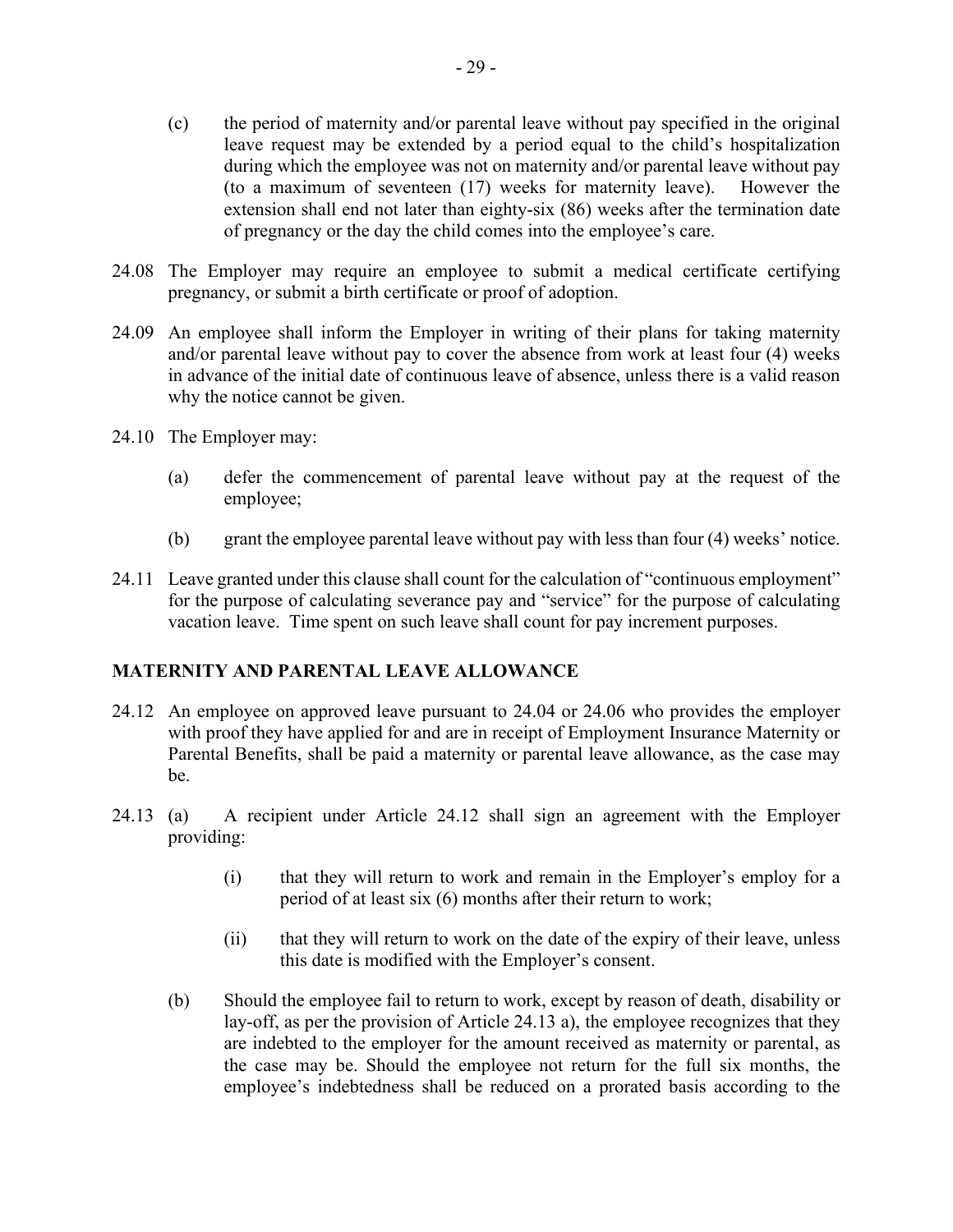- (c) the period of maternity and/or parental leave without pay specified in the original leave request may be extended by a period equal to the child's hospitalization during which the employee was not on maternity and/or parental leave without pay (to a maximum of seventeen (17) weeks for maternity leave). However the extension shall end not later than eighty-six (86) weeks after the termination date of pregnancy or the day the child comes into the employee's care.
- 24.08 The Employer may require an employee to submit a medical certificate certifying pregnancy, or submit a birth certificate or proof of adoption.
- 24.09 An employee shall inform the Employer in writing of their plans for taking maternity and/or parental leave without pay to cover the absence from work at least four (4) weeks in advance of the initial date of continuous leave of absence, unless there is a valid reason why the notice cannot be given.
- 24.10 The Employer may:
	- (a) defer the commencement of parental leave without pay at the request of the employee;
	- (b) grant the employee parental leave without pay with less than four (4) weeks' notice.
- 24.11 Leave granted under this clause shall count for the calculation of "continuous employment" for the purpose of calculating severance pay and "service" for the purpose of calculating vacation leave. Time spent on such leave shall count for pay increment purposes.

#### **MATERNITY AND PARENTAL LEAVE ALLOWANCE**

- 24.12 An employee on approved leave pursuant to 24.04 or 24.06 who provides the employer with proof they have applied for and are in receipt of Employment Insurance Maternity or Parental Benefits, shall be paid a maternity or parental leave allowance, as the case may be.
- 24.13 (a) A recipient under Article 24.12 shall sign an agreement with the Employer providing:
	- (i) that they will return to work and remain in the Employer's employ for a period of at least six (6) months after their return to work;
	- (ii) that they will return to work on the date of the expiry of their leave, unless this date is modified with the Employer's consent.
	- (b) Should the employee fail to return to work, except by reason of death, disability or lay-off, as per the provision of Article 24.13 a), the employee recognizes that they are indebted to the employer for the amount received as maternity or parental, as the case may be. Should the employee not return for the full six months, the employee's indebtedness shall be reduced on a prorated basis according to the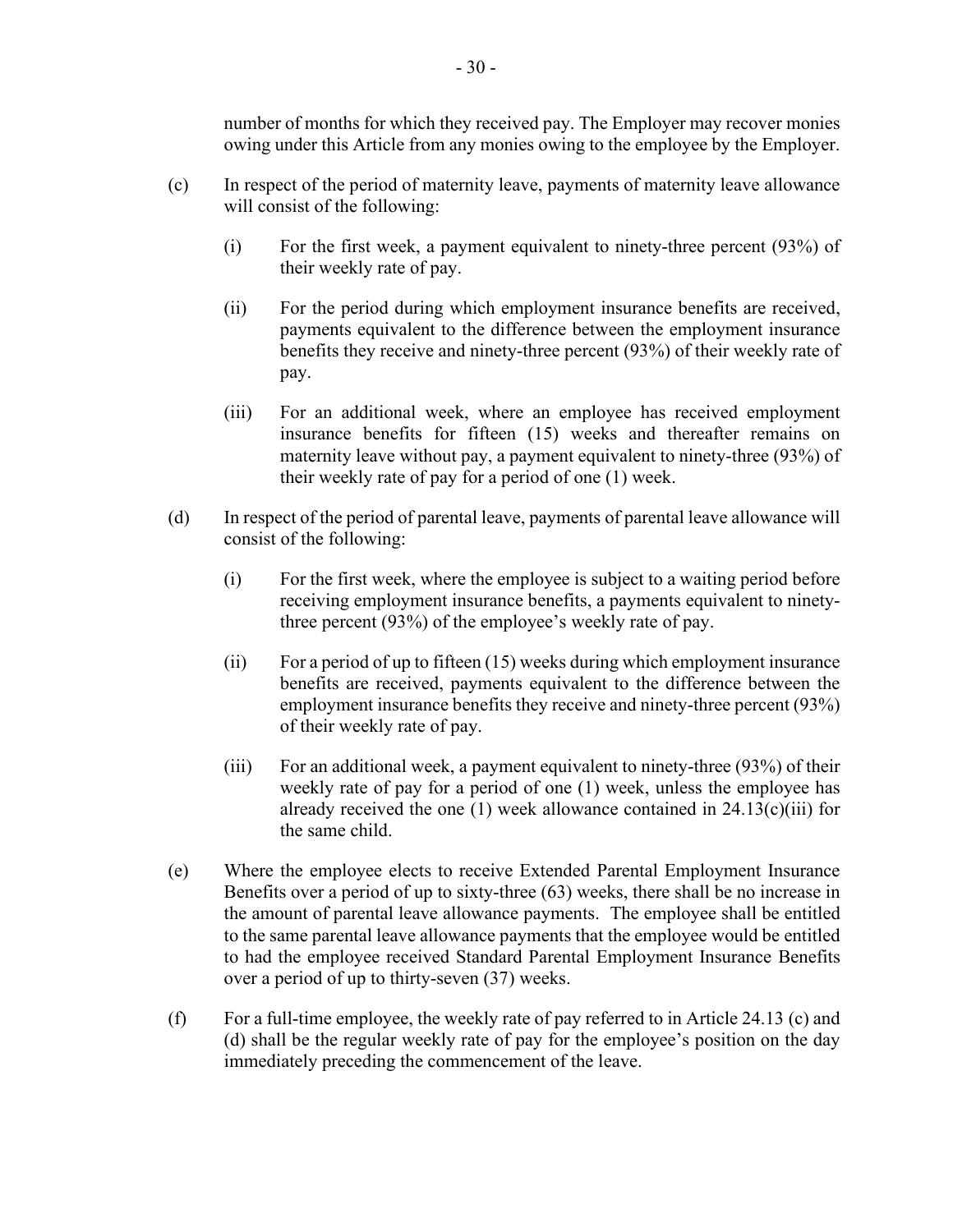number of months for which they received pay. The Employer may recover monies owing under this Article from any monies owing to the employee by the Employer.

- (c) In respect of the period of maternity leave, payments of maternity leave allowance will consist of the following:
	- (i) For the first week, a payment equivalent to ninety-three percent (93%) of their weekly rate of pay.
	- (ii) For the period during which employment insurance benefits are received, payments equivalent to the difference between the employment insurance benefits they receive and ninety-three percent (93%) of their weekly rate of pay.
	- (iii) For an additional week, where an employee has received employment insurance benefits for fifteen (15) weeks and thereafter remains on maternity leave without pay, a payment equivalent to ninety-three (93%) of their weekly rate of pay for a period of one (1) week.
- (d) In respect of the period of parental leave, payments of parental leave allowance will consist of the following:
	- (i) For the first week, where the employee is subject to a waiting period before receiving employment insurance benefits, a payments equivalent to ninetythree percent (93%) of the employee's weekly rate of pay.
	- (ii) For a period of up to fifteen (15) weeks during which employment insurance benefits are received, payments equivalent to the difference between the employment insurance benefits they receive and ninety-three percent (93%) of their weekly rate of pay.
	- (iii) For an additional week, a payment equivalent to ninety-three (93%) of their weekly rate of pay for a period of one (1) week, unless the employee has already received the one  $(1)$  week allowance contained in 24.13 $(c)(iii)$  for the same child.
- (e) Where the employee elects to receive Extended Parental Employment Insurance Benefits over a period of up to sixty-three (63) weeks, there shall be no increase in the amount of parental leave allowance payments. The employee shall be entitled to the same parental leave allowance payments that the employee would be entitled to had the employee received Standard Parental Employment Insurance Benefits over a period of up to thirty-seven (37) weeks.
- (f) For a full-time employee, the weekly rate of pay referred to in Article 24.13 (c) and (d) shall be the regular weekly rate of pay for the employee's position on the day immediately preceding the commencement of the leave.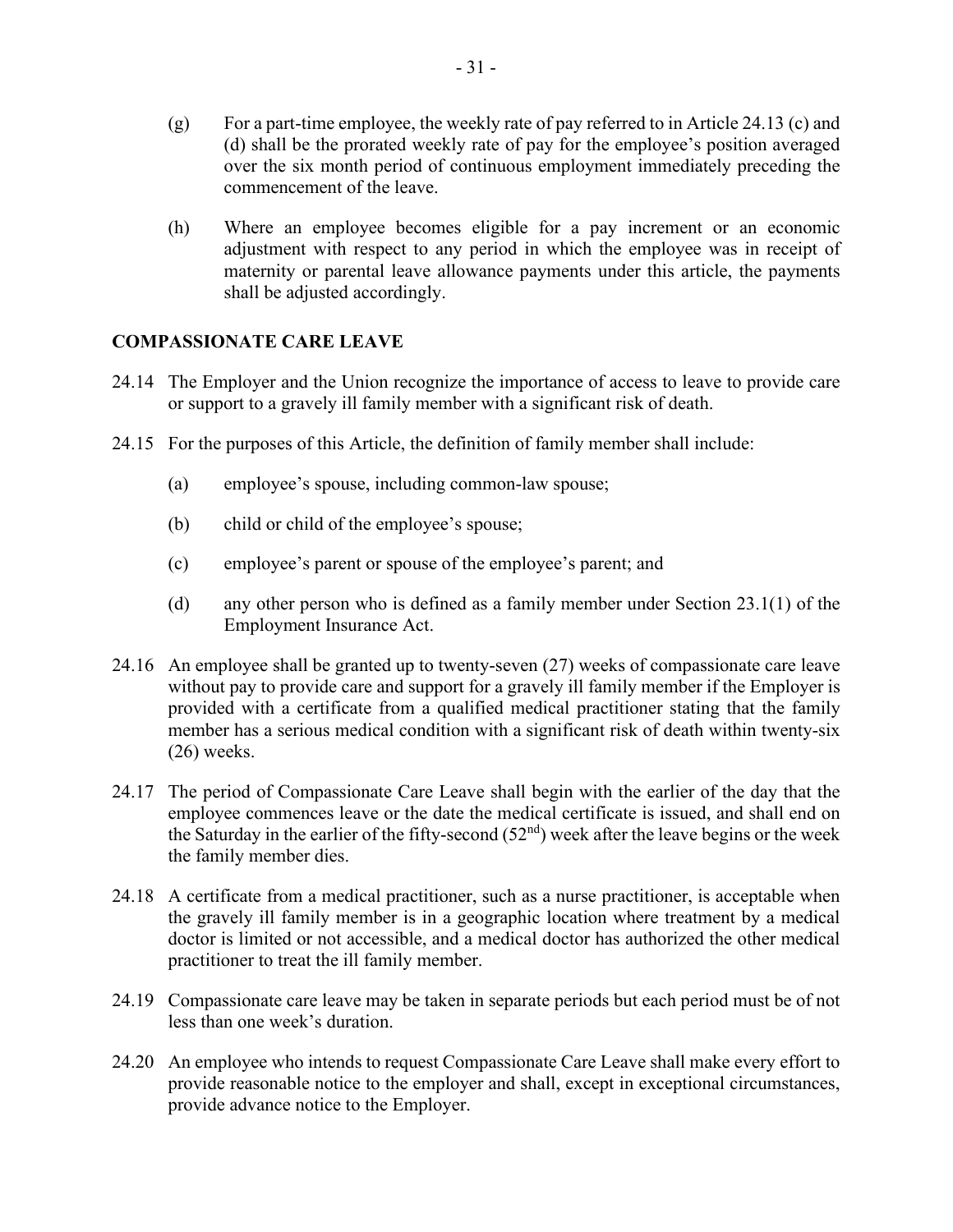- (g) For a part-time employee, the weekly rate of pay referred to in Article 24.13 (c) and (d) shall be the prorated weekly rate of pay for the employee's position averaged over the six month period of continuous employment immediately preceding the commencement of the leave.
- (h) Where an employee becomes eligible for a pay increment or an economic adjustment with respect to any period in which the employee was in receipt of maternity or parental leave allowance payments under this article, the payments shall be adjusted accordingly.

#### **COMPASSIONATE CARE LEAVE**

- 24.14 The Employer and the Union recognize the importance of access to leave to provide care or support to a gravely ill family member with a significant risk of death.
- 24.15 For the purposes of this Article, the definition of family member shall include:
	- (a) employee's spouse, including common-law spouse;
	- (b) child or child of the employee's spouse;
	- (c) employee's parent or spouse of the employee's parent; and
	- (d) any other person who is defined as a family member under Section 23.1(1) of the Employment Insurance Act.
- 24.16 An employee shall be granted up to twenty-seven (27) weeks of compassionate care leave without pay to provide care and support for a gravely ill family member if the Employer is provided with a certificate from a qualified medical practitioner stating that the family member has a serious medical condition with a significant risk of death within twenty-six (26) weeks.
- 24.17 The period of Compassionate Care Leave shall begin with the earlier of the day that the employee commences leave or the date the medical certificate is issued, and shall end on the Saturday in the earlier of the fifty-second  $(52<sup>nd</sup>)$  week after the leave begins or the week the family member dies.
- 24.18 A certificate from a medical practitioner, such as a nurse practitioner, is acceptable when the gravely ill family member is in a geographic location where treatment by a medical doctor is limited or not accessible, and a medical doctor has authorized the other medical practitioner to treat the ill family member.
- 24.19 Compassionate care leave may be taken in separate periods but each period must be of not less than one week's duration.
- 24.20 An employee who intends to request Compassionate Care Leave shall make every effort to provide reasonable notice to the employer and shall, except in exceptional circumstances, provide advance notice to the Employer.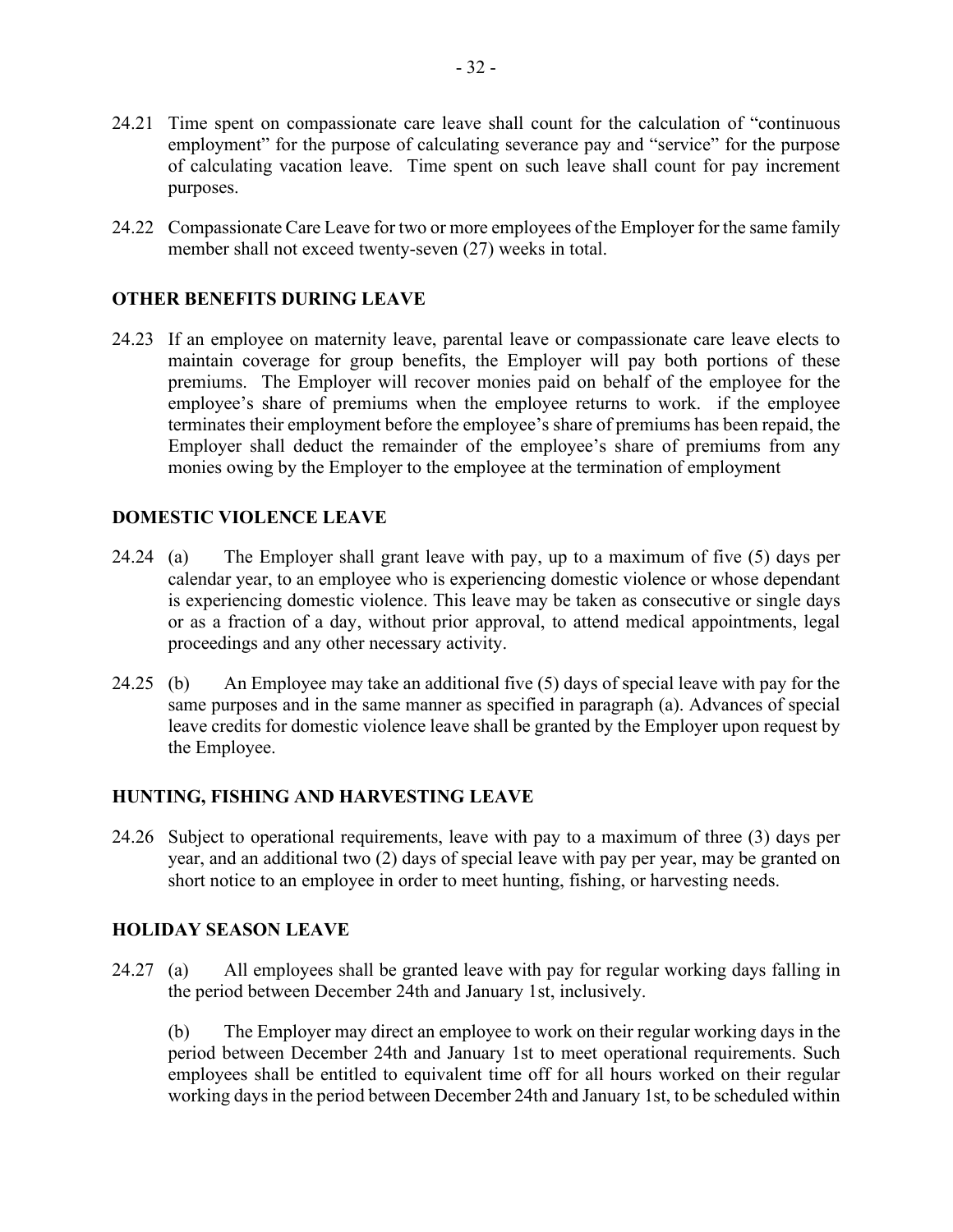- 24.21 Time spent on compassionate care leave shall count for the calculation of "continuous employment" for the purpose of calculating severance pay and "service" for the purpose of calculating vacation leave. Time spent on such leave shall count for pay increment purposes.
- 24.22 Compassionate Care Leave for two or more employees of the Employer for the same family member shall not exceed twenty-seven (27) weeks in total.

## **OTHER BENEFITS DURING LEAVE**

24.23 If an employee on maternity leave, parental leave or compassionate care leave elects to maintain coverage for group benefits, the Employer will pay both portions of these premiums. The Employer will recover monies paid on behalf of the employee for the employee's share of premiums when the employee returns to work. if the employee terminates their employment before the employee's share of premiums has been repaid, the Employer shall deduct the remainder of the employee's share of premiums from any monies owing by the Employer to the employee at the termination of employment

#### **DOMESTIC VIOLENCE LEAVE**

- 24.24 (a) The Employer shall grant leave with pay, up to a maximum of five (5) days per calendar year, to an employee who is experiencing domestic violence or whose dependant is experiencing domestic violence. This leave may be taken as consecutive or single days or as a fraction of a day, without prior approval, to attend medical appointments, legal proceedings and any other necessary activity.
- 24.25 (b) An Employee may take an additional five (5) days of special leave with pay for the same purposes and in the same manner as specified in paragraph (a). Advances of special leave credits for domestic violence leave shall be granted by the Employer upon request by the Employee.

#### **HUNTING, FISHING AND HARVESTING LEAVE**

24.26 Subject to operational requirements, leave with pay to a maximum of three (3) days per year, and an additional two (2) days of special leave with pay per year, may be granted on short notice to an employee in order to meet hunting, fishing, or harvesting needs.

#### **HOLIDAY SEASON LEAVE**

24.27 (a) All employees shall be granted leave with pay for regular working days falling in the period between December 24th and January 1st, inclusively.

(b) The Employer may direct an employee to work on their regular working days in the period between December 24th and January 1st to meet operational requirements. Such employees shall be entitled to equivalent time off for all hours worked on their regular working days in the period between December 24th and January 1st, to be scheduled within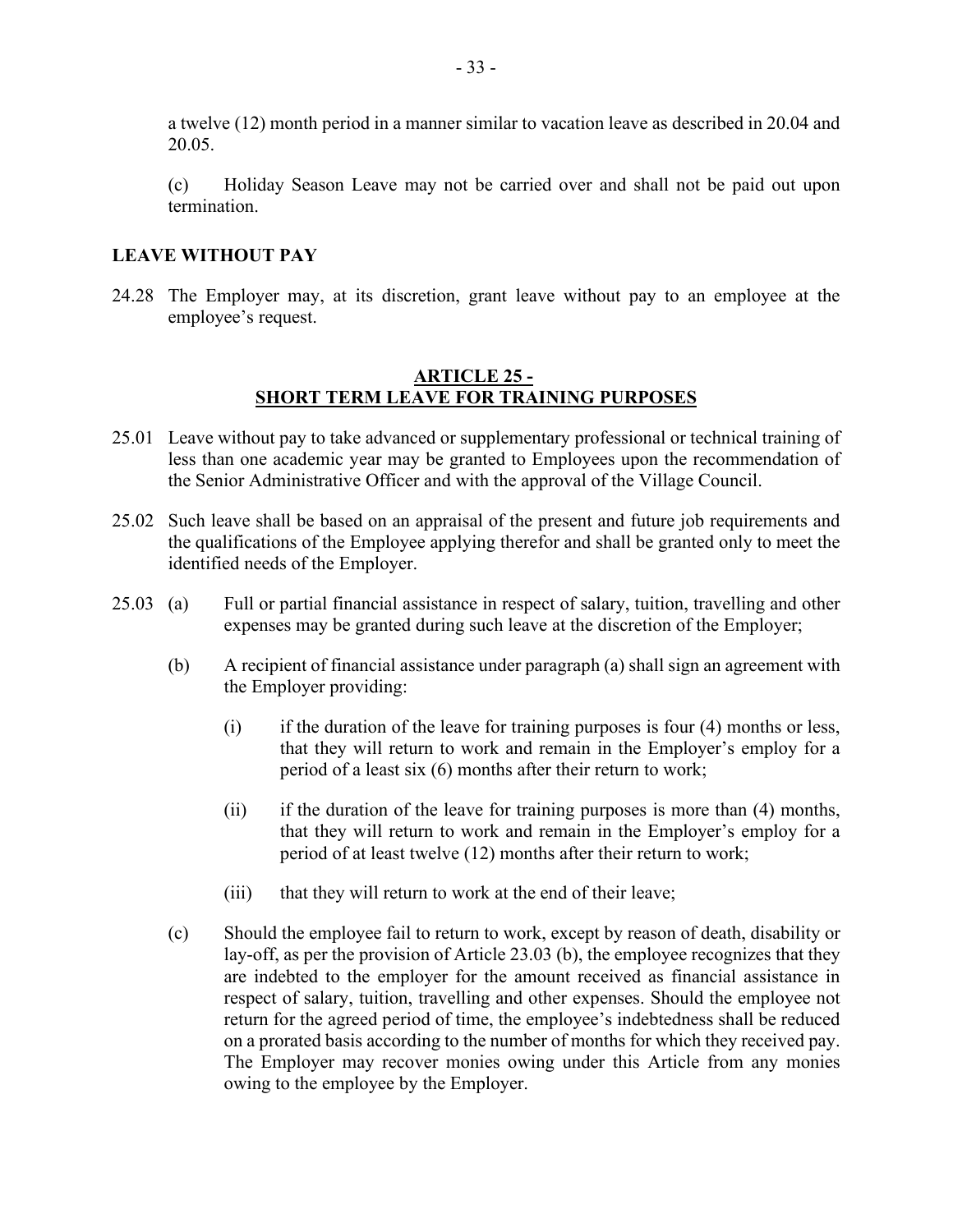a twelve (12) month period in a manner similar to vacation leave as described in 20.04 and 20.05.

(c) Holiday Season Leave may not be carried over and shall not be paid out upon termination.

#### **LEAVE WITHOUT PAY**

24.28 The Employer may, at its discretion, grant leave without pay to an employee at the employee's request.

#### **ARTICLE 25 - SHORT TERM LEAVE FOR TRAINING PURPOSES**

- <span id="page-32-0"></span>25.01 Leave without pay to take advanced or supplementary professional or technical training of less than one academic year may be granted to Employees upon the recommendation of the Senior Administrative Officer and with the approval of the Village Council.
- 25.02 Such leave shall be based on an appraisal of the present and future job requirements and the qualifications of the Employee applying therefor and shall be granted only to meet the identified needs of the Employer.
- 25.03 (a) Full or partial financial assistance in respect of salary, tuition, travelling and other expenses may be granted during such leave at the discretion of the Employer;
	- (b) A recipient of financial assistance under paragraph (a) shall sign an agreement with the Employer providing:
		- (i) if the duration of the leave for training purposes is four (4) months or less, that they will return to work and remain in the Employer's employ for a period of a least six (6) months after their return to work;
		- (ii) if the duration of the leave for training purposes is more than (4) months, that they will return to work and remain in the Employer's employ for a period of at least twelve (12) months after their return to work;
		- (iii) that they will return to work at the end of their leave;
	- (c) Should the employee fail to return to work, except by reason of death, disability or lay-off, as per the provision of Article 23.03 (b), the employee recognizes that they are indebted to the employer for the amount received as financial assistance in respect of salary, tuition, travelling and other expenses. Should the employee not return for the agreed period of time, the employee's indebtedness shall be reduced on a prorated basis according to the number of months for which they received pay. The Employer may recover monies owing under this Article from any monies owing to the employee by the Employer.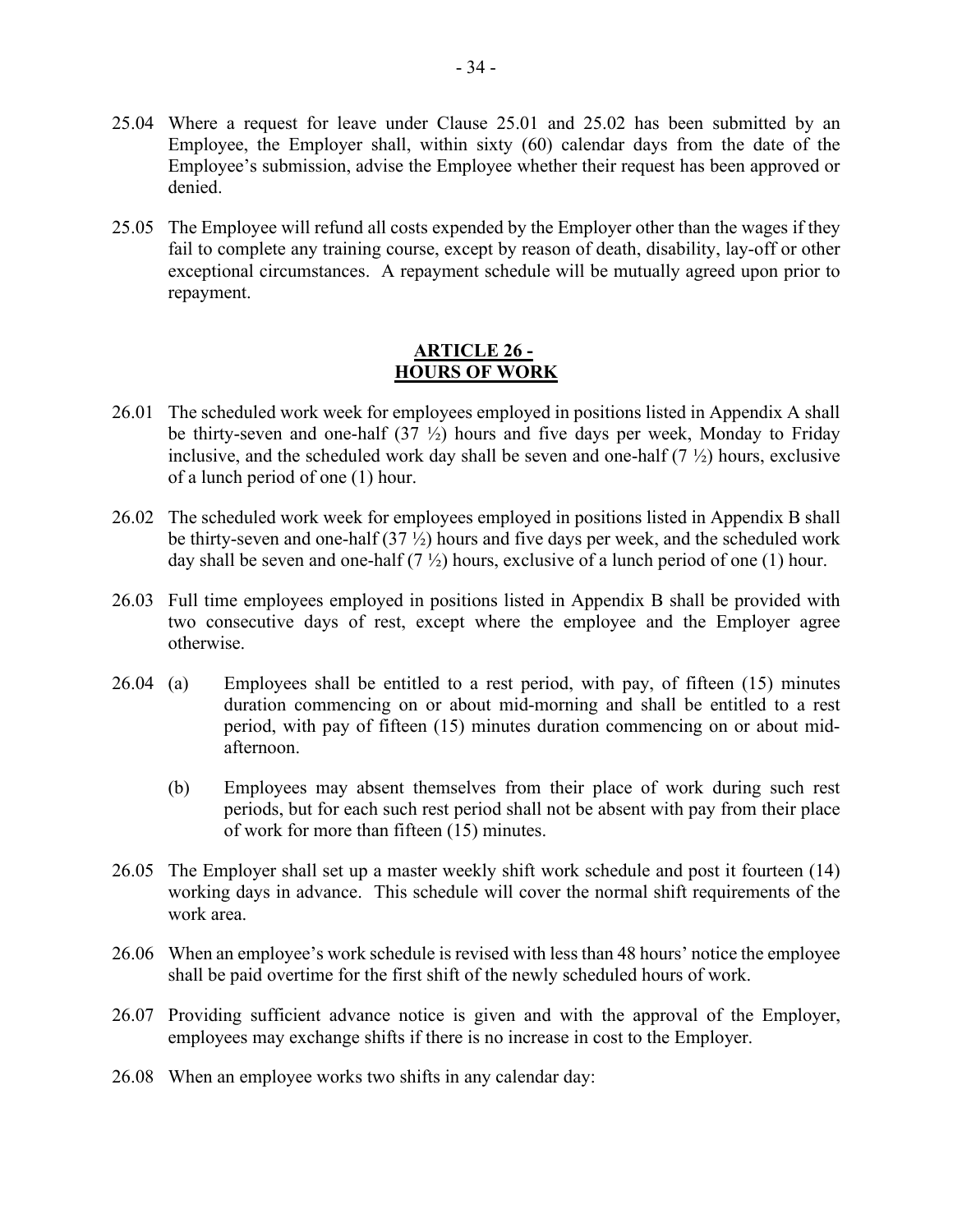- 25.04 Where a request for leave under Clause 25.01 and 25.02 has been submitted by an Employee, the Employer shall, within sixty (60) calendar days from the date of the Employee's submission, advise the Employee whether their request has been approved or denied.
- 25.05 The Employee will refund all costs expended by the Employer other than the wages if they fail to complete any training course, except by reason of death, disability, lay-off or other exceptional circumstances. A repayment schedule will be mutually agreed upon prior to repayment.

#### **ARTICLE 26 - HOURS OF WORK**

- <span id="page-33-0"></span>26.01 The scheduled work week for employees employed in positions listed in Appendix A shall be thirty-seven and one-half  $(37 \frac{1}{2})$  hours and five days per week, Monday to Friday inclusive, and the scheduled work day shall be seven and one-half  $(7 \frac{1}{2})$  hours, exclusive of a lunch period of one (1) hour.
- 26.02 The scheduled work week for employees employed in positions listed in Appendix B shall be thirty-seven and one-half  $(37 \frac{1}{2})$  hours and five days per week, and the scheduled work day shall be seven and one-half  $(7 \frac{1}{2})$  hours, exclusive of a lunch period of one (1) hour.
- 26.03 Full time employees employed in positions listed in Appendix B shall be provided with two consecutive days of rest, except where the employee and the Employer agree otherwise.
- 26.04 (a) Employees shall be entitled to a rest period, with pay, of fifteen (15) minutes duration commencing on or about mid-morning and shall be entitled to a rest period, with pay of fifteen (15) minutes duration commencing on or about midafternoon.
	- (b) Employees may absent themselves from their place of work during such rest periods, but for each such rest period shall not be absent with pay from their place of work for more than fifteen (15) minutes.
- 26.05 The Employer shall set up a master weekly shift work schedule and post it fourteen (14) working days in advance. This schedule will cover the normal shift requirements of the work area.
- 26.06 When an employee's work schedule is revised with less than 48 hours' notice the employee shall be paid overtime for the first shift of the newly scheduled hours of work.
- 26.07 Providing sufficient advance notice is given and with the approval of the Employer, employees may exchange shifts if there is no increase in cost to the Employer.
- 26.08 When an employee works two shifts in any calendar day: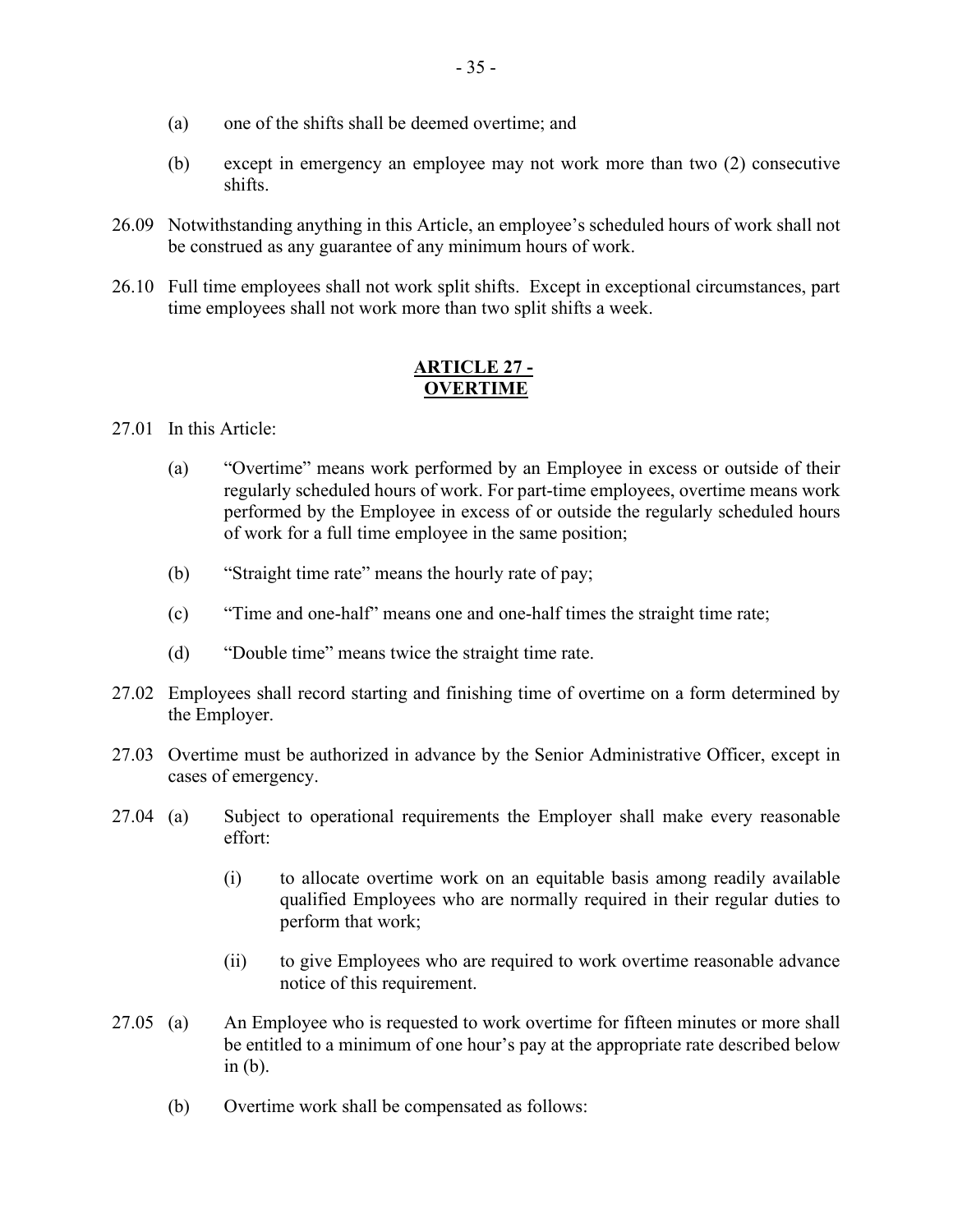- (a) one of the shifts shall be deemed overtime; and
- (b) except in emergency an employee may not work more than two (2) consecutive shifts.
- 26.09 Notwithstanding anything in this Article, an employee's scheduled hours of work shall not be construed as any guarantee of any minimum hours of work.
- 26.10 Full time employees shall not work split shifts. Except in exceptional circumstances, part time employees shall not work more than two split shifts a week.

#### **ARTICLE 27 - OVERTIME**

<span id="page-34-0"></span>27.01 In this Article:

- (a) "Overtime" means work performed by an Employee in excess or outside of their regularly scheduled hours of work. For part-time employees, overtime means work performed by the Employee in excess of or outside the regularly scheduled hours of work for a full time employee in the same position;
- (b) "Straight time rate" means the hourly rate of pay;
- (c) "Time and one-half" means one and one-half times the straight time rate;
- (d) "Double time" means twice the straight time rate.
- 27.02 Employees shall record starting and finishing time of overtime on a form determined by the Employer.
- 27.03 Overtime must be authorized in advance by the Senior Administrative Officer, except in cases of emergency.
- 27.04 (a) Subject to operational requirements the Employer shall make every reasonable effort:
	- (i) to allocate overtime work on an equitable basis among readily available qualified Employees who are normally required in their regular duties to perform that work;
	- (ii) to give Employees who are required to work overtime reasonable advance notice of this requirement.
- 27.05 (a) An Employee who is requested to work overtime for fifteen minutes or more shall be entitled to a minimum of one hour's pay at the appropriate rate described below in (b).
	- (b) Overtime work shall be compensated as follows: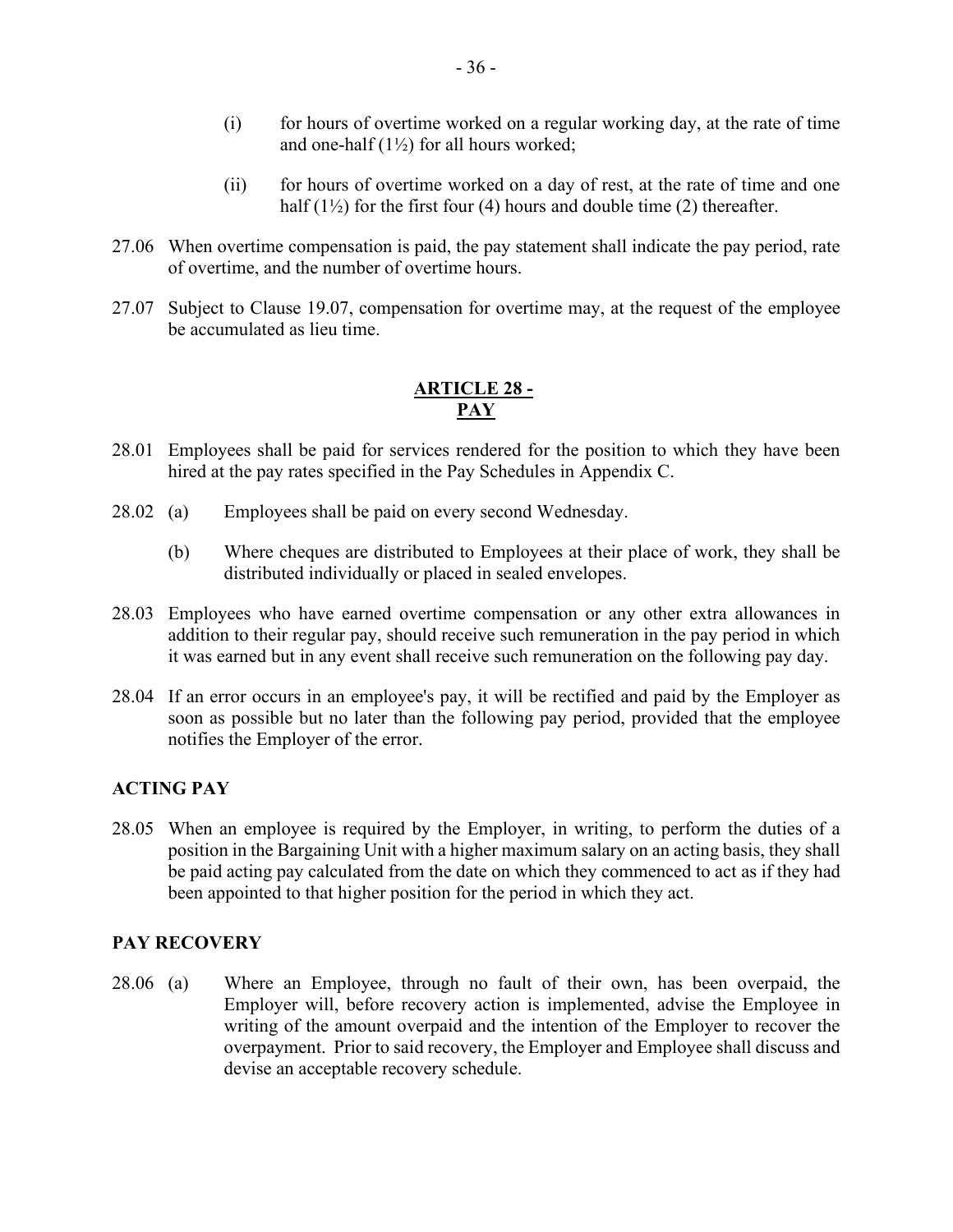- (i) for hours of overtime worked on a regular working day, at the rate of time and one-half  $(1\frac{1}{2})$  for all hours worked;
- (ii) for hours of overtime worked on a day of rest, at the rate of time and one half  $(1\frac{1}{2})$  for the first four (4) hours and double time (2) thereafter.
- 27.06 When overtime compensation is paid, the pay statement shall indicate the pay period, rate of overtime, and the number of overtime hours.
- 27.07 Subject to Clause 19.07, compensation for overtime may, at the request of the employee be accumulated as lieu time.

# **ARTICLE 28 - PAY**

- <span id="page-35-0"></span>28.01 Employees shall be paid for services rendered for the position to which they have been hired at the pay rates specified in the Pay Schedules in Appendix C.
- 28.02 (a) Employees shall be paid on every second Wednesday.
	- (b) Where cheques are distributed to Employees at their place of work, they shall be distributed individually or placed in sealed envelopes.
- 28.03 Employees who have earned overtime compensation or any other extra allowances in addition to their regular pay, should receive such remuneration in the pay period in which it was earned but in any event shall receive such remuneration on the following pay day.
- 28.04 If an error occurs in an employee's pay, it will be rectified and paid by the Employer as soon as possible but no later than the following pay period, provided that the employee notifies the Employer of the error.

# **ACTING PAY**

28.05 When an employee is required by the Employer, in writing, to perform the duties of a position in the Bargaining Unit with a higher maximum salary on an acting basis, they shall be paid acting pay calculated from the date on which they commenced to act as if they had been appointed to that higher position for the period in which they act.

#### **PAY RECOVERY**

28.06 (a) Where an Employee, through no fault of their own, has been overpaid, the Employer will, before recovery action is implemented, advise the Employee in writing of the amount overpaid and the intention of the Employer to recover the overpayment. Prior to said recovery, the Employer and Employee shall discuss and devise an acceptable recovery schedule.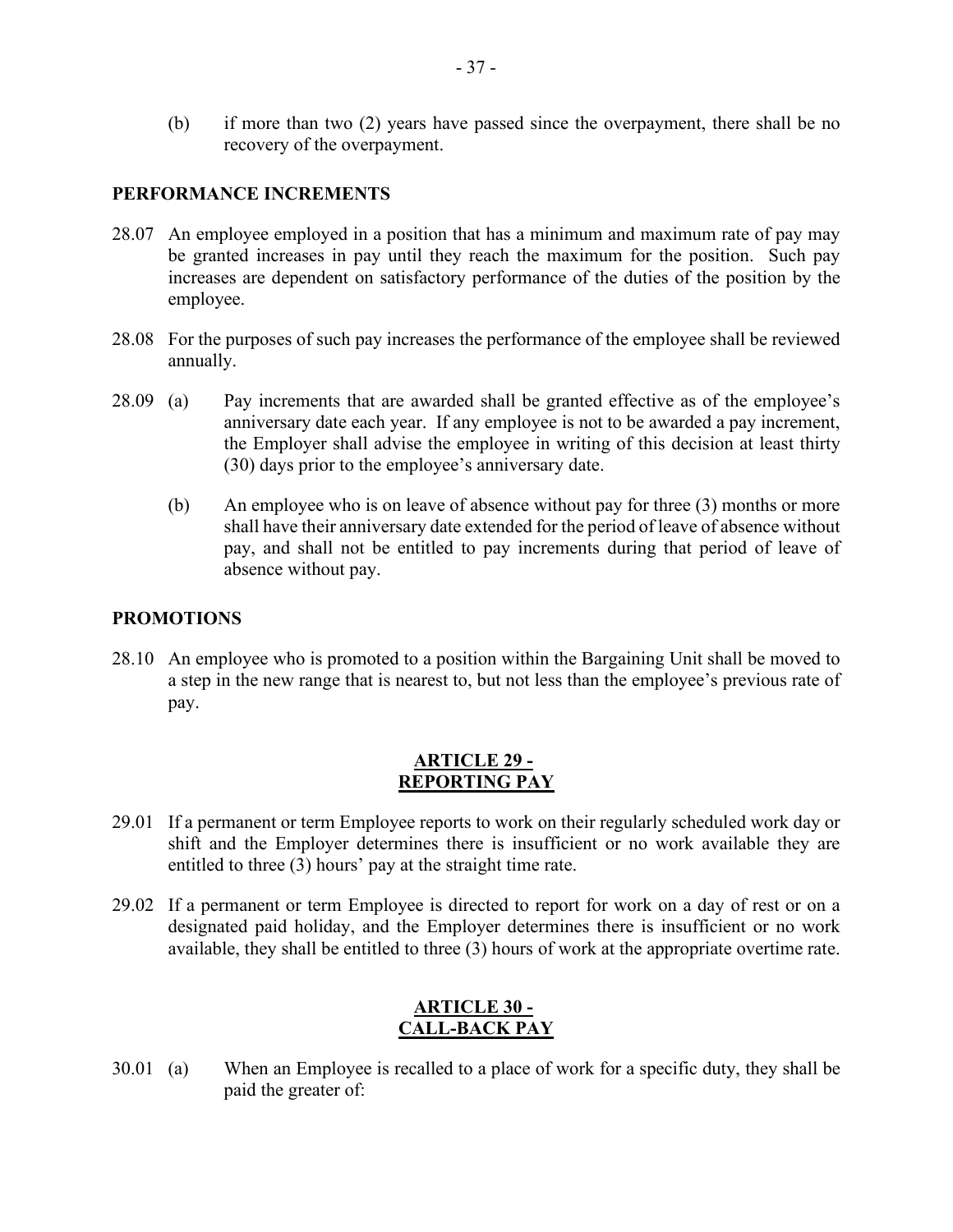(b) if more than two (2) years have passed since the overpayment, there shall be no recovery of the overpayment.

#### **PERFORMANCE INCREMENTS**

- 28.07 An employee employed in a position that has a minimum and maximum rate of pay may be granted increases in pay until they reach the maximum for the position. Such pay increases are dependent on satisfactory performance of the duties of the position by the employee.
- 28.08 For the purposes of such pay increases the performance of the employee shall be reviewed annually.
- 28.09 (a) Pay increments that are awarded shall be granted effective as of the employee's anniversary date each year. If any employee is not to be awarded a pay increment, the Employer shall advise the employee in writing of this decision at least thirty (30) days prior to the employee's anniversary date.
	- (b) An employee who is on leave of absence without pay for three (3) months or more shall have their anniversary date extended for the period of leave of absence without pay, and shall not be entitled to pay increments during that period of leave of absence without pay.

## **PROMOTIONS**

28.10 An employee who is promoted to a position within the Bargaining Unit shall be moved to a step in the new range that is nearest to, but not less than the employee's previous rate of pay.

#### **ARTICLE 29 - REPORTING PAY**

- <span id="page-36-0"></span>29.01 If a permanent or term Employee reports to work on their regularly scheduled work day or shift and the Employer determines there is insufficient or no work available they are entitled to three (3) hours' pay at the straight time rate.
- 29.02 If a permanent or term Employee is directed to report for work on a day of rest or on a designated paid holiday, and the Employer determines there is insufficient or no work available, they shall be entitled to three (3) hours of work at the appropriate overtime rate.

# **ARTICLE 30 - CALL-BACK PAY**

<span id="page-36-1"></span>30.01 (a) When an Employee is recalled to a place of work for a specific duty, they shall be paid the greater of: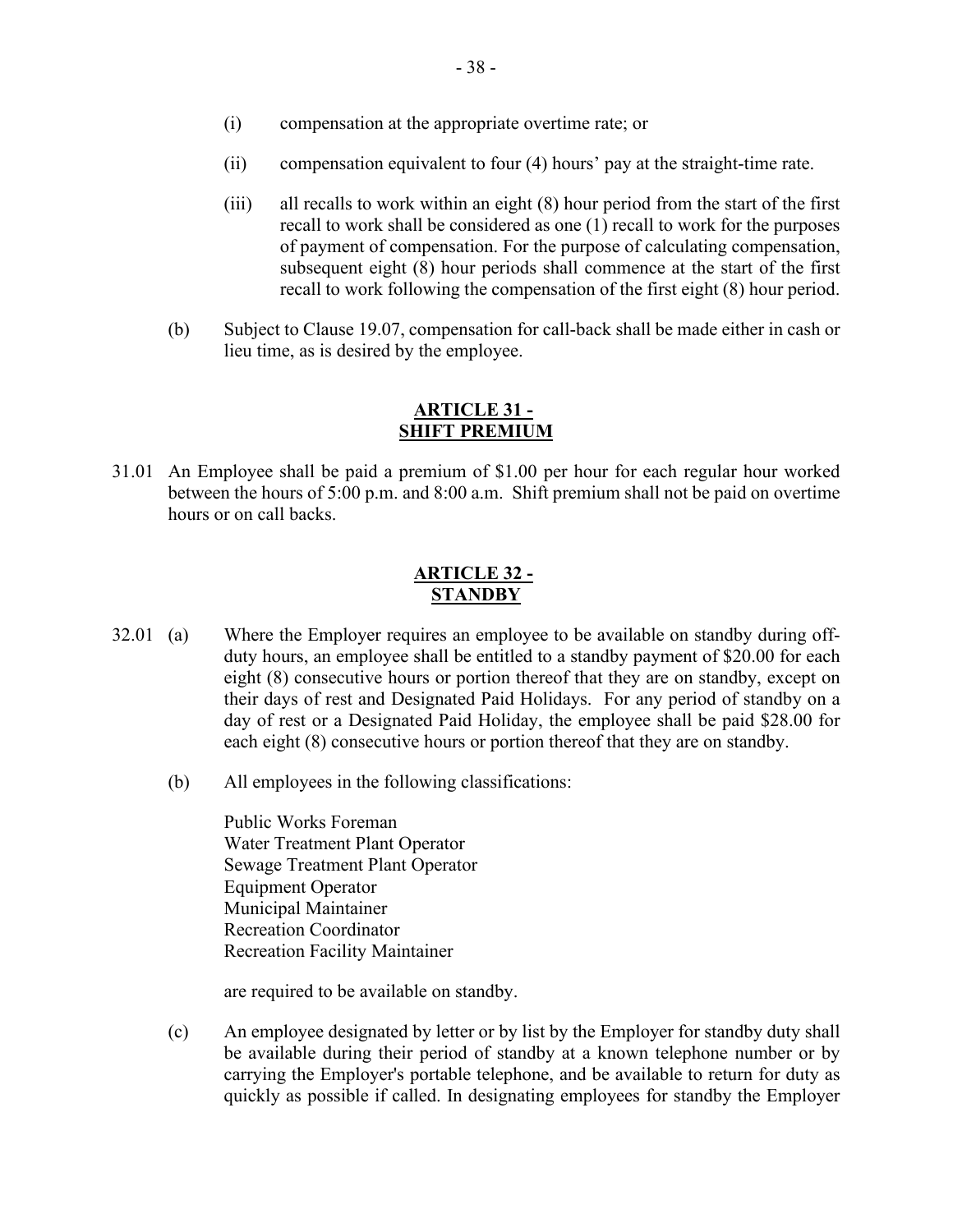- (i) compensation at the appropriate overtime rate; or
- (ii) compensation equivalent to four (4) hours' pay at the straight-time rate.
- (iii) all recalls to work within an eight (8) hour period from the start of the first recall to work shall be considered as one (1) recall to work for the purposes of payment of compensation. For the purpose of calculating compensation, subsequent eight (8) hour periods shall commence at the start of the first recall to work following the compensation of the first eight (8) hour period.
- (b) Subject to Clause 19.07, compensation for call-back shall be made either in cash or lieu time, as is desired by the employee.

#### **ARTICLE 31 - SHIFT PREMIUM**

<span id="page-37-0"></span>31.01 An Employee shall be paid a premium of \$1.00 per hour for each regular hour worked between the hours of 5:00 p.m. and 8:00 a.m. Shift premium shall not be paid on overtime hours or on call backs.

## **ARTICLE 32 - STANDBY**

- <span id="page-37-1"></span>32.01 (a) Where the Employer requires an employee to be available on standby during offduty hours, an employee shall be entitled to a standby payment of \$20.00 for each eight (8) consecutive hours or portion thereof that they are on standby, except on their days of rest and Designated Paid Holidays. For any period of standby on a day of rest or a Designated Paid Holiday, the employee shall be paid \$28.00 for each eight (8) consecutive hours or portion thereof that they are on standby.
	- (b) All employees in the following classifications:

Public Works Foreman Water Treatment Plant Operator Sewage Treatment Plant Operator Equipment Operator Municipal Maintainer Recreation Coordinator Recreation Facility Maintainer

are required to be available on standby.

(c) An employee designated by letter or by list by the Employer for standby duty shall be available during their period of standby at a known telephone number or by carrying the Employer's portable telephone, and be available to return for duty as quickly as possible if called. In designating employees for standby the Employer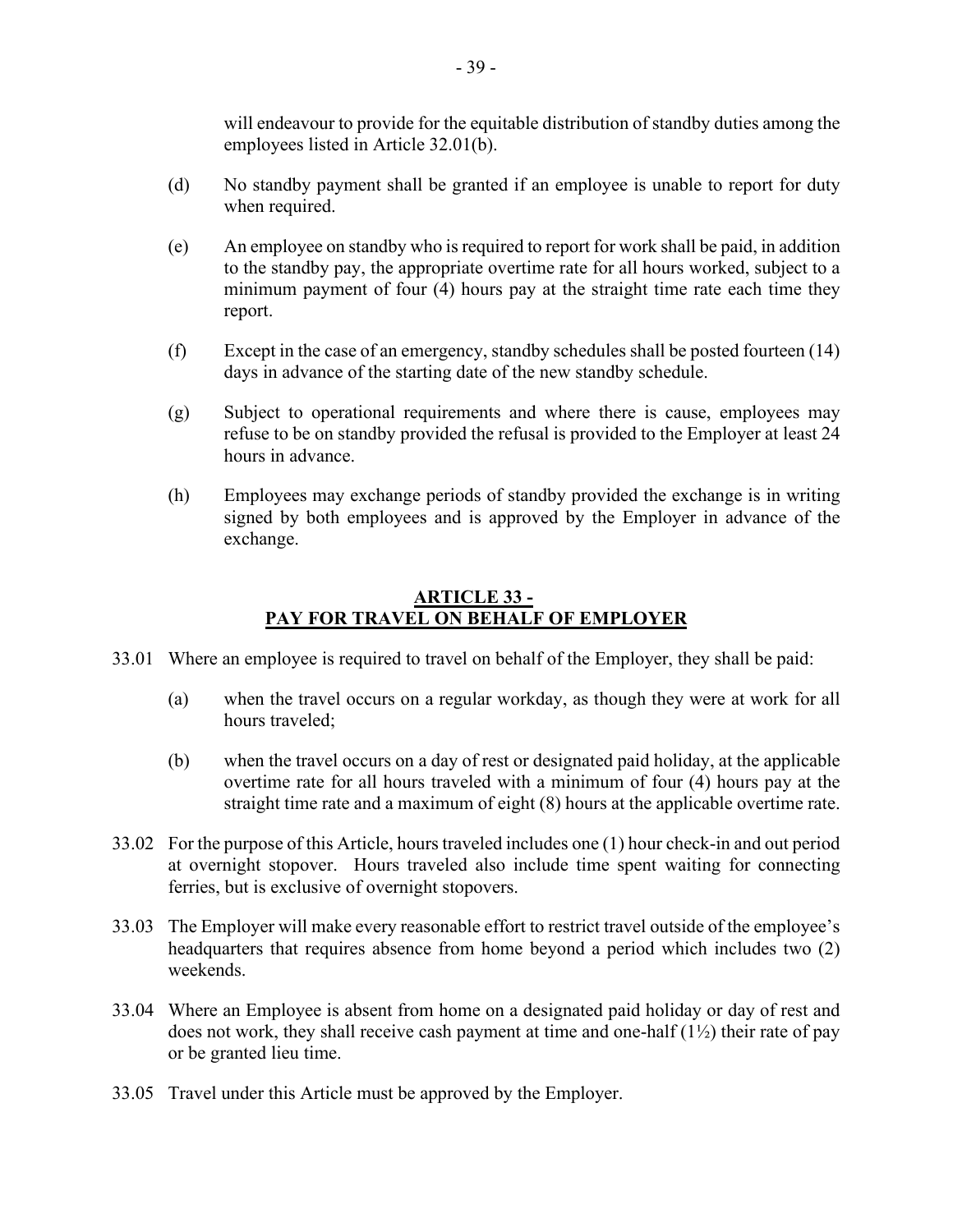will endeavour to provide for the equitable distribution of standby duties among the employees listed in Article 32.01(b).

- (d) No standby payment shall be granted if an employee is unable to report for duty when required.
- (e) An employee on standby who is required to report for work shall be paid, in addition to the standby pay, the appropriate overtime rate for all hours worked, subject to a minimum payment of four (4) hours pay at the straight time rate each time they report.
- (f) Except in the case of an emergency, standby schedules shall be posted fourteen (14) days in advance of the starting date of the new standby schedule.
- (g) Subject to operational requirements and where there is cause, employees may refuse to be on standby provided the refusal is provided to the Employer at least 24 hours in advance.
- (h) Employees may exchange periods of standby provided the exchange is in writing signed by both employees and is approved by the Employer in advance of the exchange.

#### **ARTICLE 33 - PAY FOR TRAVEL ON BEHALF OF EMPLOYER**

- <span id="page-38-0"></span>33.01 Where an employee is required to travel on behalf of the Employer, they shall be paid:
	- (a) when the travel occurs on a regular workday, as though they were at work for all hours traveled;
	- (b) when the travel occurs on a day of rest or designated paid holiday, at the applicable overtime rate for all hours traveled with a minimum of four (4) hours pay at the straight time rate and a maximum of eight (8) hours at the applicable overtime rate.
- 33.02 For the purpose of this Article, hours traveled includes one (1) hour check-in and out period at overnight stopover. Hours traveled also include time spent waiting for connecting ferries, but is exclusive of overnight stopovers.
- 33.03 The Employer will make every reasonable effort to restrict travel outside of the employee's headquarters that requires absence from home beyond a period which includes two (2) weekends.
- 33.04 Where an Employee is absent from home on a designated paid holiday or day of rest and does not work, they shall receive cash payment at time and one-half  $(1\frac{1}{2})$  their rate of pay or be granted lieu time.
- 33.05 Travel under this Article must be approved by the Employer.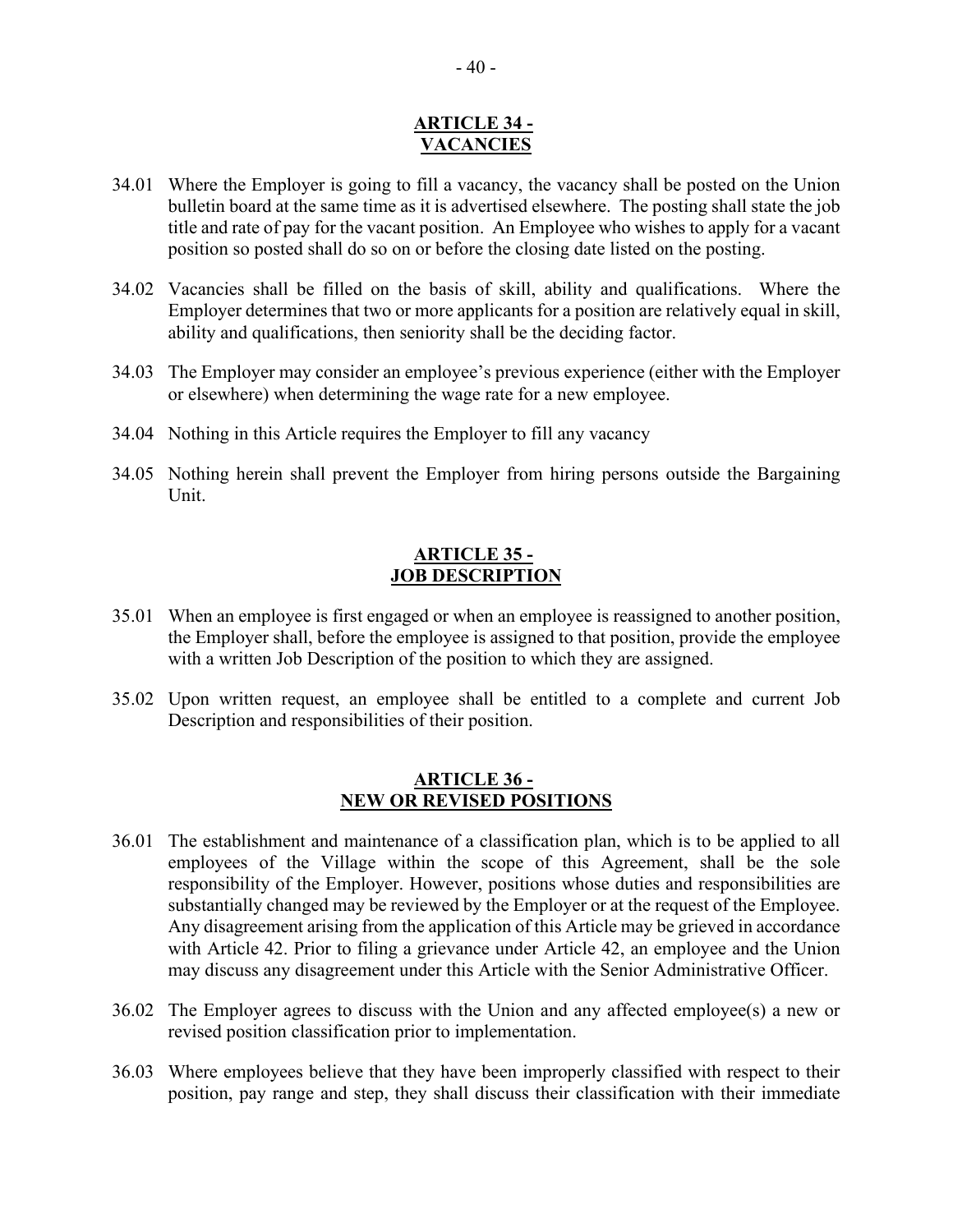#### **ARTICLE 34 - VACANCIES**

- <span id="page-39-0"></span>34.01 Where the Employer is going to fill a vacancy, the vacancy shall be posted on the Union bulletin board at the same time as it is advertised elsewhere. The posting shall state the job title and rate of pay for the vacant position. An Employee who wishes to apply for a vacant position so posted shall do so on or before the closing date listed on the posting.
- 34.02 Vacancies shall be filled on the basis of skill, ability and qualifications. Where the Employer determines that two or more applicants for a position are relatively equal in skill, ability and qualifications, then seniority shall be the deciding factor.
- 34.03 The Employer may consider an employee's previous experience (either with the Employer or elsewhere) when determining the wage rate for a new employee.
- 34.04 Nothing in this Article requires the Employer to fill any vacancy
- 34.05 Nothing herein shall prevent the Employer from hiring persons outside the Bargaining Unit.

#### **ARTICLE 35 - JOB DESCRIPTION**

- <span id="page-39-1"></span>35.01 When an employee is first engaged or when an employee is reassigned to another position, the Employer shall, before the employee is assigned to that position, provide the employee with a written Job Description of the position to which they are assigned.
- 35.02 Upon written request, an employee shall be entitled to a complete and current Job Description and responsibilities of their position.

#### **ARTICLE 36 - NEW OR REVISED POSITIONS**

- <span id="page-39-2"></span>36.01 The establishment and maintenance of a classification plan, which is to be applied to all employees of the Village within the scope of this Agreement, shall be the sole responsibility of the Employer. However, positions whose duties and responsibilities are substantially changed may be reviewed by the Employer or at the request of the Employee. Any disagreement arising from the application of this Article may be grieved in accordance with Article 42. Prior to filing a grievance under Article 42, an employee and the Union may discuss any disagreement under this Article with the Senior Administrative Officer.
- 36.02 The Employer agrees to discuss with the Union and any affected employee(s) a new or revised position classification prior to implementation.
- 36.03 Where employees believe that they have been improperly classified with respect to their position, pay range and step, they shall discuss their classification with their immediate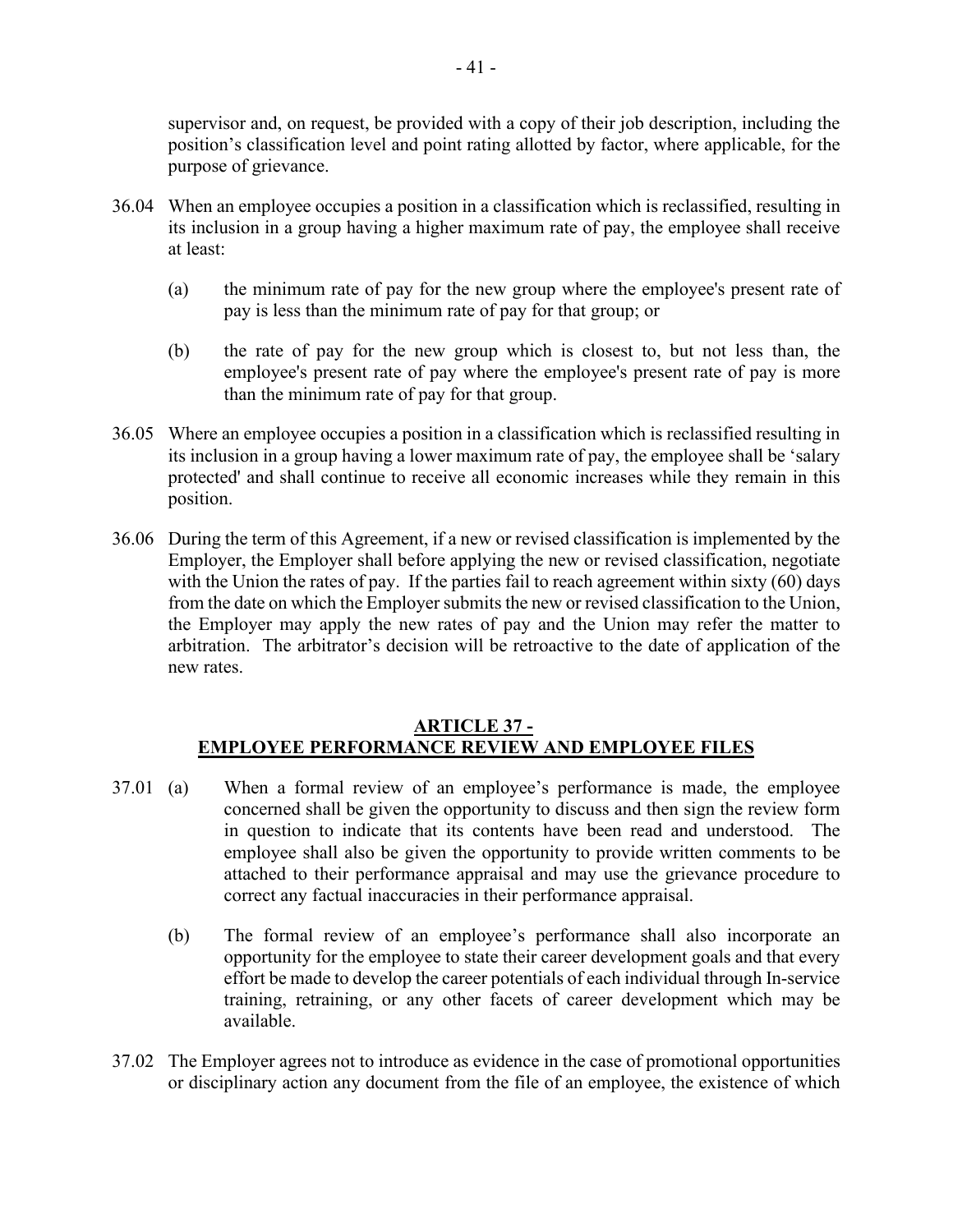supervisor and, on request, be provided with a copy of their job description, including the position's classification level and point rating allotted by factor, where applicable, for the purpose of grievance.

- 36.04 When an employee occupies a position in a classification which is reclassified, resulting in its inclusion in a group having a higher maximum rate of pay, the employee shall receive at least:
	- (a) the minimum rate of pay for the new group where the employee's present rate of pay is less than the minimum rate of pay for that group; or
	- (b) the rate of pay for the new group which is closest to, but not less than, the employee's present rate of pay where the employee's present rate of pay is more than the minimum rate of pay for that group.
- 36.05 Where an employee occupies a position in a classification which is reclassified resulting in its inclusion in a group having a lower maximum rate of pay, the employee shall be 'salary protected' and shall continue to receive all economic increases while they remain in this position.
- 36.06 During the term of this Agreement, if a new or revised classification is implemented by the Employer, the Employer shall before applying the new or revised classification, negotiate with the Union the rates of pay. If the parties fail to reach agreement within sixty (60) days from the date on which the Employer submits the new or revised classification to the Union, the Employer may apply the new rates of pay and the Union may refer the matter to arbitration. The arbitrator's decision will be retroactive to the date of application of the new rates.

#### **ARTICLE 37 - EMPLOYEE PERFORMANCE REVIEW AND EMPLOYEE FILES**

- <span id="page-40-0"></span>37.01 (a) When a formal review of an employee's performance is made, the employee concerned shall be given the opportunity to discuss and then sign the review form in question to indicate that its contents have been read and understood. The employee shall also be given the opportunity to provide written comments to be attached to their performance appraisal and may use the grievance procedure to correct any factual inaccuracies in their performance appraisal.
	- (b) The formal review of an employee's performance shall also incorporate an opportunity for the employee to state their career development goals and that every effort be made to develop the career potentials of each individual through In-service training, retraining, or any other facets of career development which may be available.
- 37.02 The Employer agrees not to introduce as evidence in the case of promotional opportunities or disciplinary action any document from the file of an employee, the existence of which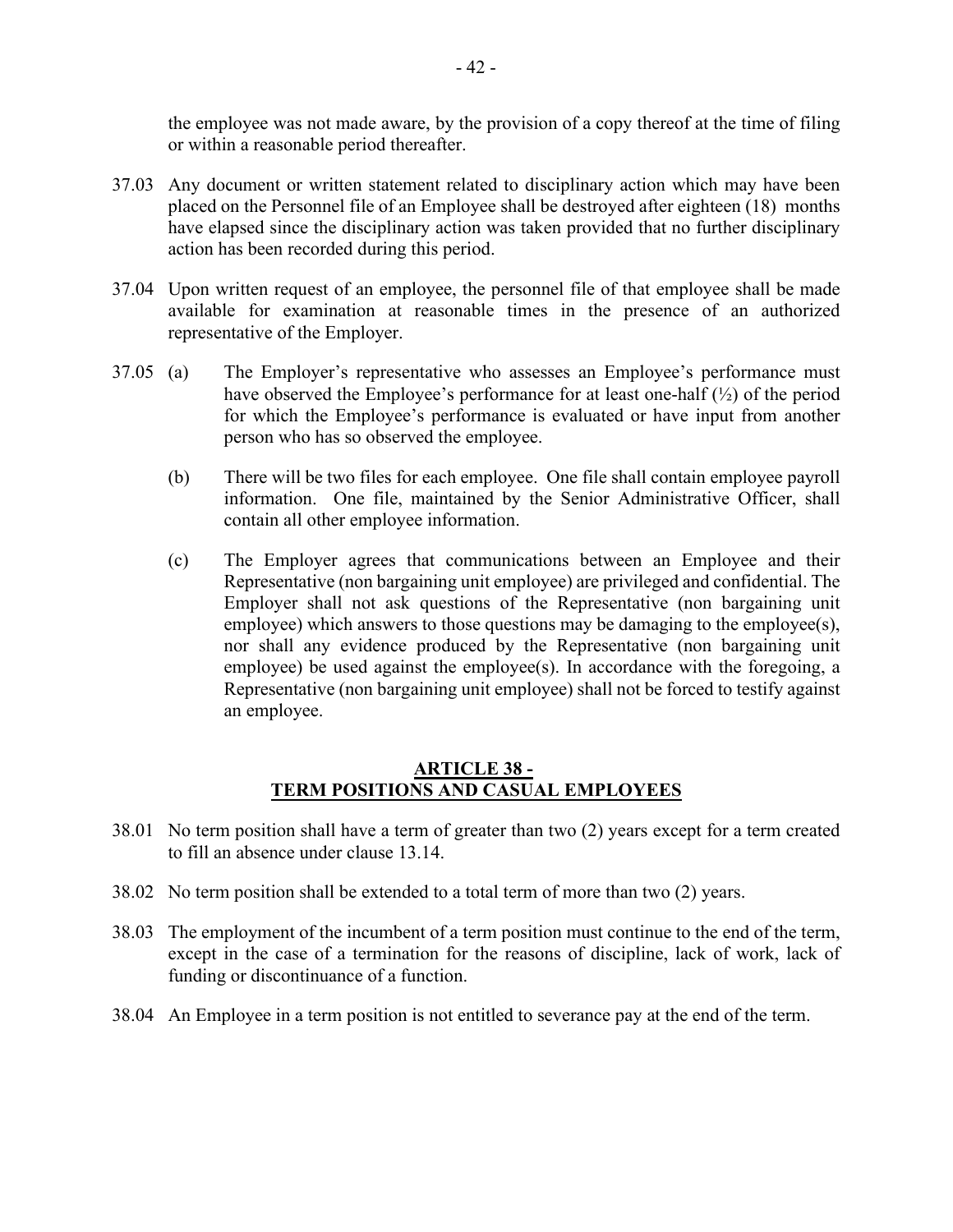the employee was not made aware, by the provision of a copy thereof at the time of filing or within a reasonable period thereafter.

- 37.03 Any document or written statement related to disciplinary action which may have been placed on the Personnel file of an Employee shall be destroyed after eighteen (18) months have elapsed since the disciplinary action was taken provided that no further disciplinary action has been recorded during this period.
- 37.04 Upon written request of an employee, the personnel file of that employee shall be made available for examination at reasonable times in the presence of an authorized representative of the Employer.
- 37.05 (a) The Employer's representative who assesses an Employee's performance must have observed the Employee's performance for at least one-half (½) of the period for which the Employee's performance is evaluated or have input from another person who has so observed the employee.
	- (b) There will be two files for each employee. One file shall contain employee payroll information. One file, maintained by the Senior Administrative Officer, shall contain all other employee information.
	- (c) The Employer agrees that communications between an Employee and their Representative (non bargaining unit employee) are privileged and confidential. The Employer shall not ask questions of the Representative (non bargaining unit employee) which answers to those questions may be damaging to the employee(s), nor shall any evidence produced by the Representative (non bargaining unit employee) be used against the employee(s). In accordance with the foregoing, a Representative (non bargaining unit employee) shall not be forced to testify against an employee.

#### **ARTICLE 38 - TERM POSITIONS AND CASUAL EMPLOYEES**

- <span id="page-41-0"></span>38.01 No term position shall have a term of greater than two (2) years except for a term created to fill an absence under clause 13.14.
- 38.02 No term position shall be extended to a total term of more than two (2) years.
- 38.03 The employment of the incumbent of a term position must continue to the end of the term, except in the case of a termination for the reasons of discipline, lack of work, lack of funding or discontinuance of a function.
- 38.04 An Employee in a term position is not entitled to severance pay at the end of the term.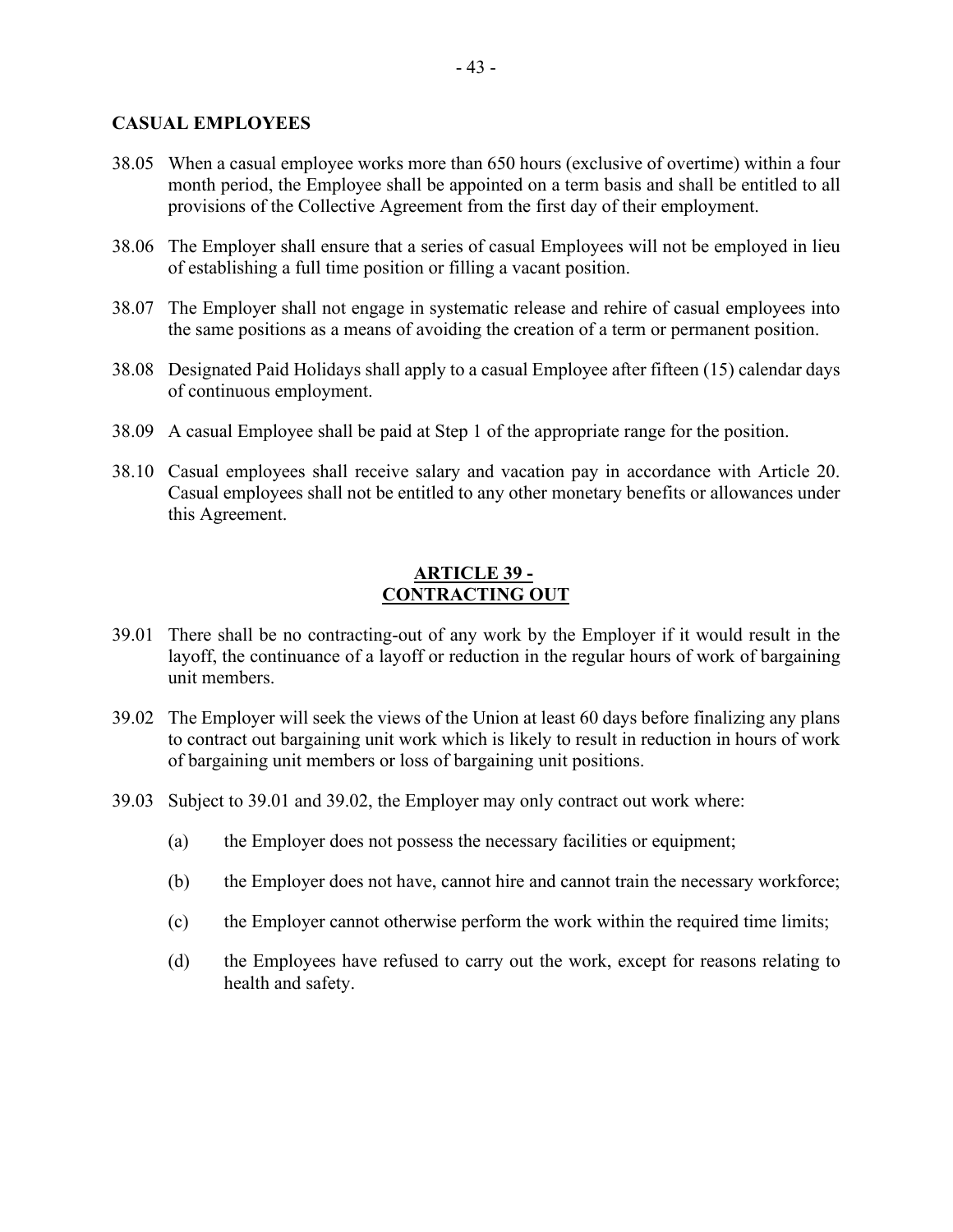#### **CASUAL EMPLOYEES**

- 38.05 When a casual employee works more than 650 hours (exclusive of overtime) within a four month period, the Employee shall be appointed on a term basis and shall be entitled to all provisions of the Collective Agreement from the first day of their employment.
- 38.06 The Employer shall ensure that a series of casual Employees will not be employed in lieu of establishing a full time position or filling a vacant position.
- 38.07 The Employer shall not engage in systematic release and rehire of casual employees into the same positions as a means of avoiding the creation of a term or permanent position.
- 38.08 Designated Paid Holidays shall apply to a casual Employee after fifteen (15) calendar days of continuous employment.
- 38.09 A casual Employee shall be paid at Step 1 of the appropriate range for the position.
- 38.10 Casual employees shall receive salary and vacation pay in accordance with Article 20. Casual employees shall not be entitled to any other monetary benefits or allowances under this Agreement.

# **ARTICLE 39 - CONTRACTING OUT**

- <span id="page-42-0"></span>39.01 There shall be no contracting-out of any work by the Employer if it would result in the layoff, the continuance of a layoff or reduction in the regular hours of work of bargaining unit members.
- 39.02 The Employer will seek the views of the Union at least 60 days before finalizing any plans to contract out bargaining unit work which is likely to result in reduction in hours of work of bargaining unit members or loss of bargaining unit positions.
- 39.03 Subject to 39.01 and 39.02, the Employer may only contract out work where:
	- (a) the Employer does not possess the necessary facilities or equipment;
	- (b) the Employer does not have, cannot hire and cannot train the necessary workforce;
	- (c) the Employer cannot otherwise perform the work within the required time limits;
	- (d) the Employees have refused to carry out the work, except for reasons relating to health and safety.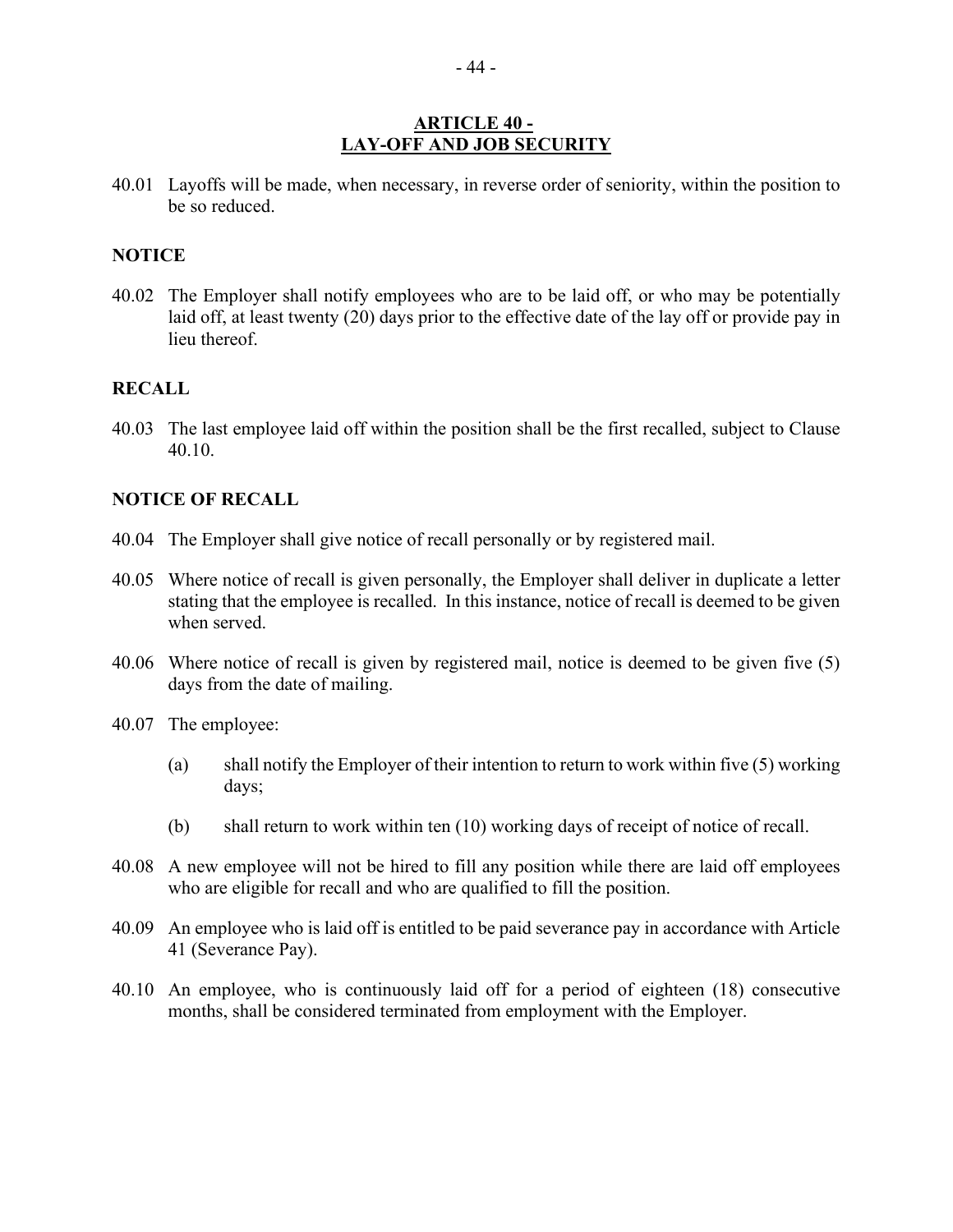#### **ARTICLE 40 - LAY-OFF AND JOB SECURITY**

<span id="page-43-0"></span>40.01 Layoffs will be made, when necessary, in reverse order of seniority, within the position to be so reduced.

#### **NOTICE**

40.02 The Employer shall notify employees who are to be laid off, or who may be potentially laid off, at least twenty (20) days prior to the effective date of the lay off or provide pay in lieu thereof.

#### **RECALL**

40.03 The last employee laid off within the position shall be the first recalled, subject to Clause 40.10.

#### **NOTICE OF RECALL**

- 40.04 The Employer shall give notice of recall personally or by registered mail.
- 40.05 Where notice of recall is given personally, the Employer shall deliver in duplicate a letter stating that the employee is recalled. In this instance, notice of recall is deemed to be given when served.
- 40.06 Where notice of recall is given by registered mail, notice is deemed to be given five (5) days from the date of mailing.
- 40.07 The employee:
	- (a) shall notify the Employer of their intention to return to work within five (5) working days;
	- (b) shall return to work within ten (10) working days of receipt of notice of recall.
- 40.08 A new employee will not be hired to fill any position while there are laid off employees who are eligible for recall and who are qualified to fill the position.
- 40.09 An employee who is laid off is entitled to be paid severance pay in accordance with Article 41 (Severance Pay).
- 40.10 An employee, who is continuously laid off for a period of eighteen (18) consecutive months, shall be considered terminated from employment with the Employer.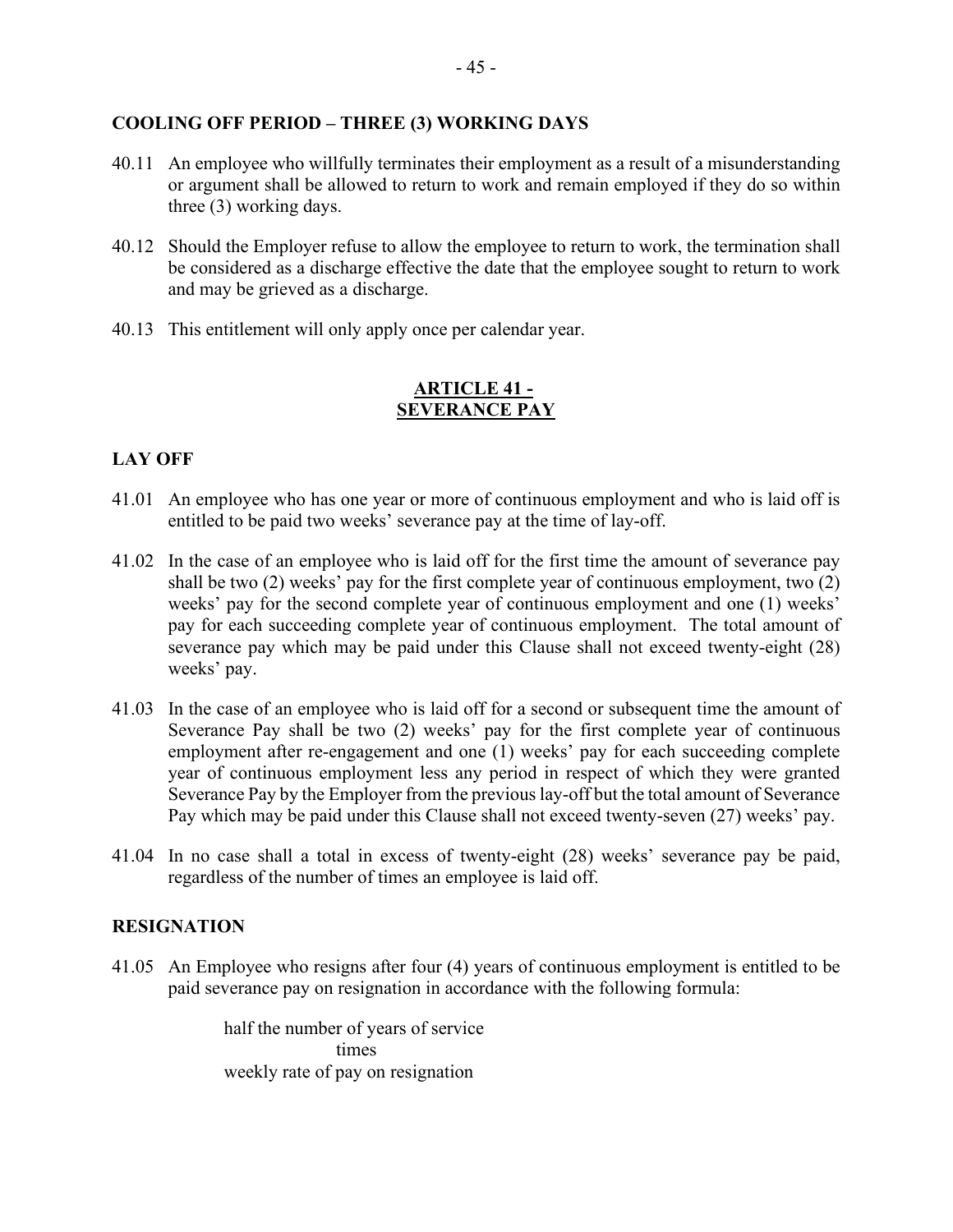#### **COOLING OFF PERIOD – THREE (3) WORKING DAYS**

- 40.11 An employee who willfully terminates their employment as a result of a misunderstanding or argument shall be allowed to return to work and remain employed if they do so within three (3) working days.
- 40.12 Should the Employer refuse to allow the employee to return to work, the termination shall be considered as a discharge effective the date that the employee sought to return to work and may be grieved as a discharge.
- 40.13 This entitlement will only apply once per calendar year.

#### **ARTICLE 41 - SEVERANCE PAY**

#### <span id="page-44-0"></span>**LAY OFF**

- 41.01 An employee who has one year or more of continuous employment and who is laid off is entitled to be paid two weeks' severance pay at the time of lay-off.
- 41.02 In the case of an employee who is laid off for the first time the amount of severance pay shall be two (2) weeks' pay for the first complete year of continuous employment, two (2) weeks' pay for the second complete year of continuous employment and one (1) weeks' pay for each succeeding complete year of continuous employment. The total amount of severance pay which may be paid under this Clause shall not exceed twenty-eight (28) weeks' pay.
- 41.03 In the case of an employee who is laid off for a second or subsequent time the amount of Severance Pay shall be two (2) weeks' pay for the first complete year of continuous employment after re-engagement and one (1) weeks' pay for each succeeding complete year of continuous employment less any period in respect of which they were granted Severance Pay by the Employer from the previous lay-off but the total amount of Severance Pay which may be paid under this Clause shall not exceed twenty-seven (27) weeks' pay.
- 41.04 In no case shall a total in excess of twenty-eight (28) weeks' severance pay be paid, regardless of the number of times an employee is laid off.

#### **RESIGNATION**

41.05 An Employee who resigns after four (4) years of continuous employment is entitled to be paid severance pay on resignation in accordance with the following formula:

> half the number of years of service times weekly rate of pay on resignation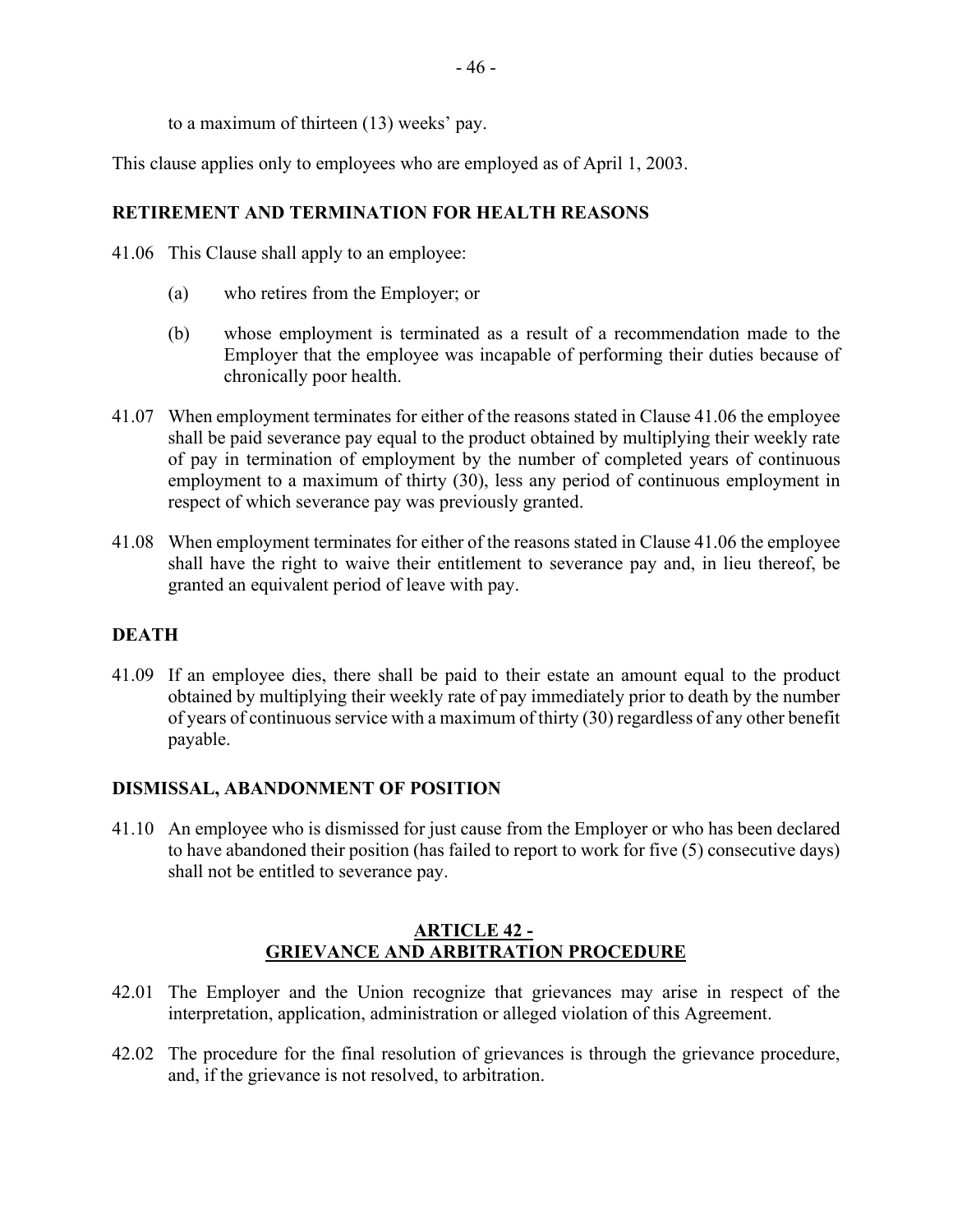to a maximum of thirteen (13) weeks' pay.

This clause applies only to employees who are employed as of April 1, 2003.

#### **RETIREMENT AND TERMINATION FOR HEALTH REASONS**

- 41.06 This Clause shall apply to an employee:
	- (a) who retires from the Employer; or
	- (b) whose employment is terminated as a result of a recommendation made to the Employer that the employee was incapable of performing their duties because of chronically poor health.
- 41.07 When employment terminates for either of the reasons stated in Clause 41.06 the employee shall be paid severance pay equal to the product obtained by multiplying their weekly rate of pay in termination of employment by the number of completed years of continuous employment to a maximum of thirty (30), less any period of continuous employment in respect of which severance pay was previously granted.
- 41.08 When employment terminates for either of the reasons stated in Clause 41.06 the employee shall have the right to waive their entitlement to severance pay and, in lieu thereof, be granted an equivalent period of leave with pay.

#### **DEATH**

41.09 If an employee dies, there shall be paid to their estate an amount equal to the product obtained by multiplying their weekly rate of pay immediately prior to death by the number of years of continuous service with a maximum of thirty (30) regardless of any other benefit payable.

#### **DISMISSAL, ABANDONMENT OF POSITION**

41.10 An employee who is dismissed for just cause from the Employer or who has been declared to have abandoned their position (has failed to report to work for five (5) consecutive days) shall not be entitled to severance pay.

#### **ARTICLE 42 - GRIEVANCE AND ARBITRATION PROCEDURE**

- <span id="page-45-0"></span>42.01 The Employer and the Union recognize that grievances may arise in respect of the interpretation, application, administration or alleged violation of this Agreement.
- 42.02 The procedure for the final resolution of grievances is through the grievance procedure, and, if the grievance is not resolved, to arbitration.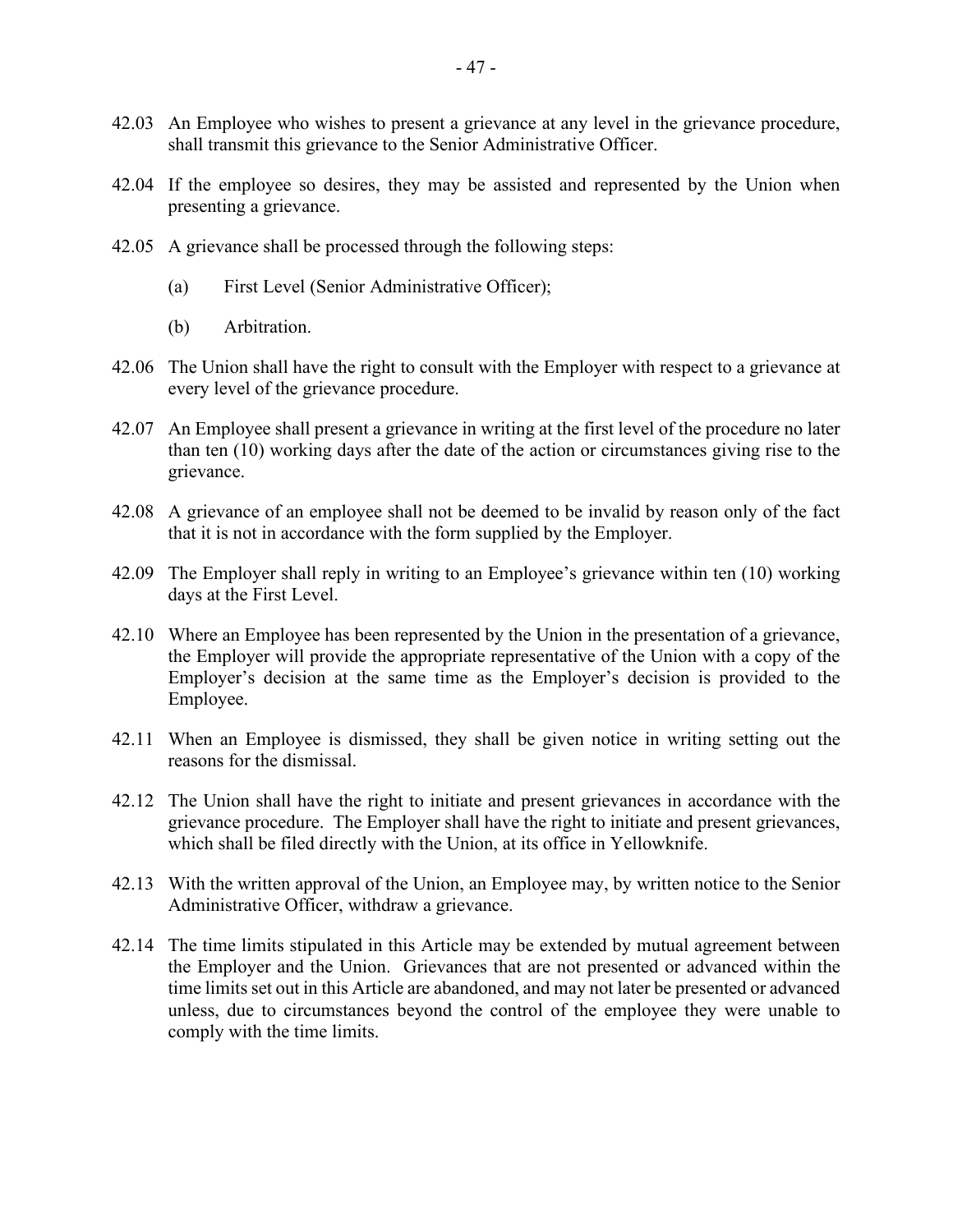- 42.03 An Employee who wishes to present a grievance at any level in the grievance procedure, shall transmit this grievance to the Senior Administrative Officer.
- 42.04 If the employee so desires, they may be assisted and represented by the Union when presenting a grievance.
- 42.05 A grievance shall be processed through the following steps:
	- (a) First Level (Senior Administrative Officer);
	- (b) Arbitration.
- 42.06 The Union shall have the right to consult with the Employer with respect to a grievance at every level of the grievance procedure.
- 42.07 An Employee shall present a grievance in writing at the first level of the procedure no later than ten (10) working days after the date of the action or circumstances giving rise to the grievance.
- 42.08 A grievance of an employee shall not be deemed to be invalid by reason only of the fact that it is not in accordance with the form supplied by the Employer.
- 42.09 The Employer shall reply in writing to an Employee's grievance within ten (10) working days at the First Level.
- 42.10 Where an Employee has been represented by the Union in the presentation of a grievance, the Employer will provide the appropriate representative of the Union with a copy of the Employer's decision at the same time as the Employer's decision is provided to the Employee.
- 42.11 When an Employee is dismissed, they shall be given notice in writing setting out the reasons for the dismissal.
- 42.12 The Union shall have the right to initiate and present grievances in accordance with the grievance procedure. The Employer shall have the right to initiate and present grievances, which shall be filed directly with the Union, at its office in Yellowknife.
- 42.13 With the written approval of the Union, an Employee may, by written notice to the Senior Administrative Officer, withdraw a grievance.
- 42.14 The time limits stipulated in this Article may be extended by mutual agreement between the Employer and the Union. Grievances that are not presented or advanced within the time limits set out in this Article are abandoned, and may not later be presented or advanced unless, due to circumstances beyond the control of the employee they were unable to comply with the time limits.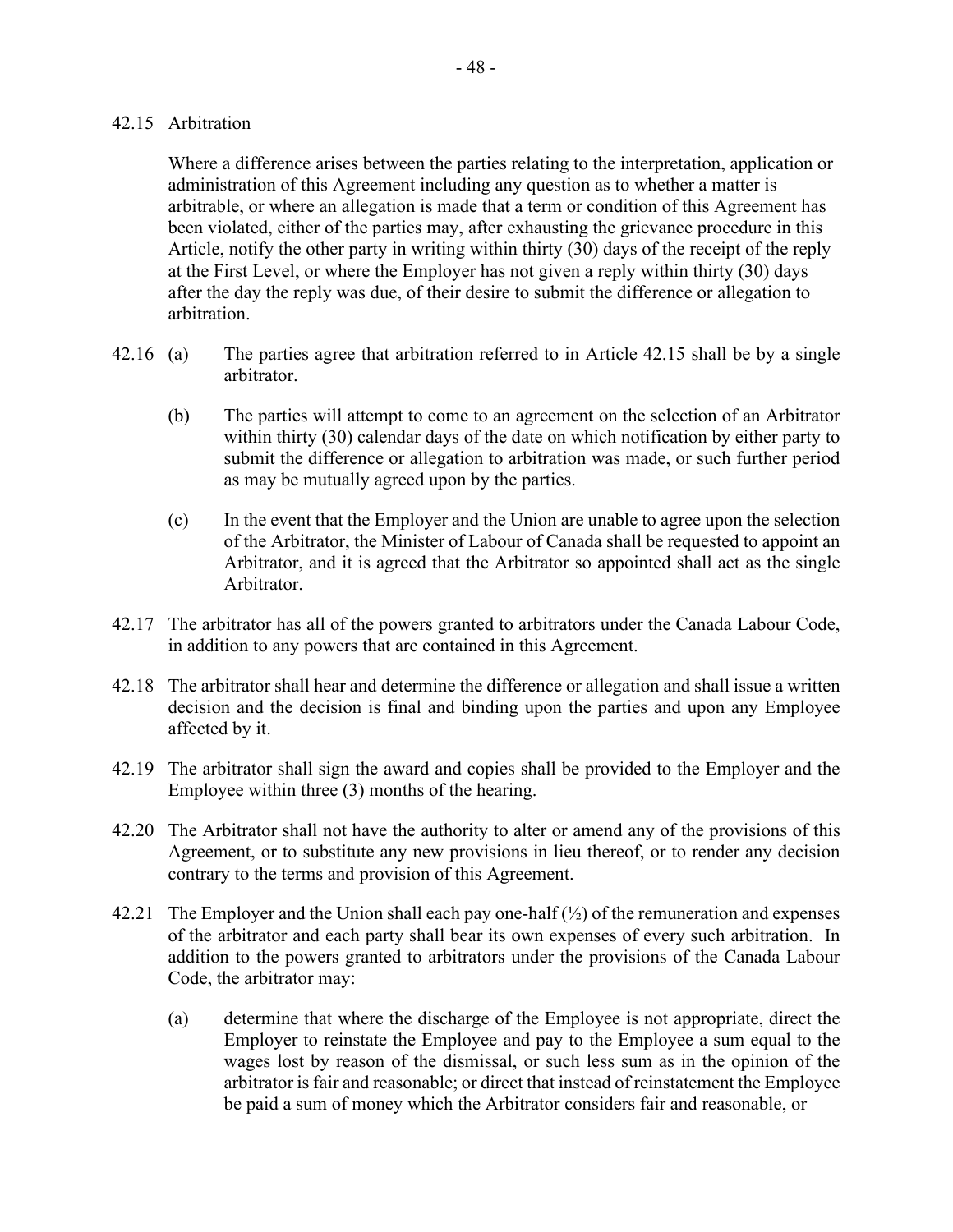#### 42.15 Arbitration

Where a difference arises between the parties relating to the interpretation, application or administration of this Agreement including any question as to whether a matter is arbitrable, or where an allegation is made that a term or condition of this Agreement has been violated, either of the parties may, after exhausting the grievance procedure in this Article, notify the other party in writing within thirty (30) days of the receipt of the reply at the First Level, or where the Employer has not given a reply within thirty (30) days after the day the reply was due, of their desire to submit the difference or allegation to arbitration.

- 42.16 (a) The parties agree that arbitration referred to in Article 42.15 shall be by a single arbitrator.
	- (b) The parties will attempt to come to an agreement on the selection of an Arbitrator within thirty (30) calendar days of the date on which notification by either party to submit the difference or allegation to arbitration was made, or such further period as may be mutually agreed upon by the parties.
	- (c) In the event that the Employer and the Union are unable to agree upon the selection of the Arbitrator, the Minister of Labour of Canada shall be requested to appoint an Arbitrator, and it is agreed that the Arbitrator so appointed shall act as the single Arbitrator.
- 42.17 The arbitrator has all of the powers granted to arbitrators under the Canada Labour Code, in addition to any powers that are contained in this Agreement.
- 42.18 The arbitrator shall hear and determine the difference or allegation and shall issue a written decision and the decision is final and binding upon the parties and upon any Employee affected by it.
- 42.19 The arbitrator shall sign the award and copies shall be provided to the Employer and the Employee within three (3) months of the hearing.
- 42.20 The Arbitrator shall not have the authority to alter or amend any of the provisions of this Agreement, or to substitute any new provisions in lieu thereof, or to render any decision contrary to the terms and provision of this Agreement.
- 42.21 The Employer and the Union shall each pay one-half  $(\frac{1}{2})$  of the remuneration and expenses of the arbitrator and each party shall bear its own expenses of every such arbitration. In addition to the powers granted to arbitrators under the provisions of the Canada Labour Code, the arbitrator may:
	- (a) determine that where the discharge of the Employee is not appropriate, direct the Employer to reinstate the Employee and pay to the Employee a sum equal to the wages lost by reason of the dismissal, or such less sum as in the opinion of the arbitrator is fair and reasonable; or direct that instead of reinstatement the Employee be paid a sum of money which the Arbitrator considers fair and reasonable, or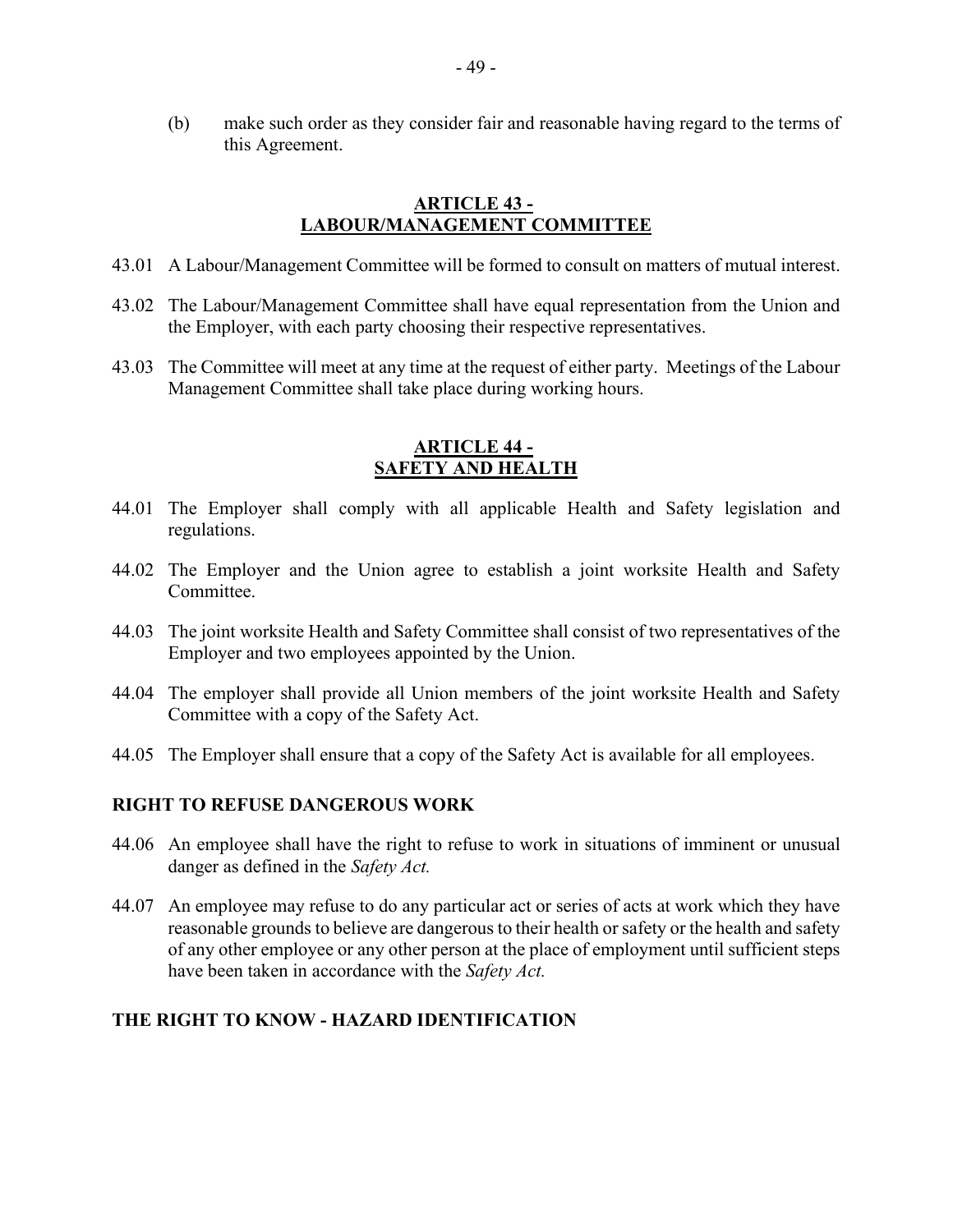(b) make such order as they consider fair and reasonable having regard to the terms of this Agreement.

#### **ARTICLE 43 - LABOUR/MANAGEMENT COMMITTEE**

- <span id="page-48-0"></span>43.01 A Labour/Management Committee will be formed to consult on matters of mutual interest.
- 43.02 The Labour/Management Committee shall have equal representation from the Union and the Employer, with each party choosing their respective representatives.
- 43.03 The Committee will meet at any time at the request of either party. Meetings of the Labour Management Committee shall take place during working hours.

## **ARTICLE 44 - SAFETY AND HEALTH**

- <span id="page-48-1"></span>44.01 The Employer shall comply with all applicable Health and Safety legislation and regulations.
- 44.02 The Employer and the Union agree to establish a joint worksite Health and Safety Committee.
- 44.03 The joint worksite Health and Safety Committee shall consist of two representatives of the Employer and two employees appointed by the Union.
- 44.04 The employer shall provide all Union members of the joint worksite Health and Safety Committee with a copy of the Safety Act.
- 44.05 The Employer shall ensure that a copy of the Safety Act is available for all employees.

#### **RIGHT TO REFUSE DANGEROUS WORK**

- 44.06 An employee shall have the right to refuse to work in situations of imminent or unusual danger as defined in the *Safety Act.*
- 44.07 An employee may refuse to do any particular act or series of acts at work which they have reasonable grounds to believe are dangerous to their health or safety or the health and safety of any other employee or any other person at the place of employment until sufficient steps have been taken in accordance with the *Safety Act.*

#### **THE RIGHT TO KNOW - HAZARD IDENTIFICATION**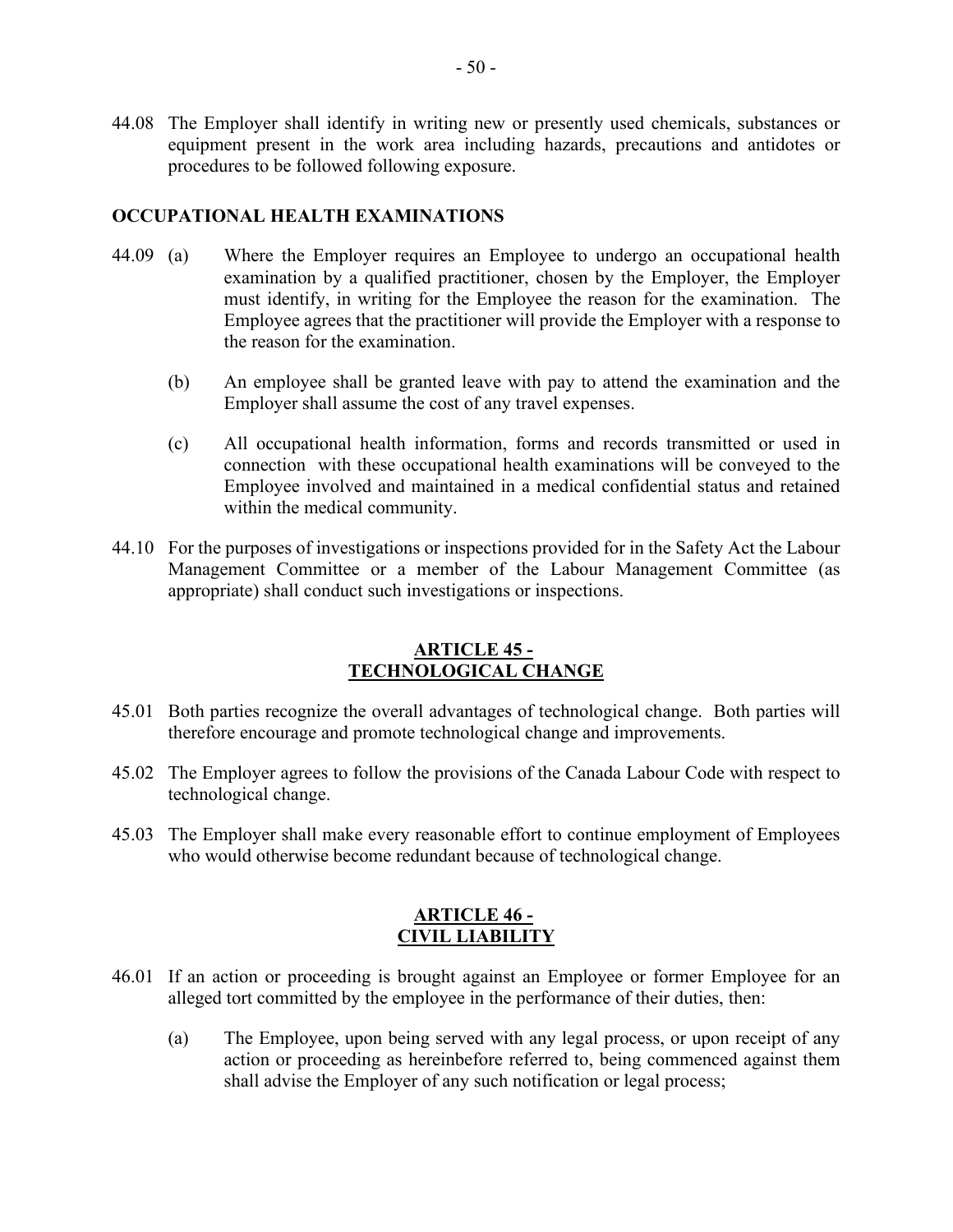44.08 The Employer shall identify in writing new or presently used chemicals, substances or equipment present in the work area including hazards, precautions and antidotes or procedures to be followed following exposure.

#### **OCCUPATIONAL HEALTH EXAMINATIONS**

- 44.09 (a) Where the Employer requires an Employee to undergo an occupational health examination by a qualified practitioner, chosen by the Employer, the Employer must identify, in writing for the Employee the reason for the examination. The Employee agrees that the practitioner will provide the Employer with a response to the reason for the examination.
	- (b) An employee shall be granted leave with pay to attend the examination and the Employer shall assume the cost of any travel expenses.
	- (c) All occupational health information, forms and records transmitted or used in connection with these occupational health examinations will be conveyed to the Employee involved and maintained in a medical confidential status and retained within the medical community.
- 44.10 For the purposes of investigations or inspections provided for in the Safety Act the Labour Management Committee or a member of the Labour Management Committee (as appropriate) shall conduct such investigations or inspections.

#### **ARTICLE 45 - TECHNOLOGICAL CHANGE**

- <span id="page-49-0"></span>45.01 Both parties recognize the overall advantages of technological change. Both parties will therefore encourage and promote technological change and improvements.
- 45.02 The Employer agrees to follow the provisions of the Canada Labour Code with respect to technological change.
- 45.03 The Employer shall make every reasonable effort to continue employment of Employees who would otherwise become redundant because of technological change.

#### **ARTICLE 46 - CIVIL LIABILITY**

- <span id="page-49-1"></span>46.01 If an action or proceeding is brought against an Employee or former Employee for an alleged tort committed by the employee in the performance of their duties, then:
	- (a) The Employee, upon being served with any legal process, or upon receipt of any action or proceeding as hereinbefore referred to, being commenced against them shall advise the Employer of any such notification or legal process;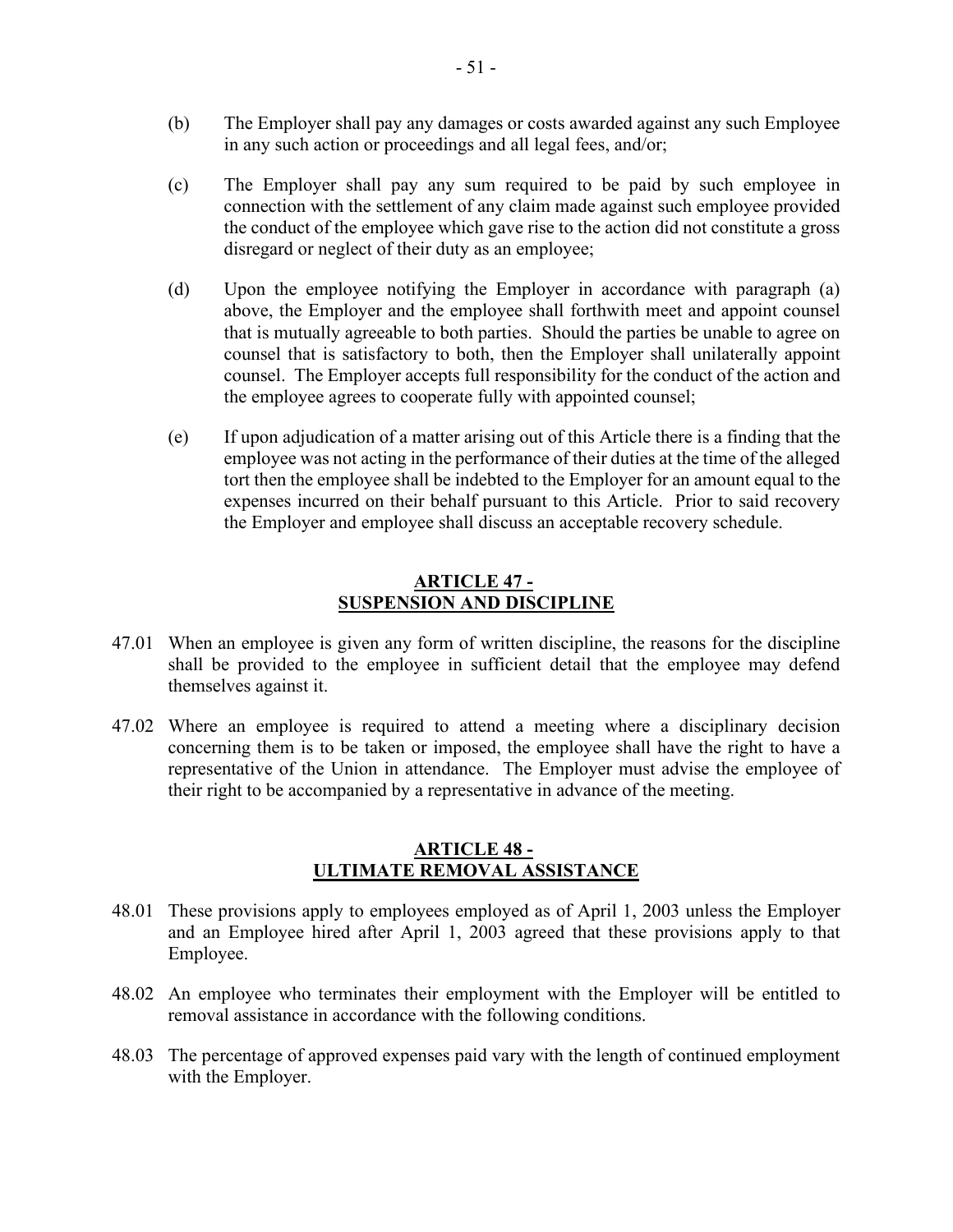- (b) The Employer shall pay any damages or costs awarded against any such Employee in any such action or proceedings and all legal fees, and/or;
- (c) The Employer shall pay any sum required to be paid by such employee in connection with the settlement of any claim made against such employee provided the conduct of the employee which gave rise to the action did not constitute a gross disregard or neglect of their duty as an employee;
- (d) Upon the employee notifying the Employer in accordance with paragraph (a) above, the Employer and the employee shall forthwith meet and appoint counsel that is mutually agreeable to both parties. Should the parties be unable to agree on counsel that is satisfactory to both, then the Employer shall unilaterally appoint counsel. The Employer accepts full responsibility for the conduct of the action and the employee agrees to cooperate fully with appointed counsel;
- (e) If upon adjudication of a matter arising out of this Article there is a finding that the employee was not acting in the performance of their duties at the time of the alleged tort then the employee shall be indebted to the Employer for an amount equal to the expenses incurred on their behalf pursuant to this Article. Prior to said recovery the Employer and employee shall discuss an acceptable recovery schedule.

#### **ARTICLE 47 - SUSPENSION AND DISCIPLINE**

- <span id="page-50-0"></span>47.01 When an employee is given any form of written discipline, the reasons for the discipline shall be provided to the employee in sufficient detail that the employee may defend themselves against it.
- 47.02 Where an employee is required to attend a meeting where a disciplinary decision concerning them is to be taken or imposed, the employee shall have the right to have a representative of the Union in attendance. The Employer must advise the employee of their right to be accompanied by a representative in advance of the meeting.

#### **ARTICLE 48 - ULTIMATE REMOVAL ASSISTANCE**

- <span id="page-50-1"></span>48.01 These provisions apply to employees employed as of April 1, 2003 unless the Employer and an Employee hired after April 1, 2003 agreed that these provisions apply to that Employee.
- 48.02 An employee who terminates their employment with the Employer will be entitled to removal assistance in accordance with the following conditions.
- 48.03 The percentage of approved expenses paid vary with the length of continued employment with the Employer.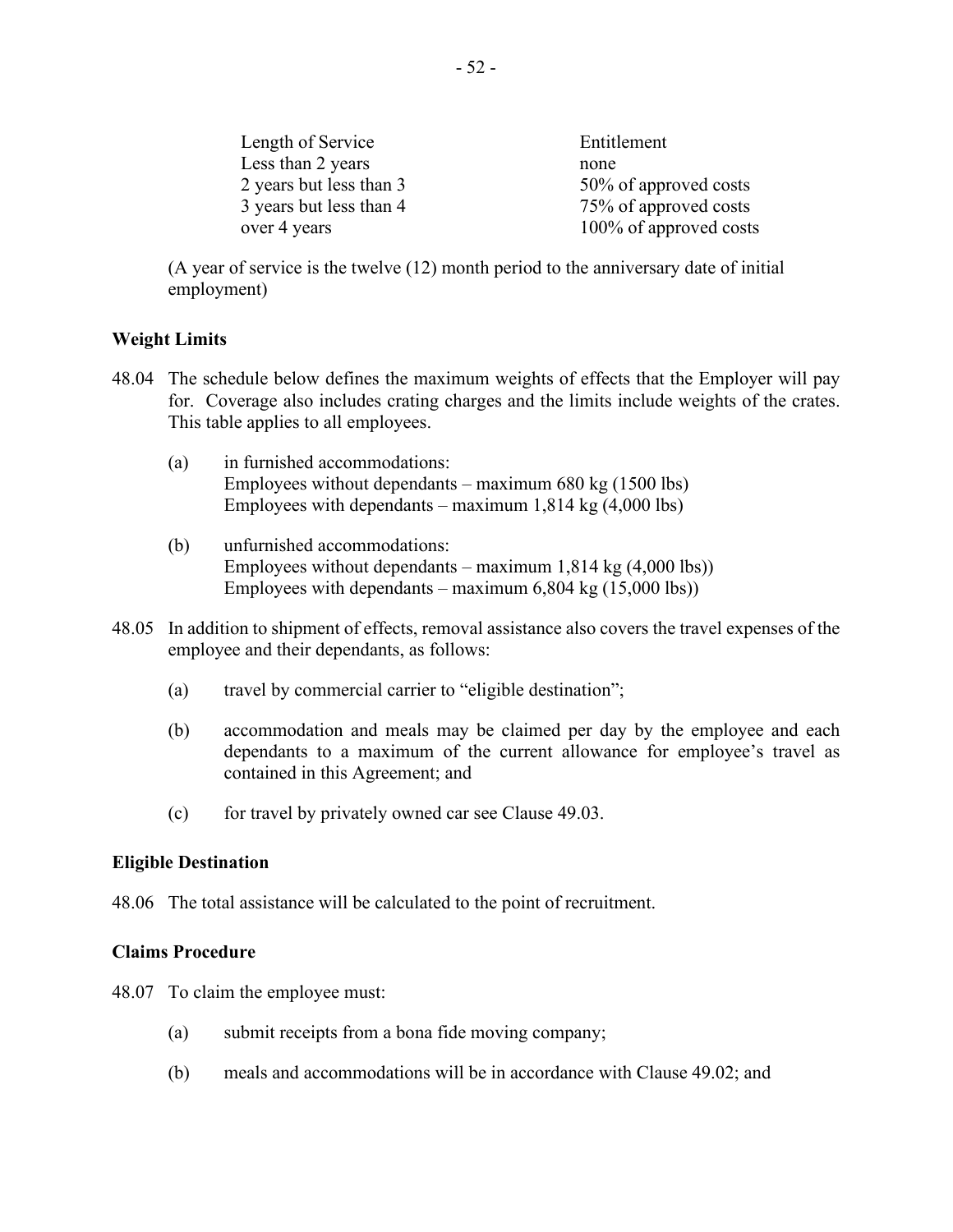| Length of Service       | Entitlement            |
|-------------------------|------------------------|
| Less than 2 years       | none                   |
| 2 years but less than 3 | 50% of approved costs  |
| 3 years but less than 4 | 75% of approved costs  |
| over 4 years            | 100% of approved costs |

(A year of service is the twelve (12) month period to the anniversary date of initial employment)

#### **Weight Limits**

- 48.04 The schedule below defines the maximum weights of effects that the Employer will pay for. Coverage also includes crating charges and the limits include weights of the crates. This table applies to all employees.
	- (a) in furnished accommodations: Employees without dependants – maximum  $680 \text{ kg}$  (1500 lbs) Employees with dependants – maximum  $1,814 \text{ kg}$  (4,000 lbs)
	- (b) unfurnished accommodations: Employees without dependants – maximum  $1,814 \text{ kg} (4,000 \text{ lbs})$ Employees with dependants – maximum  $6,804 \text{ kg} (15,000 \text{ lbs})$
- 48.05 In addition to shipment of effects, removal assistance also covers the travel expenses of the employee and their dependants, as follows:
	- (a) travel by commercial carrier to "eligible destination";
	- (b) accommodation and meals may be claimed per day by the employee and each dependants to a maximum of the current allowance for employee's travel as contained in this Agreement; and
	- (c) for travel by privately owned car see Clause 49.03.

#### **Eligible Destination**

48.06 The total assistance will be calculated to the point of recruitment.

#### **Claims Procedure**

48.07 To claim the employee must:

- (a) submit receipts from a bona fide moving company;
- (b) meals and accommodations will be in accordance with Clause 49.02; and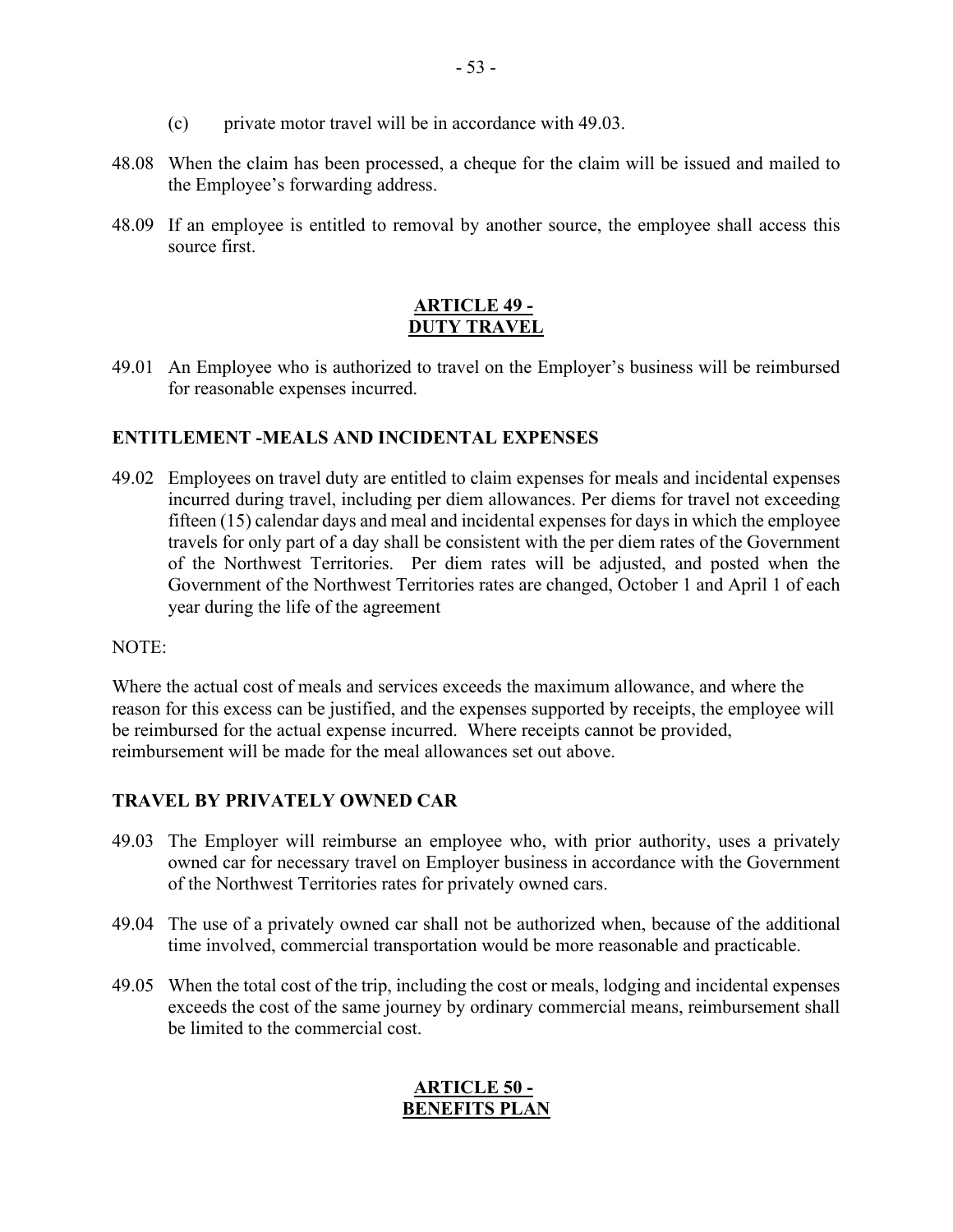- (c) private motor travel will be in accordance with 49.03.
- 48.08 When the claim has been processed, a cheque for the claim will be issued and mailed to the Employee's forwarding address.
- 48.09 If an employee is entitled to removal by another source, the employee shall access this source first.

#### **ARTICLE 49 - DUTY TRAVEL**

<span id="page-52-0"></span>49.01 An Employee who is authorized to travel on the Employer's business will be reimbursed for reasonable expenses incurred.

#### **ENTITLEMENT -MEALS AND INCIDENTAL EXPENSES**

49.02 Employees on travel duty are entitled to claim expenses for meals and incidental expenses incurred during travel, including per diem allowances. Per diems for travel not exceeding fifteen (15) calendar days and meal and incidental expenses for days in which the employee travels for only part of a day shall be consistent with the per diem rates of the Government of the Northwest Territories.Per diem rates will be adjusted, and posted when the Government of the Northwest Territories rates are changed, October 1 and April 1 of each year during the life of the agreement

#### NOTE:

Where the actual cost of meals and services exceeds the maximum allowance, and where the reason for this excess can be justified, and the expenses supported by receipts, the employee will be reimbursed for the actual expense incurred. Where receipts cannot be provided, reimbursement will be made for the meal allowances set out above.

#### **TRAVEL BY PRIVATELY OWNED CAR**

- 49.03 The Employer will reimburse an employee who, with prior authority, uses a privately owned car for necessary travel on Employer business in accordance with the Government of the Northwest Territories rates for privately owned cars.
- 49.04 The use of a privately owned car shall not be authorized when, because of the additional time involved, commercial transportation would be more reasonable and practicable.
- <span id="page-52-1"></span>49.05 When the total cost of the trip, including the cost or meals, lodging and incidental expenses exceeds the cost of the same journey by ordinary commercial means, reimbursement shall be limited to the commercial cost.

# **ARTICLE 50 - BENEFITS PLAN**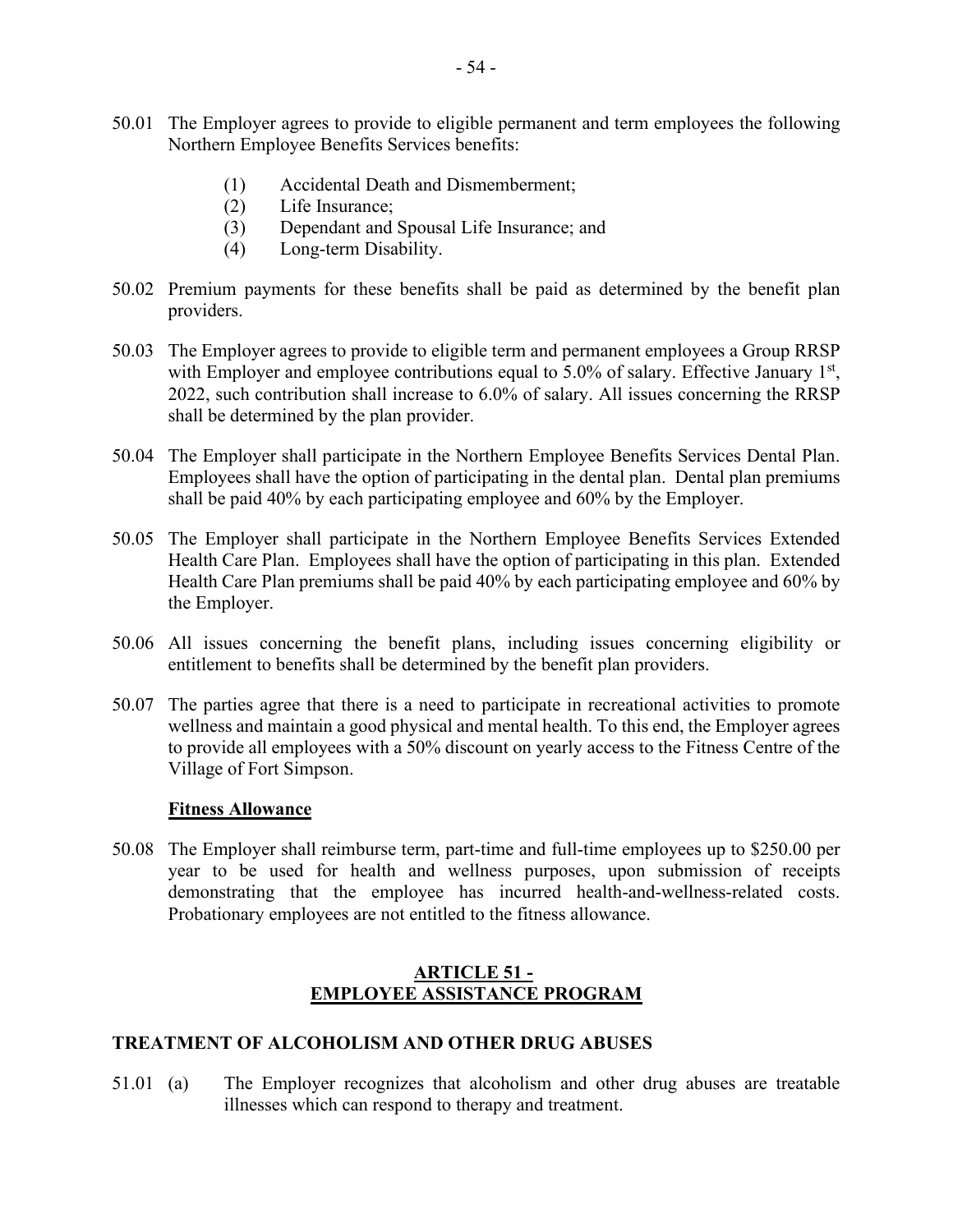- 50.01 The Employer agrees to provide to eligible permanent and term employees the following Northern Employee Benefits Services benefits:
	- (1) Accidental Death and Dismemberment;
	- (2) Life Insurance;
	- (3) Dependant and Spousal Life Insurance; and
	- (4) Long-term Disability.
- 50.02 Premium payments for these benefits shall be paid as determined by the benefit plan providers.
- 50.03 The Employer agrees to provide to eligible term and permanent employees a Group RRSP with Employer and employee contributions equal to  $5.0\%$  of salary. Effective January  $1<sup>st</sup>$ , 2022, such contribution shall increase to 6.0% of salary. All issues concerning the RRSP shall be determined by the plan provider.
- 50.04 The Employer shall participate in the Northern Employee Benefits Services Dental Plan. Employees shall have the option of participating in the dental plan. Dental plan premiums shall be paid 40% by each participating employee and 60% by the Employer.
- 50.05 The Employer shall participate in the Northern Employee Benefits Services Extended Health Care Plan. Employees shall have the option of participating in this plan. Extended Health Care Plan premiums shall be paid 40% by each participating employee and 60% by the Employer.
- 50.06 All issues concerning the benefit plans, including issues concerning eligibility or entitlement to benefits shall be determined by the benefit plan providers.
- 50.07 The parties agree that there is a need to participate in recreational activities to promote wellness and maintain a good physical and mental health. To this end, the Employer agrees to provide all employees with a 50% discount on yearly access to the Fitness Centre of the Village of Fort Simpson.

#### **Fitness Allowance**

50.08 The Employer shall reimburse term, part-time and full-time employees up to \$250.00 per year to be used for health and wellness purposes, upon submission of receipts demonstrating that the employee has incurred health-and-wellness-related costs. Probationary employees are not entitled to the fitness allowance.

#### **ARTICLE 51 - EMPLOYEE ASSISTANCE PROGRAM**

#### <span id="page-53-0"></span>**TREATMENT OF ALCOHOLISM AND OTHER DRUG ABUSES**

51.01 (a) The Employer recognizes that alcoholism and other drug abuses are treatable illnesses which can respond to therapy and treatment.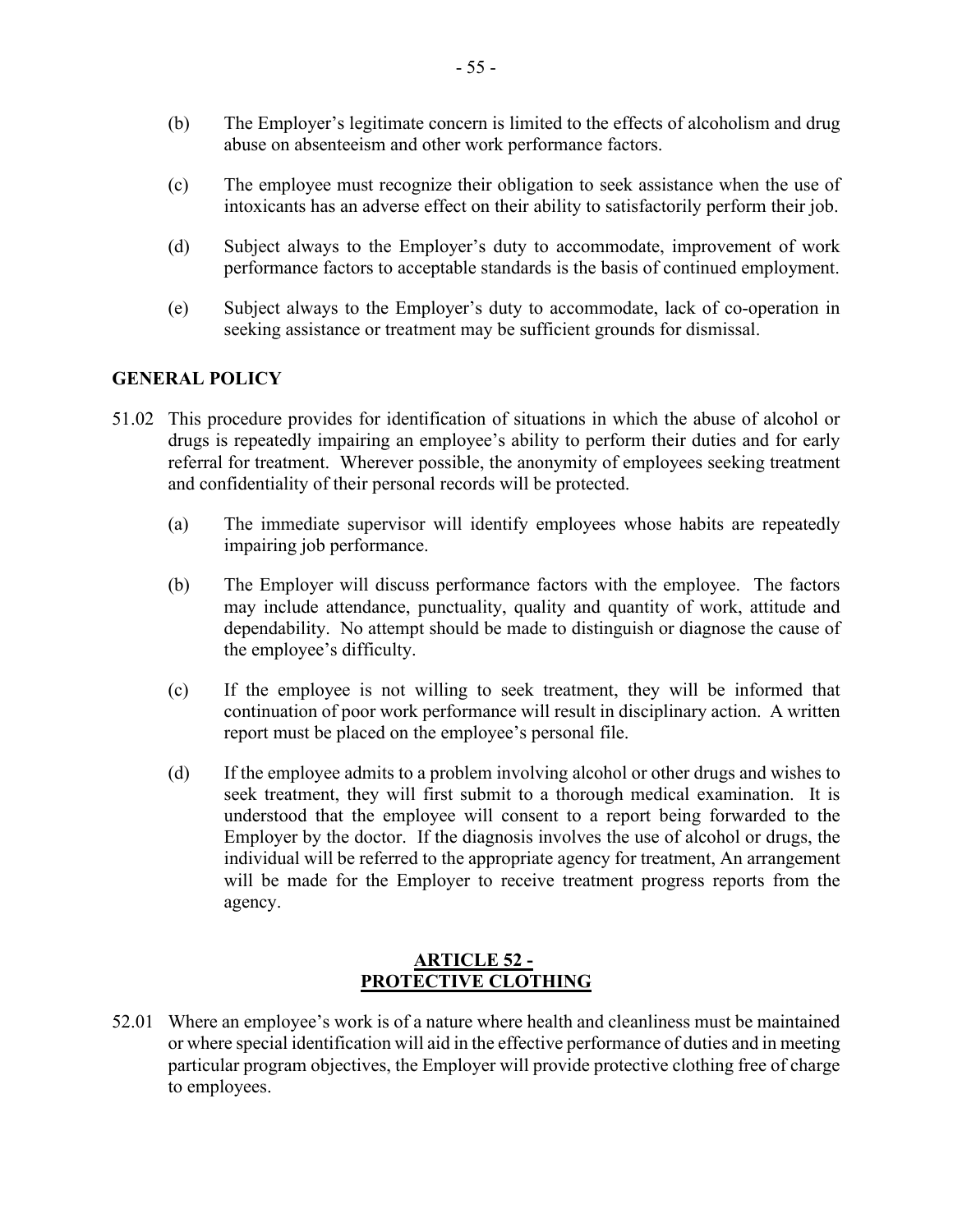- (b) The Employer's legitimate concern is limited to the effects of alcoholism and drug abuse on absenteeism and other work performance factors.
- (c) The employee must recognize their obligation to seek assistance when the use of intoxicants has an adverse effect on their ability to satisfactorily perform their job.
- (d) Subject always to the Employer's duty to accommodate, improvement of work performance factors to acceptable standards is the basis of continued employment.
- (e) Subject always to the Employer's duty to accommodate, lack of co-operation in seeking assistance or treatment may be sufficient grounds for dismissal.

#### **GENERAL POLICY**

- 51.02 This procedure provides for identification of situations in which the abuse of alcohol or drugs is repeatedly impairing an employee's ability to perform their duties and for early referral for treatment. Wherever possible, the anonymity of employees seeking treatment and confidentiality of their personal records will be protected.
	- (a) The immediate supervisor will identify employees whose habits are repeatedly impairing job performance.
	- (b) The Employer will discuss performance factors with the employee. The factors may include attendance, punctuality, quality and quantity of work, attitude and dependability. No attempt should be made to distinguish or diagnose the cause of the employee's difficulty.
	- (c) If the employee is not willing to seek treatment, they will be informed that continuation of poor work performance will result in disciplinary action. A written report must be placed on the employee's personal file.
	- (d) If the employee admits to a problem involving alcohol or other drugs and wishes to seek treatment, they will first submit to a thorough medical examination. It is understood that the employee will consent to a report being forwarded to the Employer by the doctor. If the diagnosis involves the use of alcohol or drugs, the individual will be referred to the appropriate agency for treatment, An arrangement will be made for the Employer to receive treatment progress reports from the agency.

# **ARTICLE 52 - PROTECTIVE CLOTHING**

<span id="page-54-0"></span>52.01 Where an employee's work is of a nature where health and cleanliness must be maintained or where special identification will aid in the effective performance of duties and in meeting particular program objectives, the Employer will provide protective clothing free of charge to employees.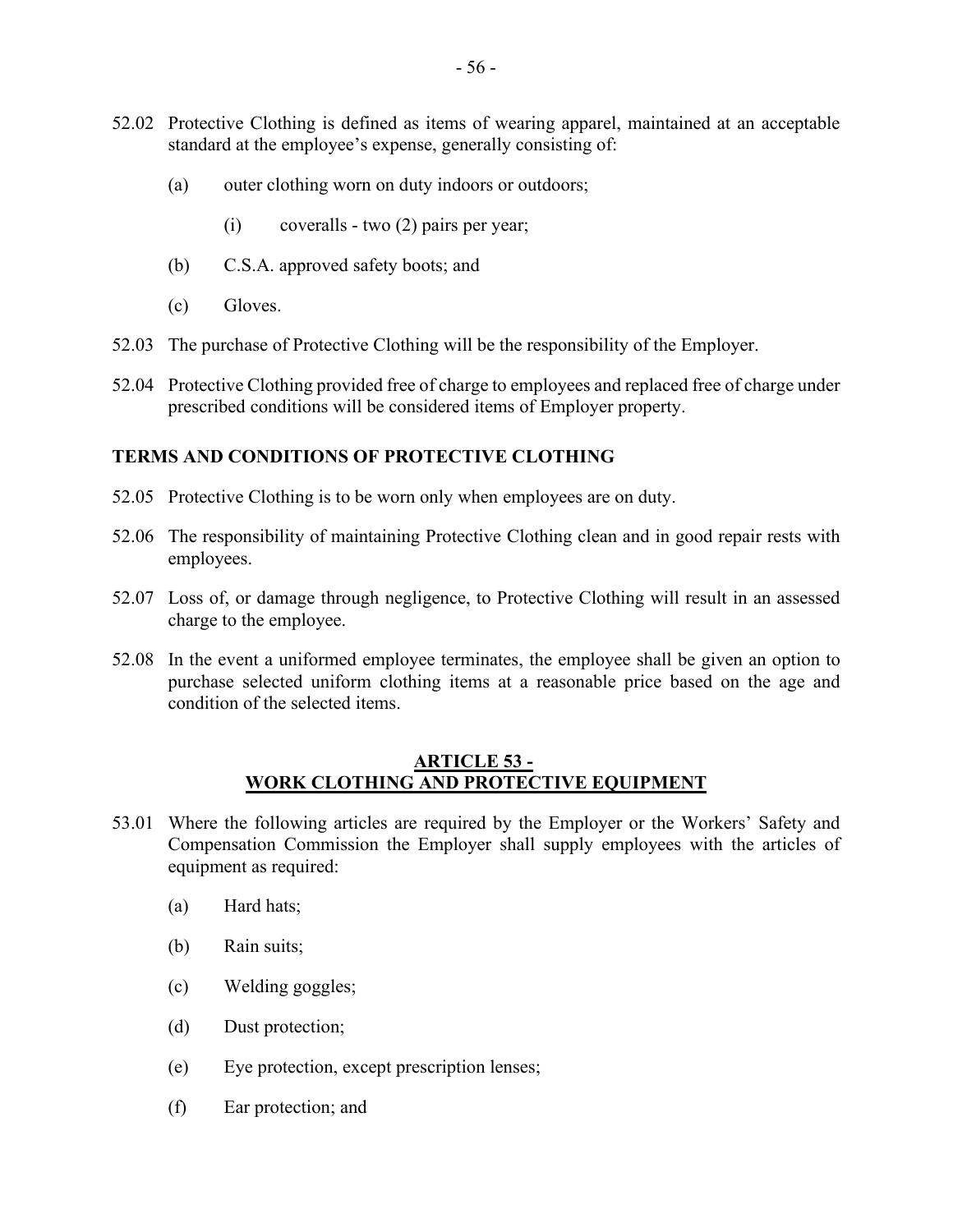- 52.02 Protective Clothing is defined as items of wearing apparel, maintained at an acceptable standard at the employee's expense, generally consisting of:
	- (a) outer clothing worn on duty indoors or outdoors;
		- (i) coveralls two (2) pairs per year;
	- (b) C.S.A. approved safety boots; and
	- (c) Gloves.
- 52.03 The purchase of Protective Clothing will be the responsibility of the Employer.
- 52.04 Protective Clothing provided free of charge to employees and replaced free of charge under prescribed conditions will be considered items of Employer property.

#### **TERMS AND CONDITIONS OF PROTECTIVE CLOTHING**

- 52.05 Protective Clothing is to be worn only when employees are on duty.
- 52.06 The responsibility of maintaining Protective Clothing clean and in good repair rests with employees.
- 52.07 Loss of, or damage through negligence, to Protective Clothing will result in an assessed charge to the employee.
- 52.08 In the event a uniformed employee terminates, the employee shall be given an option to purchase selected uniform clothing items at a reasonable price based on the age and condition of the selected items.

#### **ARTICLE 53 - WORK CLOTHING AND PROTECTIVE EQUIPMENT**

- <span id="page-55-0"></span>53.01 Where the following articles are required by the Employer or the Workers' Safety and Compensation Commission the Employer shall supply employees with the articles of equipment as required:
	- (a) Hard hats;
	- (b) Rain suits;
	- (c) Welding goggles;
	- (d) Dust protection;
	- (e) Eye protection, except prescription lenses;
	- (f) Ear protection; and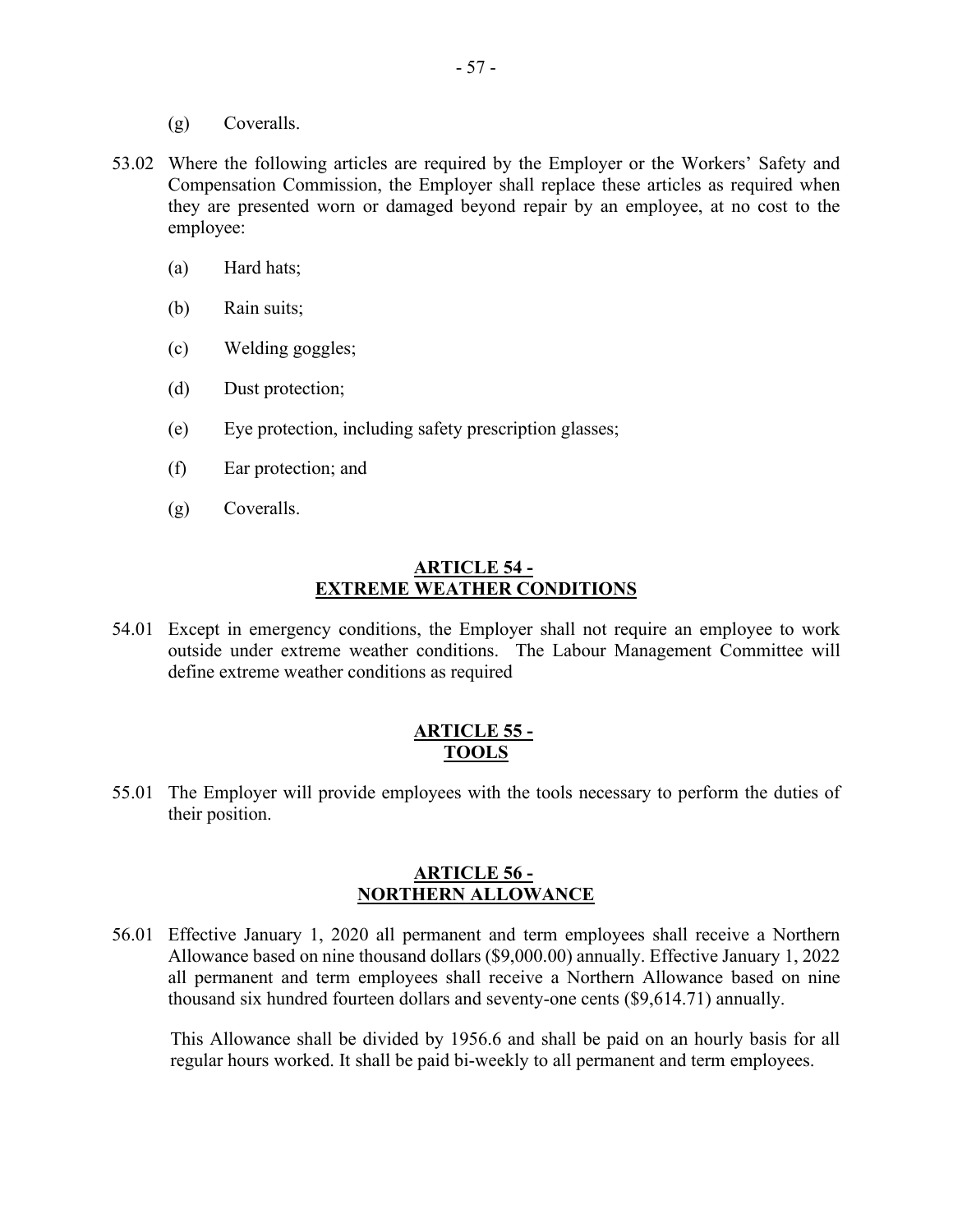- (g) Coveralls.
- 53.02 Where the following articles are required by the Employer or the Workers' Safety and Compensation Commission, the Employer shall replace these articles as required when they are presented worn or damaged beyond repair by an employee, at no cost to the employee:
	- (a) Hard hats;
	- (b) Rain suits;
	- (c) Welding goggles;
	- (d) Dust protection;
	- (e) Eye protection, including safety prescription glasses;
	- (f) Ear protection; and
	- (g) Coveralls.

#### **ARTICLE 54 - EXTREME WEATHER CONDITIONS**

<span id="page-56-0"></span>54.01 Except in emergency conditions, the Employer shall not require an employee to work outside under extreme weather conditions. The Labour Management Committee will define extreme weather conditions as required

#### **ARTICLE 55 - TOOLS**

<span id="page-56-1"></span>55.01 The Employer will provide employees with the tools necessary to perform the duties of their position.

#### **ARTICLE 56 - NORTHERN ALLOWANCE**

<span id="page-56-2"></span>56.01 Effective January 1, 2020 all permanent and term employees shall receive a Northern Allowance based on nine thousand dollars (\$9,000.00) annually. Effective January 1, 2022 all permanent and term employees shall receive a Northern Allowance based on nine thousand six hundred fourteen dollars and seventy-one cents (\$9,614.71) annually.

This Allowance shall be divided by 1956.6 and shall be paid on an hourly basis for all regular hours worked. It shall be paid bi-weekly to all permanent and term employees.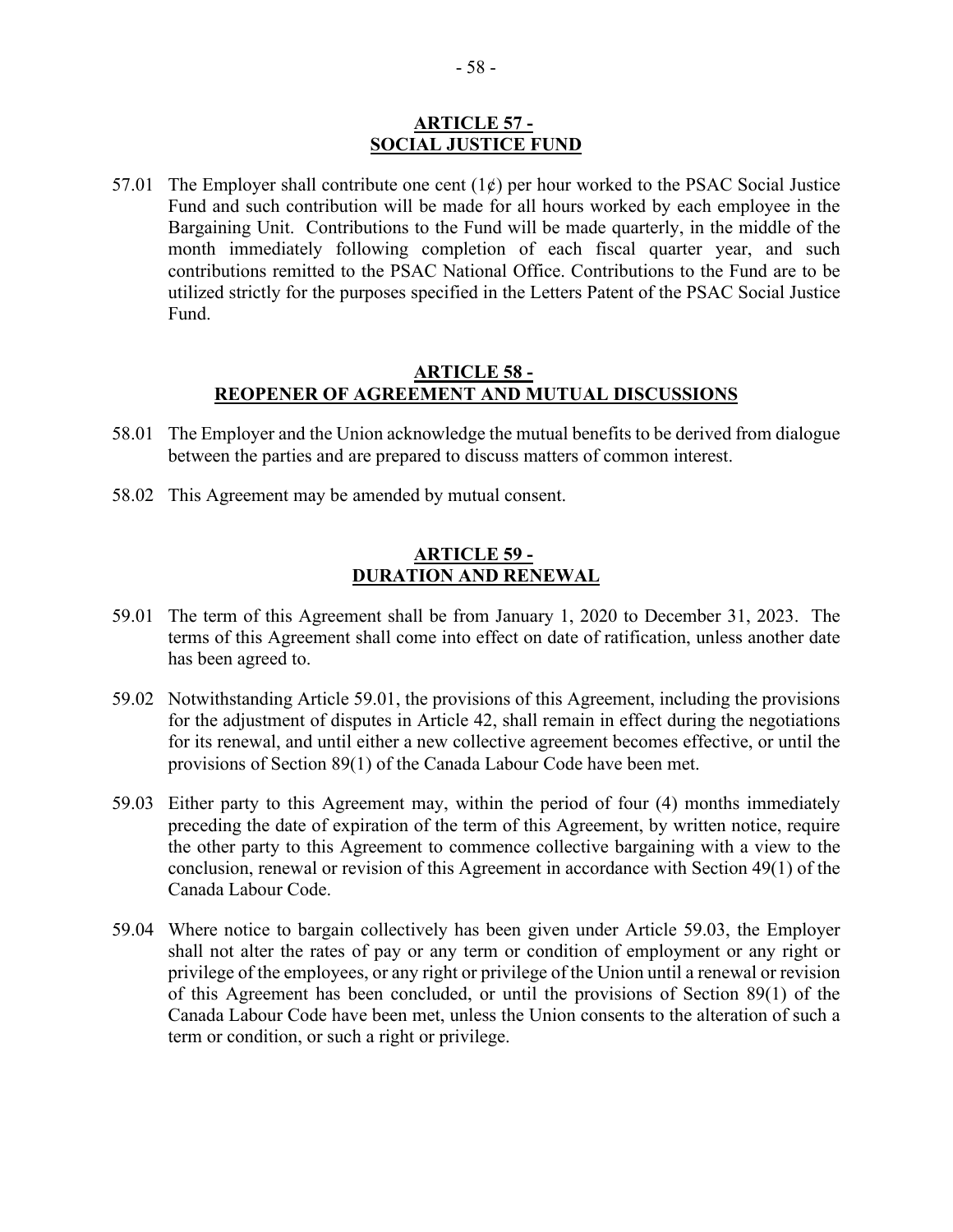#### **ARTICLE 57 - SOCIAL JUSTICE FUND**

<span id="page-57-0"></span>57.01 The Employer shall contribute one cent  $(1\phi)$  per hour worked to the PSAC Social Justice Fund and such contribution will be made for all hours worked by each employee in the Bargaining Unit. Contributions to the Fund will be made quarterly, in the middle of the month immediately following completion of each fiscal quarter year, and such contributions remitted to the PSAC National Office. Contributions to the Fund are to be utilized strictly for the purposes specified in the Letters Patent of the PSAC Social Justice Fund.

#### **ARTICLE 58 - REOPENER OF AGREEMENT AND MUTUAL DISCUSSIONS**

- <span id="page-57-1"></span>58.01 The Employer and the Union acknowledge the mutual benefits to be derived from dialogue between the parties and are prepared to discuss matters of common interest.
- 58.02 This Agreement may be amended by mutual consent.

#### **ARTICLE 59 - DURATION AND RENEWAL**

- <span id="page-57-2"></span>59.01 The term of this Agreement shall be from January 1, 2020 to December 31, 2023. The terms of this Agreement shall come into effect on date of ratification, unless another date has been agreed to.
- 59.02 Notwithstanding Article 59.01, the provisions of this Agreement, including the provisions for the adjustment of disputes in Article 42, shall remain in effect during the negotiations for its renewal, and until either a new collective agreement becomes effective, or until the provisions of Section 89(1) of the Canada Labour Code have been met.
- 59.03 Either party to this Agreement may, within the period of four (4) months immediately preceding the date of expiration of the term of this Agreement, by written notice, require the other party to this Agreement to commence collective bargaining with a view to the conclusion, renewal or revision of this Agreement in accordance with Section 49(1) of the Canada Labour Code.
- 59.04 Where notice to bargain collectively has been given under Article 59.03, the Employer shall not alter the rates of pay or any term or condition of employment or any right or privilege of the employees, or any right or privilege of the Union until a renewal or revision of this Agreement has been concluded, or until the provisions of Section 89(1) of the Canada Labour Code have been met, unless the Union consents to the alteration of such a term or condition, or such a right or privilege.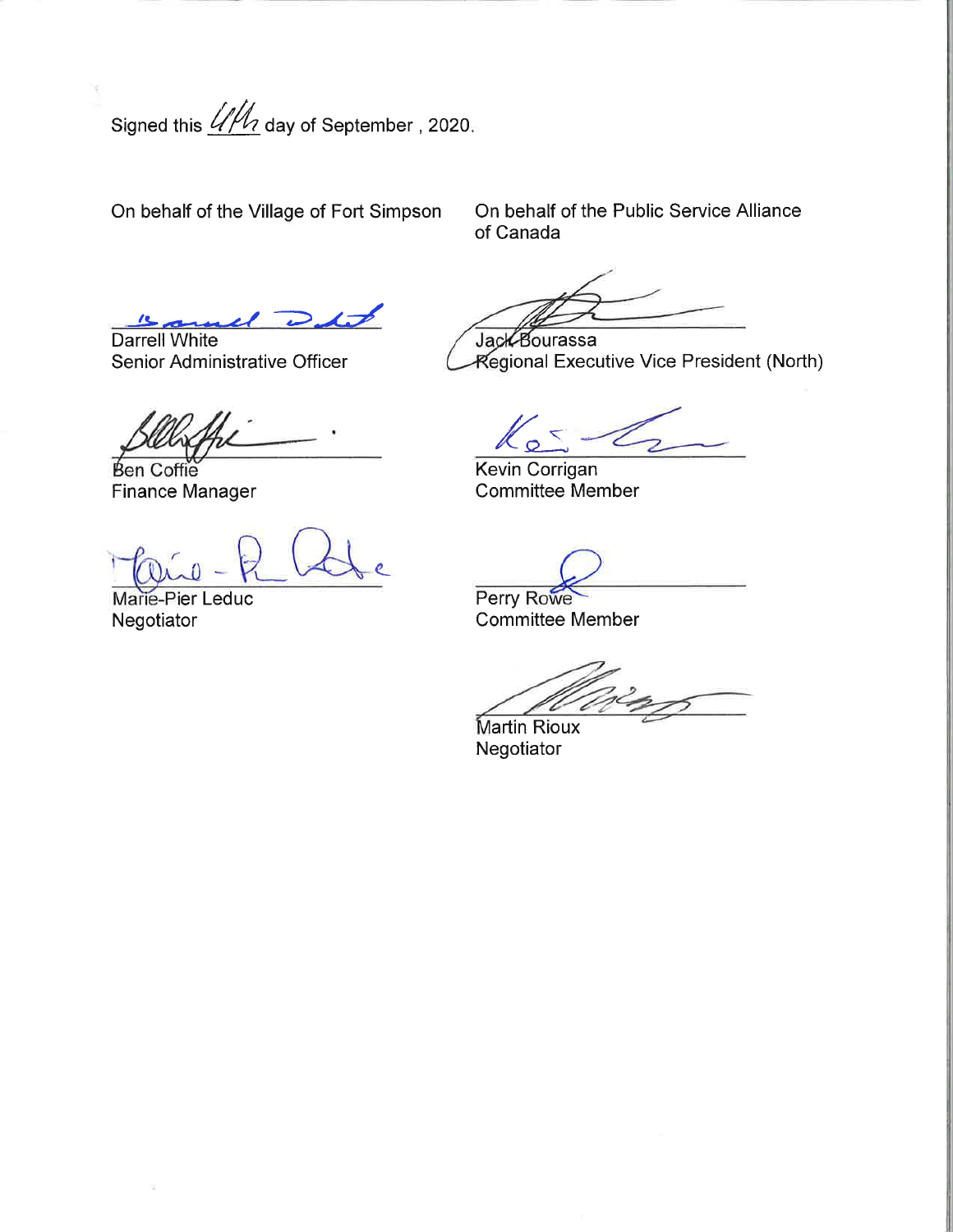Signed this  $\frac{dM}{d}$  day of September , 2020.

On behalf of the Village of Fort Simpson

On behalf of the Public Service Alliance of Canada

 $L$  and  $L$ 

Darrell White Senior Administrative Officer

**Ben Coffie** Finance Manager

 $\mathsf{c}_-$ 

Marie-Pier Leduc **Negotiator** 

Jack Bourassa

**Regional Executive Vice President (North)** 

Kevin Corrigan

Committee Member

**Perry Rowe** Committee Member

**Martin Rioux** Negotiator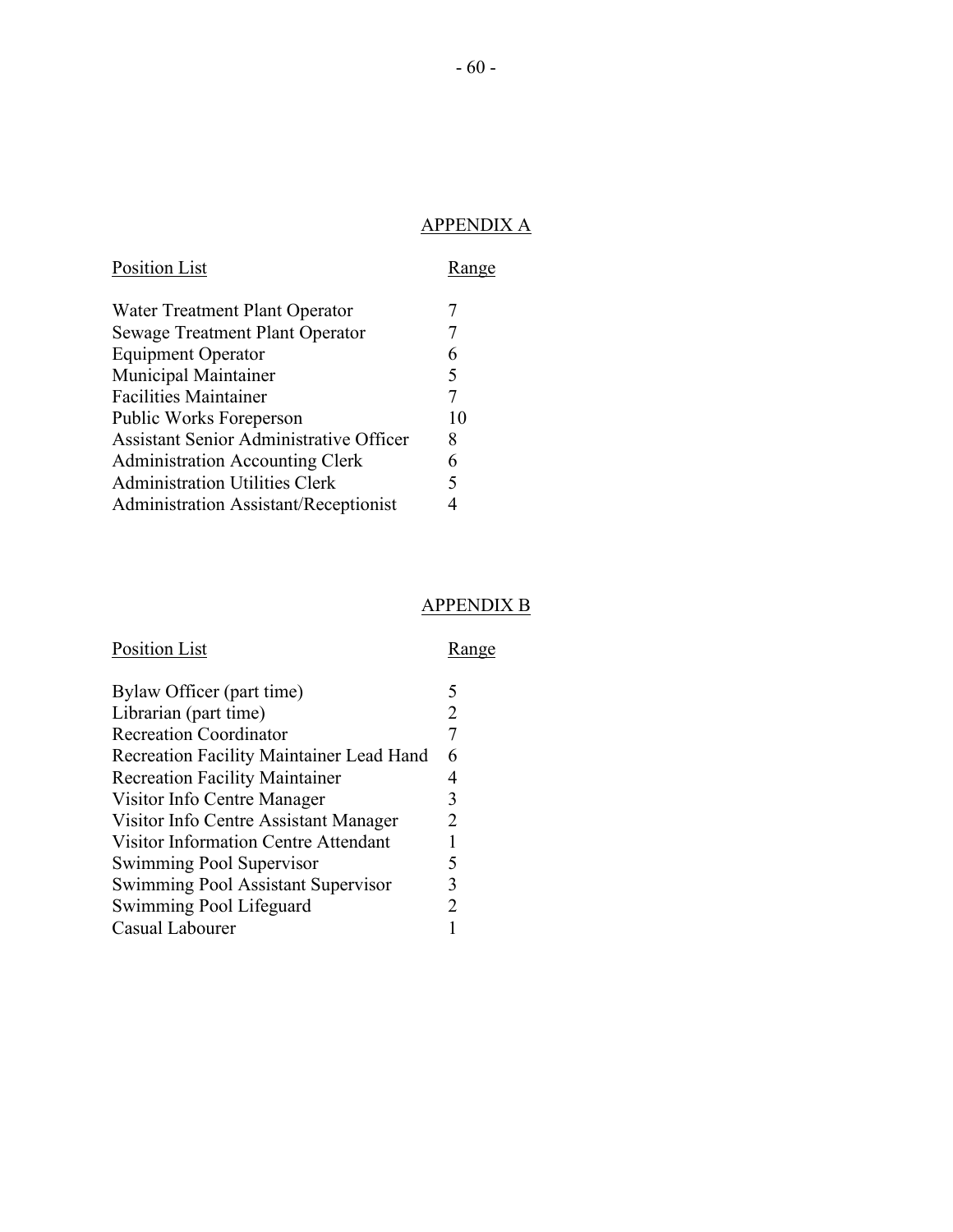# APPENDIX A

<span id="page-59-0"></span>

| Position List                                  |    |
|------------------------------------------------|----|
| Water Treatment Plant Operator                 | 7  |
| <b>Sewage Treatment Plant Operator</b>         |    |
| <b>Equipment Operator</b>                      | 6  |
| <b>Municipal Maintainer</b>                    | 5  |
| <b>Facilities Maintainer</b>                   |    |
| Public Works Foreperson                        | 10 |
| <b>Assistant Senior Administrative Officer</b> | 8  |
| <b>Administration Accounting Clerk</b>         | 6  |
| <b>Administration Utilities Clerk</b>          | 5  |
| <b>Administration Assistant/Receptionist</b>   |    |

# APPENDIX B

# <span id="page-59-1"></span>Position List Range

| Bylaw Officer (part time)                   |   |
|---------------------------------------------|---|
| Librarian (part time)                       |   |
| <b>Recreation Coordinator</b>               |   |
| Recreation Facility Maintainer Lead Hand    | 6 |
| <b>Recreation Facility Maintainer</b>       |   |
| Visitor Info Centre Manager                 | 3 |
| Visitor Info Centre Assistant Manager       |   |
| <b>Visitor Information Centre Attendant</b> |   |
| Swimming Pool Supervisor                    | 5 |
| Swimming Pool Assistant Supervisor          | 3 |
| Swimming Pool Lifeguard                     |   |
| Casual Labourer                             |   |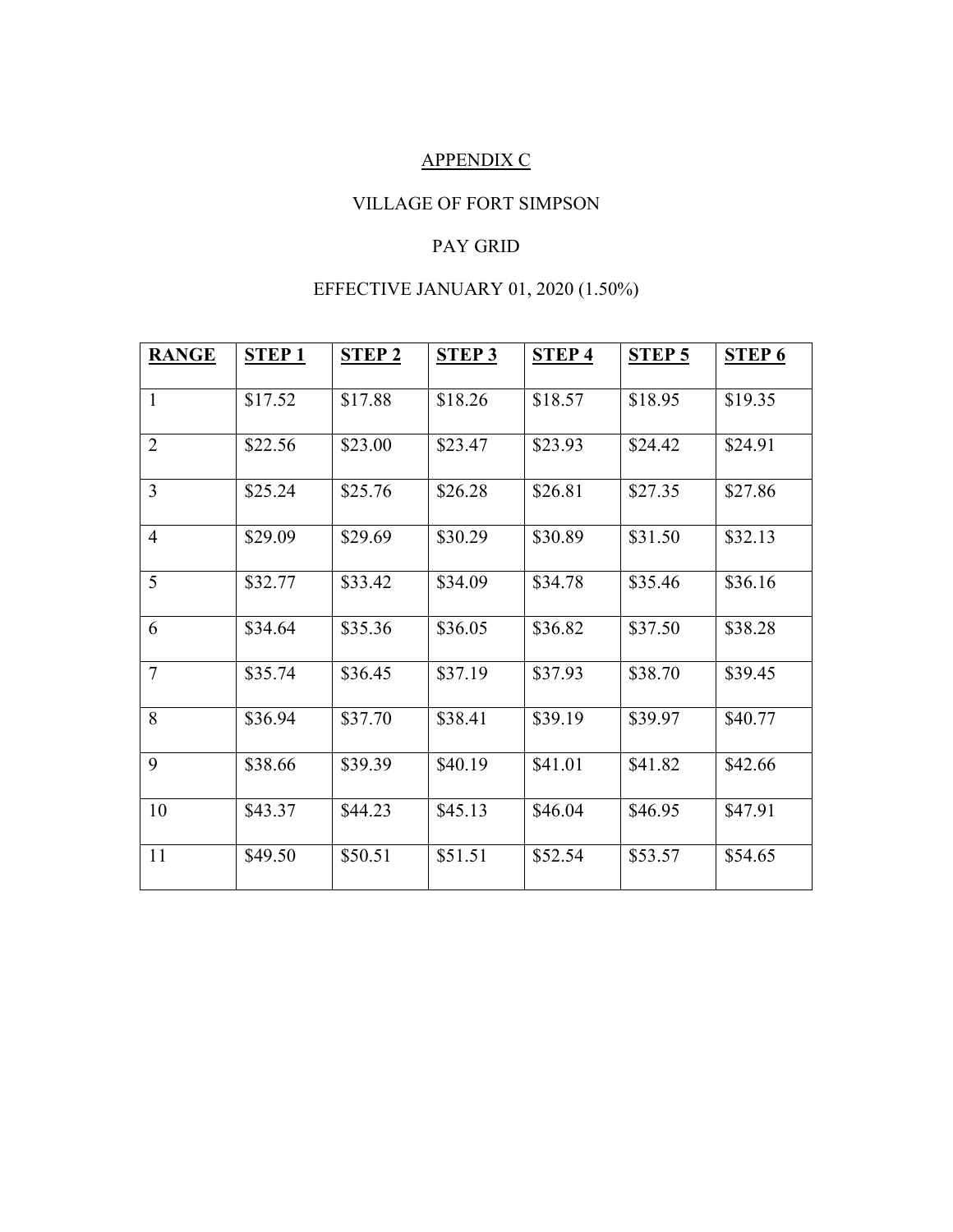# APPENDIX C

# VILLAGE OF FORT SIMPSON

# PAY GRID

# EFFECTIVE JANUARY 01, 2020 (1.50%)

<span id="page-60-0"></span>

| <b>RANGE</b>   | <b>STEP1</b> | <b>STEP 2</b> | <b>STEP 3</b> | <b>STEP4</b> | <b>STEP 5</b> | <b>STEP 6</b> |
|----------------|--------------|---------------|---------------|--------------|---------------|---------------|
| $\mathbf{1}$   | \$17.52      | \$17.88       | \$18.26       | \$18.57      | \$18.95       | \$19.35       |
| $\overline{2}$ | \$22.56      | \$23.00       | \$23.47       | \$23.93      | \$24.42       | \$24.91       |
| 3              | \$25.24      | \$25.76       | \$26.28       | \$26.81      | \$27.35       | \$27.86       |
| $\overline{4}$ | \$29.09      | \$29.69       | \$30.29       | \$30.89      | \$31.50       | \$32.13       |
| 5              | \$32.77      | \$33.42       | \$34.09       | \$34.78      | \$35.46       | \$36.16       |
| 6              | \$34.64      | \$35.36       | \$36.05       | \$36.82      | \$37.50       | \$38.28       |
| $\overline{7}$ | \$35.74      | \$36.45       | \$37.19       | \$37.93      | \$38.70       | \$39.45       |
| 8              | \$36.94      | \$37.70       | \$38.41       | \$39.19      | \$39.97       | \$40.77       |
| 9              | \$38.66      | \$39.39       | \$40.19       | \$41.01      | \$41.82       | \$42.66       |
| 10             | \$43.37      | \$44.23       | \$45.13       | \$46.04      | \$46.95       | \$47.91       |
| 11             | \$49.50      | \$50.51       | \$51.51       | \$52.54      | \$53.57       | \$54.65       |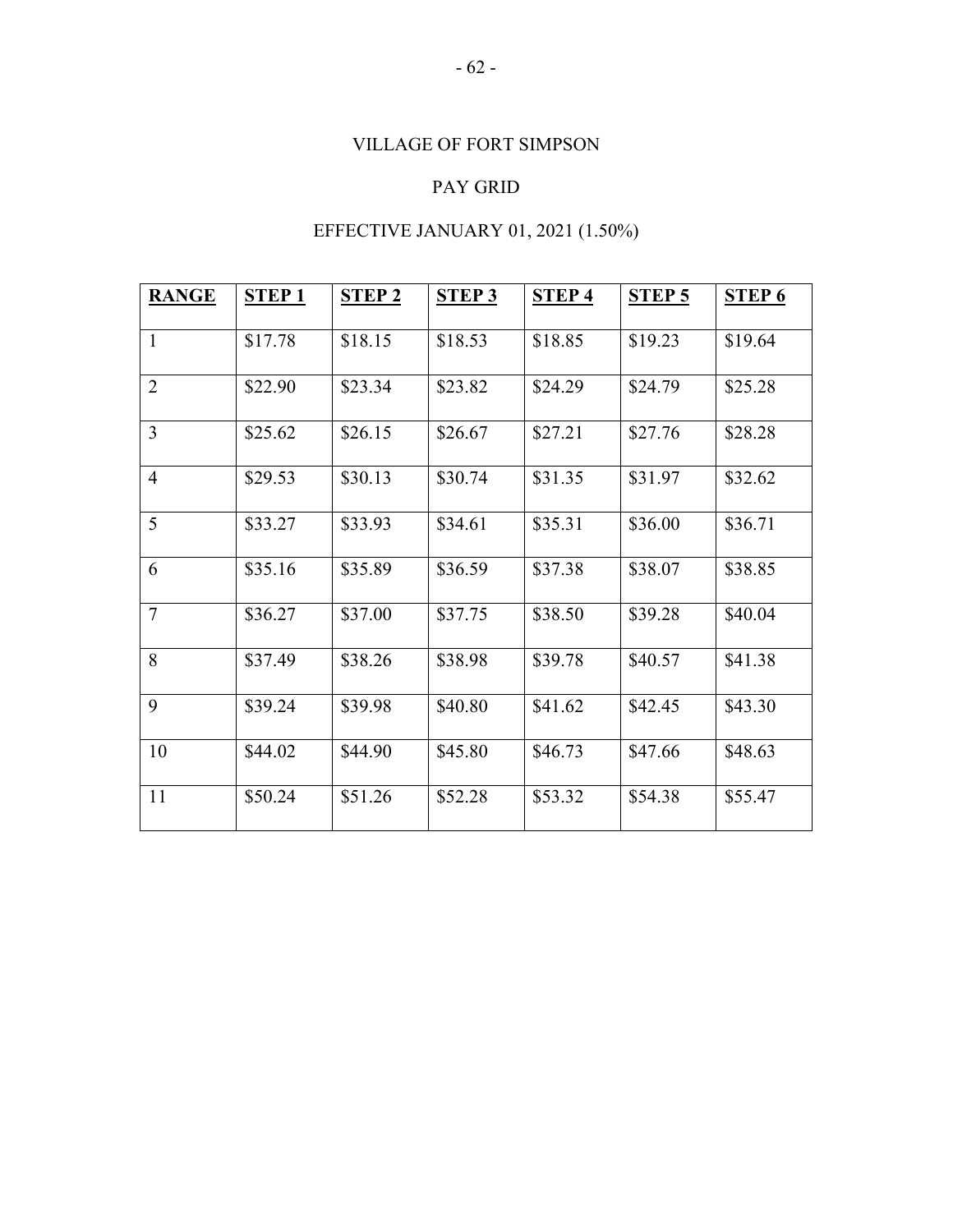# VILLAGE OF FORT SIMPSON

# PAY GRID

# EFFECTIVE JANUARY 01, 2021 (1.50%)

| <b>RANGE</b>   | <b>STEP1</b> | <b>STEP 2</b> | <b>STEP 3</b> | STEP <sub>4</sub> | <b>STEP 5</b> | <b>STEP 6</b> |
|----------------|--------------|---------------|---------------|-------------------|---------------|---------------|
| $\mathbf{1}$   | \$17.78      | \$18.15       | \$18.53       | \$18.85           | \$19.23       | \$19.64       |
| $\overline{2}$ | \$22.90      | \$23.34       | \$23.82       | \$24.29           | \$24.79       | \$25.28       |
| 3              | \$25.62      | \$26.15       | \$26.67       | \$27.21           | \$27.76       | \$28.28       |
| $\overline{4}$ | \$29.53      | \$30.13       | \$30.74       | \$31.35           | \$31.97       | \$32.62       |
| 5              | \$33.27      | \$33.93       | \$34.61       | \$35.31           | \$36.00       | \$36.71       |
| 6              | \$35.16      | \$35.89       | \$36.59       | \$37.38           | \$38.07       | \$38.85       |
| $\overline{7}$ | \$36.27      | \$37.00       | \$37.75       | \$38.50           | \$39.28       | \$40.04       |
| 8              | \$37.49      | \$38.26       | \$38.98       | \$39.78           | \$40.57       | \$41.38       |
| 9              | \$39.24      | \$39.98       | \$40.80       | \$41.62           | \$42.45       | \$43.30       |
| 10             | \$44.02      | \$44.90       | \$45.80       | \$46.73           | \$47.66       | \$48.63       |
| 11             | \$50.24      | \$51.26       | \$52.28       | \$53.32           | \$54.38       | \$55.47       |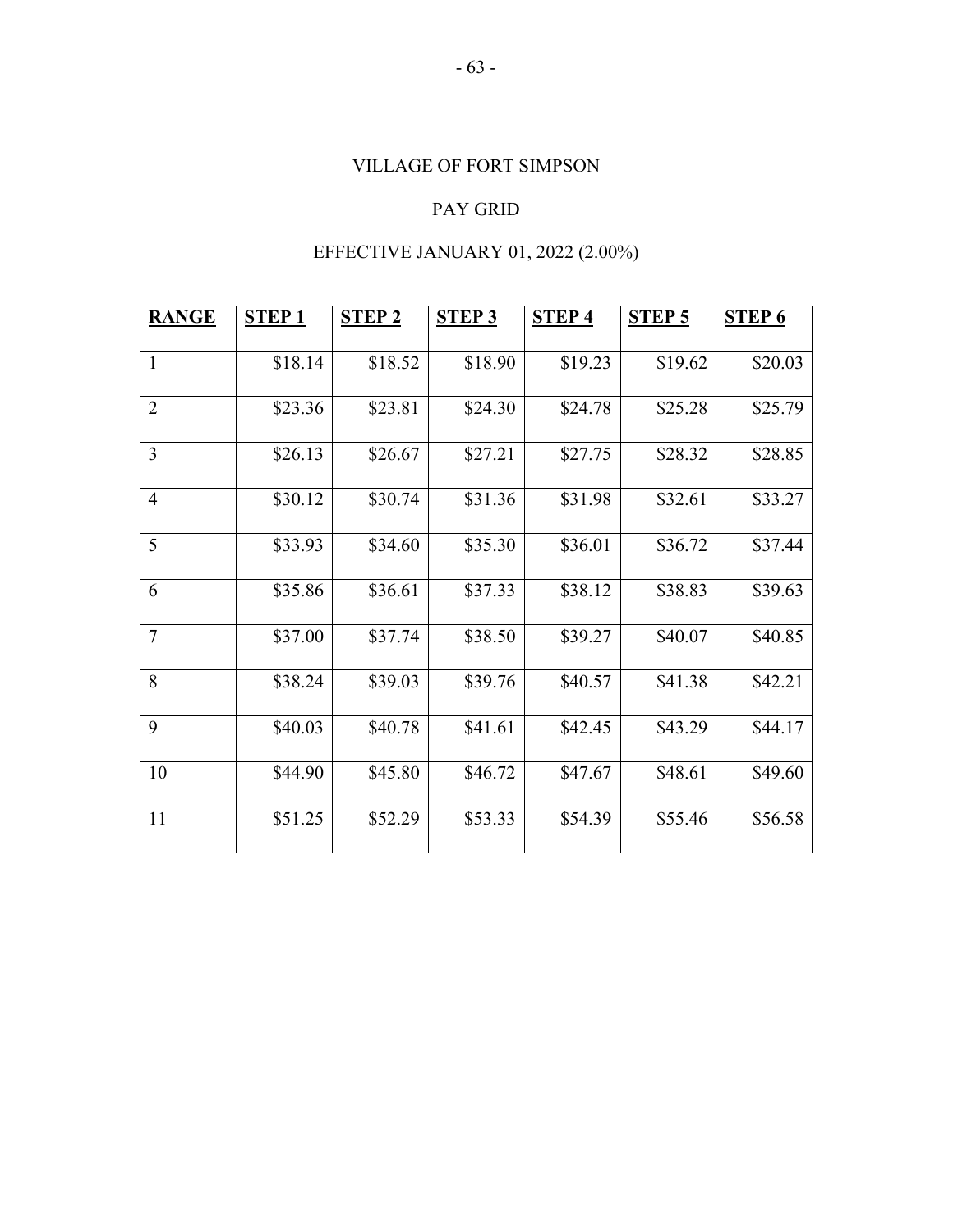# VILLAGE OF FORT SIMPSON

# PAY GRID

# EFFECTIVE JANUARY 01, 2022 (2.00%)

| <b>RANGE</b>   | <b>STEP1</b> | <b>STEP 2</b> | <b>STEP 3</b> | <b>STEP4</b> | <b>STEP 5</b> | <b>STEP 6</b> |
|----------------|--------------|---------------|---------------|--------------|---------------|---------------|
| $\mathbf{1}$   | \$18.14      | \$18.52       | \$18.90       | \$19.23      | \$19.62       | \$20.03       |
| $\overline{2}$ | \$23.36      | \$23.81       | \$24.30       | \$24.78      | \$25.28       | \$25.79       |
| 3              | \$26.13      | \$26.67       | \$27.21       | \$27.75      | \$28.32       | \$28.85       |
| $\overline{4}$ | \$30.12      | \$30.74       | \$31.36       | \$31.98      | \$32.61       | \$33.27       |
| 5              | \$33.93      | \$34.60       | \$35.30       | \$36.01      | \$36.72       | \$37.44       |
| 6              | \$35.86      | \$36.61       | \$37.33       | \$38.12      | \$38.83       | \$39.63       |
| $\overline{7}$ | \$37.00      | \$37.74       | \$38.50       | \$39.27      | \$40.07       | \$40.85       |
| 8              | \$38.24      | \$39.03       | \$39.76       | \$40.57      | \$41.38       | \$42.21       |
| 9              | \$40.03      | \$40.78       | \$41.61       | \$42.45      | \$43.29       | \$44.17       |
| 10             | \$44.90      | \$45.80       | \$46.72       | \$47.67      | \$48.61       | \$49.60       |
| 11             | \$51.25      | \$52.29       | \$53.33       | \$54.39      | \$55.46       | \$56.58       |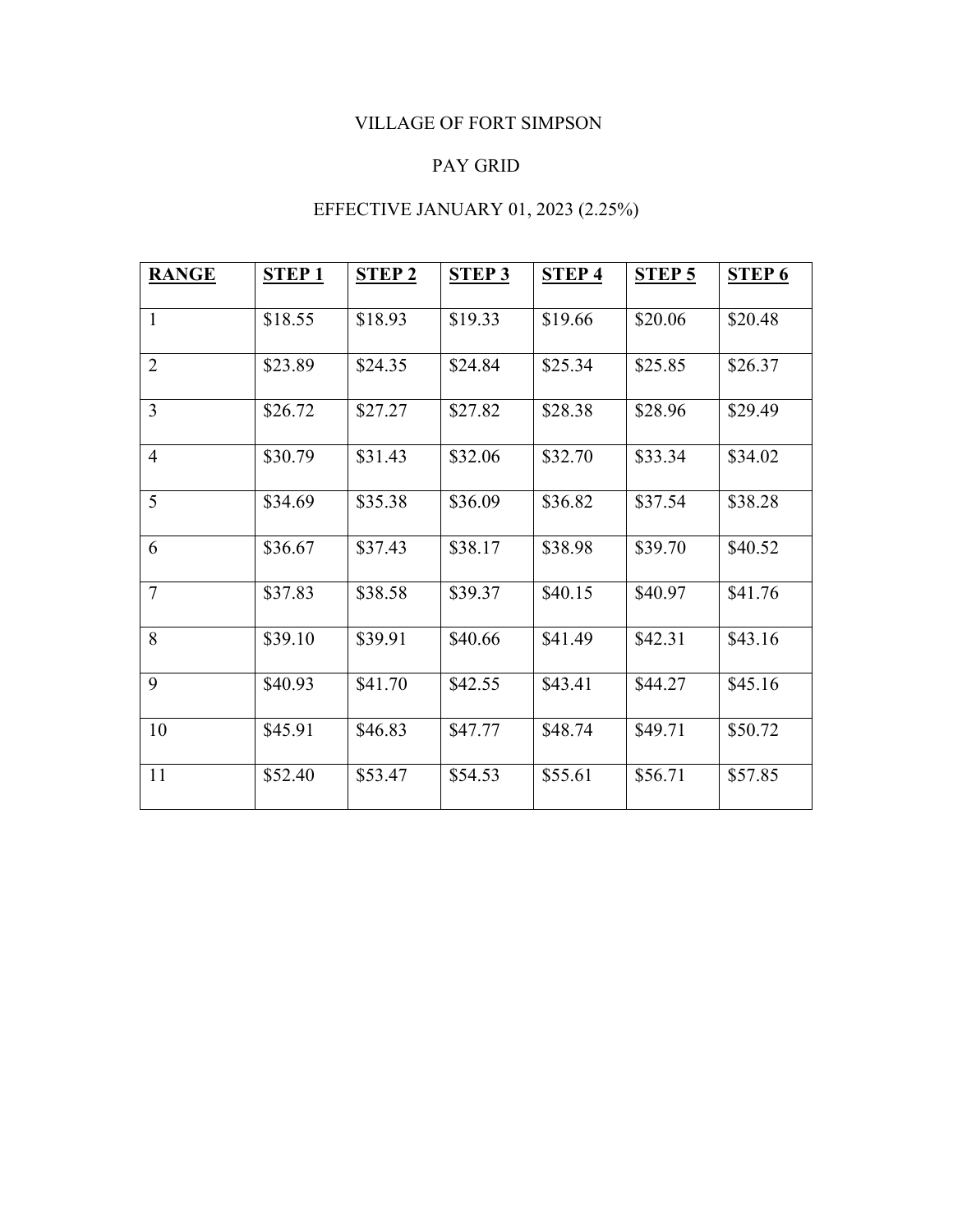# VILLAGE OF FORT SIMPSON

# PAY GRID

# EFFECTIVE JANUARY 01, 2023 (2.25%)

<span id="page-63-0"></span>

| <b>RANGE</b>   | <b>STEP1</b> | <b>STEP 2</b> | <b>STEP 3</b> | <b>STEP4</b> | <b>STEP 5</b> | <b>STEP 6</b> |
|----------------|--------------|---------------|---------------|--------------|---------------|---------------|
| $\mathbf{1}$   | \$18.55      | \$18.93       | \$19.33       | \$19.66      | \$20.06       | \$20.48       |
| $\overline{2}$ | \$23.89      | \$24.35       | \$24.84       | \$25.34      | \$25.85       | \$26.37       |
| $\overline{3}$ | \$26.72      | \$27.27       | \$27.82       | \$28.38      | \$28.96       | \$29.49       |
| $\overline{4}$ | \$30.79      | \$31.43       | \$32.06       | \$32.70      | \$33.34       | \$34.02       |
| 5              | \$34.69      | \$35.38       | \$36.09       | \$36.82      | \$37.54       | \$38.28       |
| 6              | \$36.67      | \$37.43       | \$38.17       | \$38.98      | \$39.70       | \$40.52       |
| $\overline{7}$ | \$37.83      | \$38.58       | \$39.37       | \$40.15      | \$40.97       | \$41.76       |
| 8              | \$39.10      | \$39.91       | \$40.66       | \$41.49      | \$42.31       | \$43.16       |
| 9              | \$40.93      | \$41.70       | \$42.55       | \$43.41      | \$44.27       | \$45.16       |
| 10             | \$45.91      | \$46.83       | \$47.77       | \$48.74      | \$49.71       | \$50.72       |
| 11             | \$52.40      | \$53.47       | \$54.53       | \$55.61      | \$56.71       | \$57.85       |